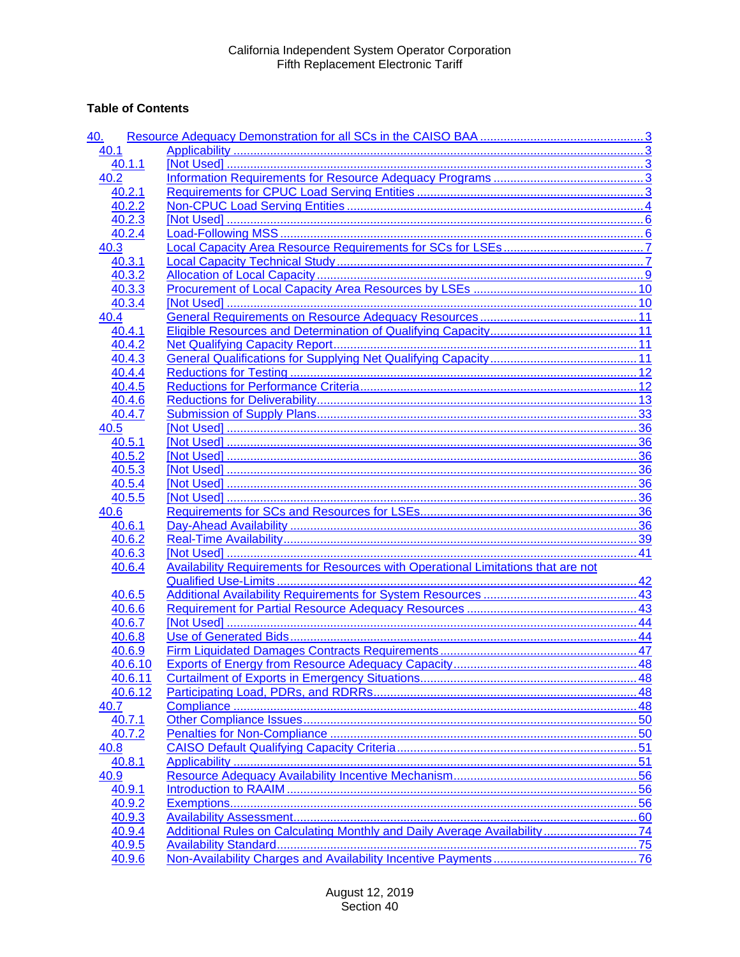## **Table of Contents**

| 40.     |                                                                          |    |
|---------|--------------------------------------------------------------------------|----|
| 40.1    |                                                                          |    |
| 40.1.1  |                                                                          |    |
| 40.2    |                                                                          |    |
| 40.2.1  |                                                                          |    |
| 40.2.2  |                                                                          |    |
| 40.2.3  |                                                                          |    |
| 40.2.4  |                                                                          |    |
| 40.3    |                                                                          |    |
| 40.3.1  |                                                                          |    |
| 40.3.2  |                                                                          |    |
| 40.3.3  |                                                                          |    |
| 40.3.4  |                                                                          |    |
| 40.4    |                                                                          |    |
| 40.4.1  |                                                                          |    |
| 40.4.2  |                                                                          |    |
| 40.4.3  |                                                                          |    |
| 40.4.4  |                                                                          |    |
| 40.4.5  |                                                                          |    |
| 40.4.6  |                                                                          |    |
| 40.4.7  |                                                                          |    |
| 40.5    |                                                                          |    |
| 40.5.1  |                                                                          |    |
| 40.5.2  |                                                                          |    |
| 40.5.3  |                                                                          |    |
| 40.5.4  |                                                                          |    |
| 40.5.5  |                                                                          |    |
| 40.6    |                                                                          |    |
| 40.6.1  |                                                                          |    |
| 40.6.2  |                                                                          |    |
| 40.6.3  |                                                                          |    |
| 40.6.4  |                                                                          |    |
|         |                                                                          |    |
| 40.6.5  |                                                                          |    |
| 40.6.6  |                                                                          |    |
| 40.6.7  |                                                                          |    |
| 40.6.8  |                                                                          |    |
| 40.6.9  |                                                                          |    |
| 40.6.10 |                                                                          | 48 |
| 40.6.11 |                                                                          | 48 |
| 40.6.12 |                                                                          |    |
| 40.7    |                                                                          |    |
| 40.7.1  |                                                                          |    |
| 40.7.2  |                                                                          |    |
| 40.8    |                                                                          |    |
| 40.8.1  |                                                                          |    |
| 40.9    |                                                                          |    |
| 40.9.1  |                                                                          |    |
| 40.9.2  |                                                                          |    |
| 40.9.3  |                                                                          |    |
| 40.9.4  | Additional Rules on Calculating Monthly and Daily Average Availability74 |    |
| 40.9.5  |                                                                          |    |
| 40.9.6  |                                                                          |    |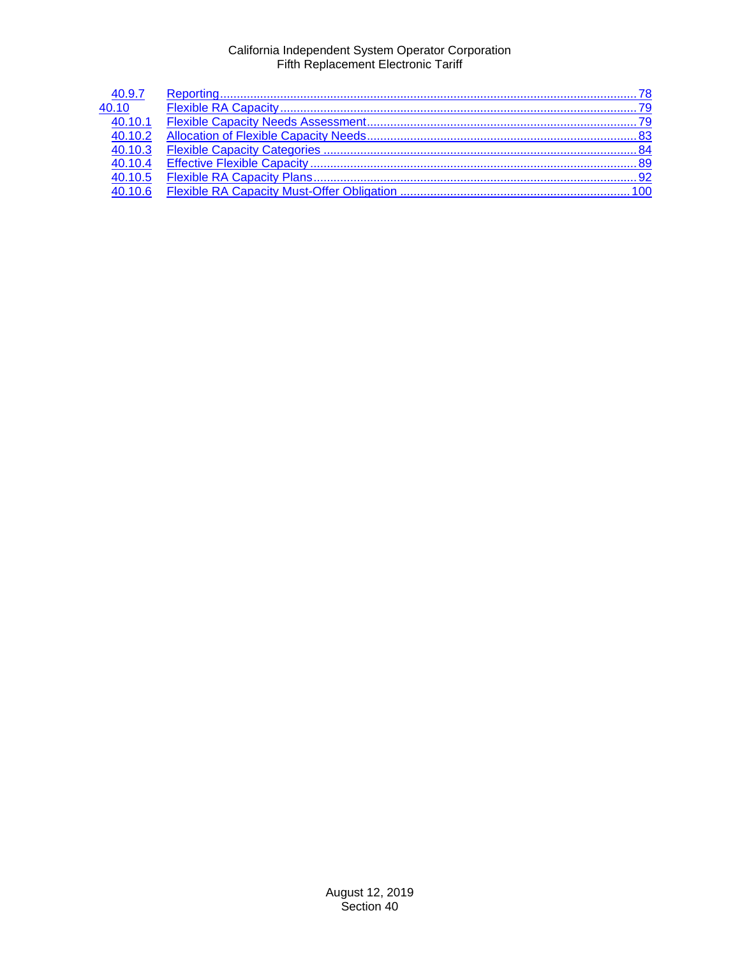| 40.9.7  |  |
|---------|--|
| 40.10   |  |
| 40.10.1 |  |
| 40.10.2 |  |
| 40.10.3 |  |
| 40.10.4 |  |
| 40.10.5 |  |
| 40.10.6 |  |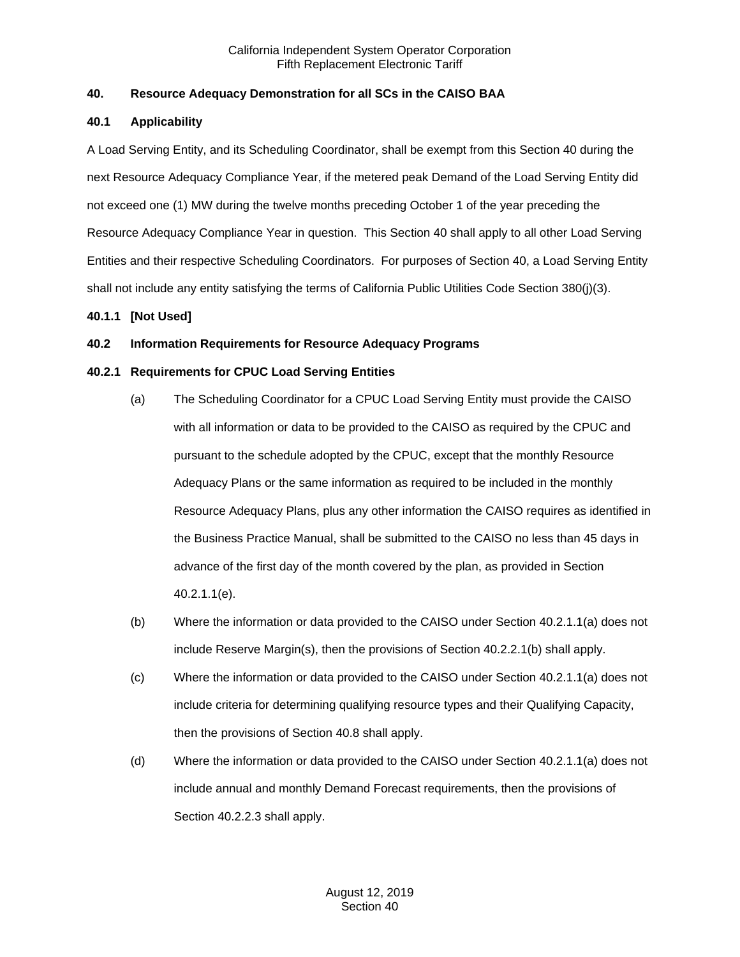## <span id="page-2-0"></span>**40. Resource Adequacy Demonstration for all SCs in the CAISO BAA**

## <span id="page-2-1"></span>**40.1 Applicability**

A Load Serving Entity, and its Scheduling Coordinator, shall be exempt from this Section 40 during the next Resource Adequacy Compliance Year, if the metered peak Demand of the Load Serving Entity did not exceed one (1) MW during the twelve months preceding October 1 of the year preceding the Resource Adequacy Compliance Year in question. This Section 40 shall apply to all other Load Serving Entities and their respective Scheduling Coordinators. For purposes of Section 40, a Load Serving Entity shall not include any entity satisfying the terms of California Public Utilities Code Section 380(j)(3).

## <span id="page-2-2"></span>**40.1.1 [Not Used]**

## <span id="page-2-3"></span>**40.2 Information Requirements for Resource Adequacy Programs**

## <span id="page-2-4"></span>**40.2.1 Requirements for CPUC Load Serving Entities**

- (a) The Scheduling Coordinator for a CPUC Load Serving Entity must provide the CAISO with all information or data to be provided to the CAISO as required by the CPUC and pursuant to the schedule adopted by the CPUC, except that the monthly Resource Adequacy Plans or the same information as required to be included in the monthly Resource Adequacy Plans, plus any other information the CAISO requires as identified in the Business Practice Manual, shall be submitted to the CAISO no less than 45 days in advance of the first day of the month covered by the plan, as provided in Section 40.2.1.1(e).
- (b) Where the information or data provided to the CAISO under Section 40.2.1.1(a) does not include Reserve Margin(s), then the provisions of Section 40.2.2.1(b) shall apply.
- (c) Where the information or data provided to the CAISO under Section 40.2.1.1(a) does not include criteria for determining qualifying resource types and their Qualifying Capacity, then the provisions of Section 40.8 shall apply.
- (d) Where the information or data provided to the CAISO under Section 40.2.1.1(a) does not include annual and monthly Demand Forecast requirements, then the provisions of Section 40.2.2.3 shall apply.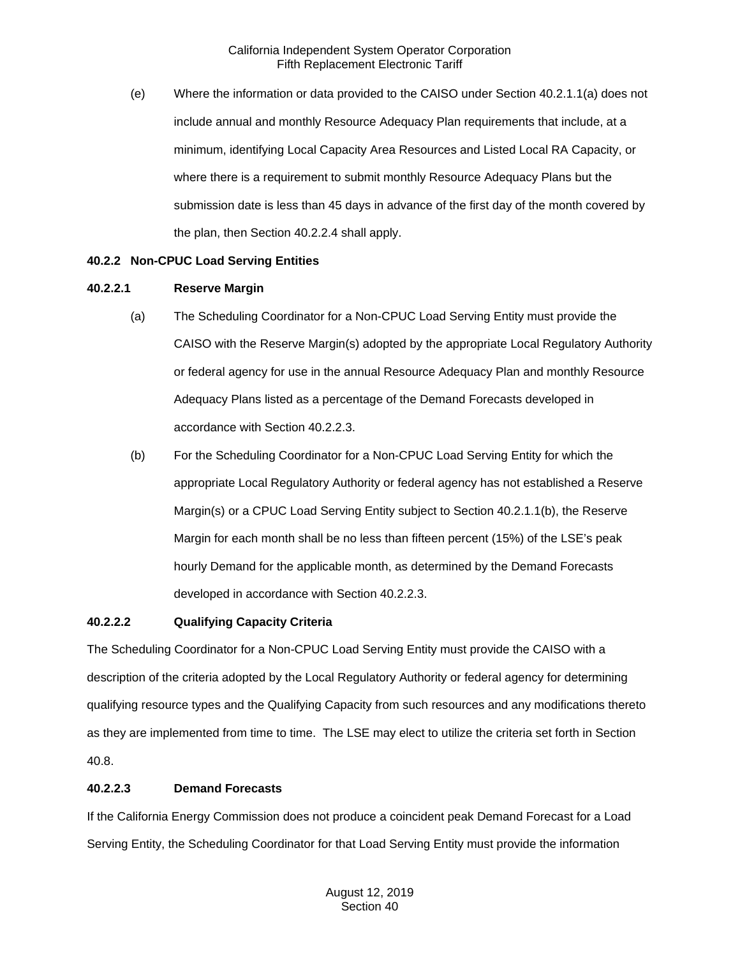(e) Where the information or data provided to the CAISO under Section 40.2.1.1(a) does not include annual and monthly Resource Adequacy Plan requirements that include, at a minimum, identifying Local Capacity Area Resources and Listed Local RA Capacity, or where there is a requirement to submit monthly Resource Adequacy Plans but the submission date is less than 45 days in advance of the first day of the month covered by the plan, then Section 40.2.2.4 shall apply.

#### <span id="page-3-0"></span>**40.2.2 Non-CPUC Load Serving Entities**

#### **40.2.2.1 Reserve Margin**

- (a) The Scheduling Coordinator for a Non-CPUC Load Serving Entity must provide the CAISO with the Reserve Margin(s) adopted by the appropriate Local Regulatory Authority or federal agency for use in the annual Resource Adequacy Plan and monthly Resource Adequacy Plans listed as a percentage of the Demand Forecasts developed in accordance with Section 40.2.2.3.
- (b) For the Scheduling Coordinator for a Non-CPUC Load Serving Entity for which the appropriate Local Regulatory Authority or federal agency has not established a Reserve Margin(s) or a CPUC Load Serving Entity subject to Section 40.2.1.1(b), the Reserve Margin for each month shall be no less than fifteen percent (15%) of the LSE's peak hourly Demand for the applicable month, as determined by the Demand Forecasts developed in accordance with Section 40.2.2.3.

#### **40.2.2.2 Qualifying Capacity Criteria**

The Scheduling Coordinator for a Non-CPUC Load Serving Entity must provide the CAISO with a description of the criteria adopted by the Local Regulatory Authority or federal agency for determining qualifying resource types and the Qualifying Capacity from such resources and any modifications thereto as they are implemented from time to time. The LSE may elect to utilize the criteria set forth in Section 40.8.

## **40.2.2.3 Demand Forecasts**

If the California Energy Commission does not produce a coincident peak Demand Forecast for a Load Serving Entity, the Scheduling Coordinator for that Load Serving Entity must provide the information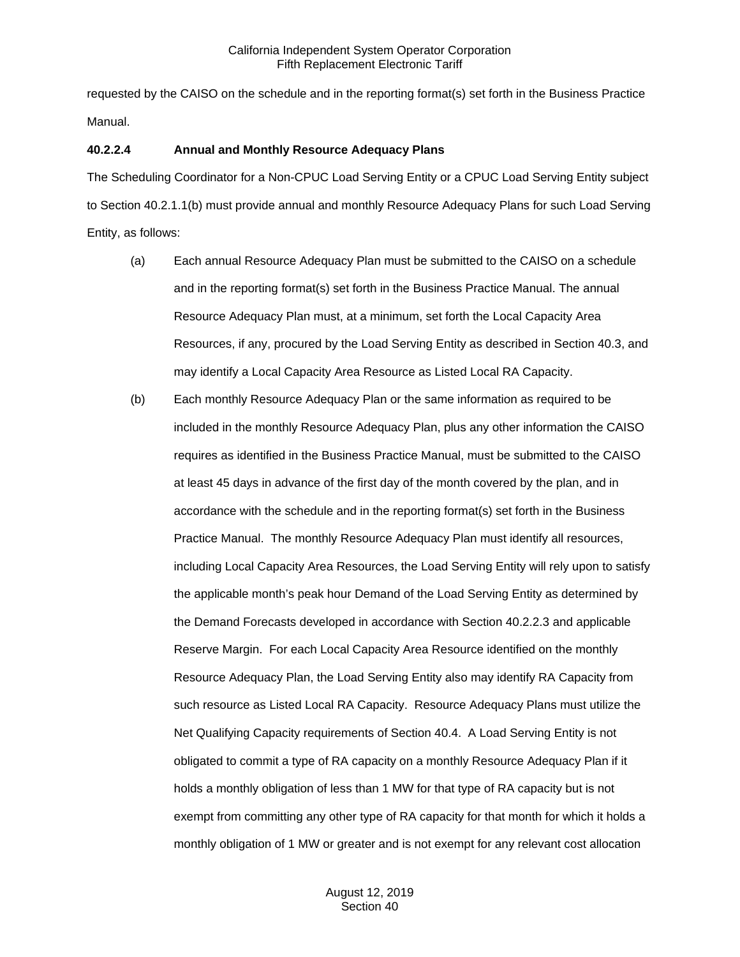requested by the CAISO on the schedule and in the reporting format(s) set forth in the Business Practice Manual.

#### **40.2.2.4 Annual and Monthly Resource Adequacy Plans**

The Scheduling Coordinator for a Non-CPUC Load Serving Entity or a CPUC Load Serving Entity subject to Section 40.2.1.1(b) must provide annual and monthly Resource Adequacy Plans for such Load Serving Entity, as follows:

- (a) Each annual Resource Adequacy Plan must be submitted to the CAISO on a schedule and in the reporting format(s) set forth in the Business Practice Manual. The annual Resource Adequacy Plan must, at a minimum, set forth the Local Capacity Area Resources, if any, procured by the Load Serving Entity as described in Section 40.3, and may identify a Local Capacity Area Resource as Listed Local RA Capacity.
- (b) Each monthly Resource Adequacy Plan or the same information as required to be included in the monthly Resource Adequacy Plan, plus any other information the CAISO requires as identified in the Business Practice Manual, must be submitted to the CAISO at least 45 days in advance of the first day of the month covered by the plan, and in accordance with the schedule and in the reporting format(s) set forth in the Business Practice Manual. The monthly Resource Adequacy Plan must identify all resources, including Local Capacity Area Resources, the Load Serving Entity will rely upon to satisfy the applicable month's peak hour Demand of the Load Serving Entity as determined by the Demand Forecasts developed in accordance with Section 40.2.2.3 and applicable Reserve Margin. For each Local Capacity Area Resource identified on the monthly Resource Adequacy Plan, the Load Serving Entity also may identify RA Capacity from such resource as Listed Local RA Capacity. Resource Adequacy Plans must utilize the Net Qualifying Capacity requirements of Section 40.4. A Load Serving Entity is not obligated to commit a type of RA capacity on a monthly Resource Adequacy Plan if it holds a monthly obligation of less than 1 MW for that type of RA capacity but is not exempt from committing any other type of RA capacity for that month for which it holds a monthly obligation of 1 MW or greater and is not exempt for any relevant cost allocation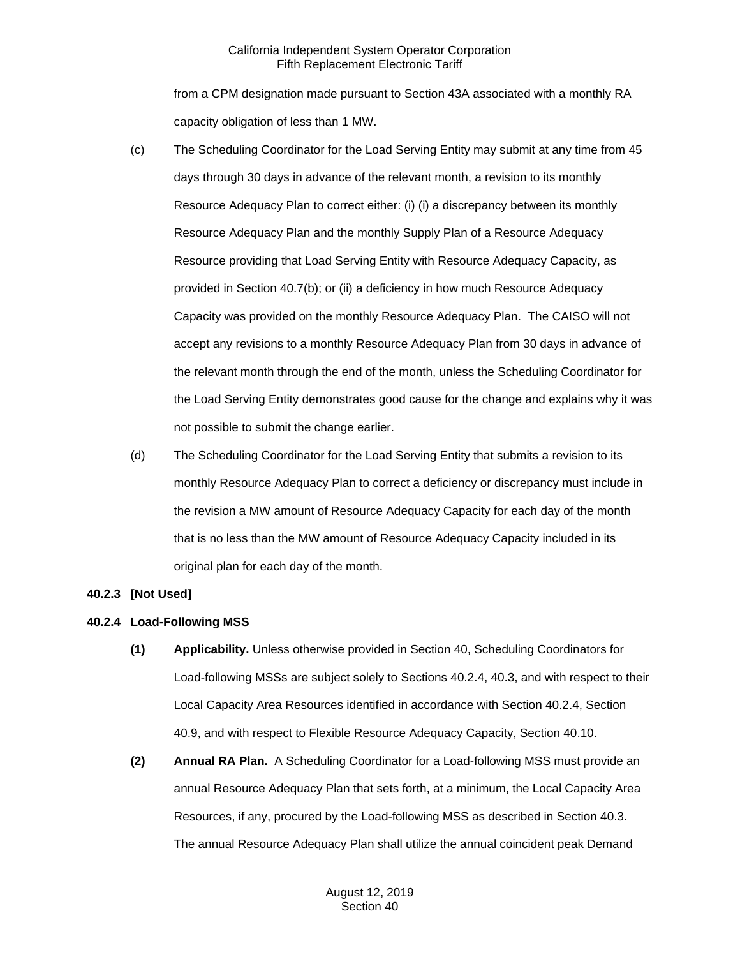from a CPM designation made pursuant to Section 43A associated with a monthly RA capacity obligation of less than 1 MW.

- (c) The Scheduling Coordinator for the Load Serving Entity may submit at any time from 45 days through 30 days in advance of the relevant month, a revision to its monthly Resource Adequacy Plan to correct either: (i) (i) a discrepancy between its monthly Resource Adequacy Plan and the monthly Supply Plan of a Resource Adequacy Resource providing that Load Serving Entity with Resource Adequacy Capacity, as provided in Section 40.7(b); or (ii) a deficiency in how much Resource Adequacy Capacity was provided on the monthly Resource Adequacy Plan. The CAISO will not accept any revisions to a monthly Resource Adequacy Plan from 30 days in advance of the relevant month through the end of the month, unless the Scheduling Coordinator for the Load Serving Entity demonstrates good cause for the change and explains why it was not possible to submit the change earlier.
- (d) The Scheduling Coordinator for the Load Serving Entity that submits a revision to its monthly Resource Adequacy Plan to correct a deficiency or discrepancy must include in the revision a MW amount of Resource Adequacy Capacity for each day of the month that is no less than the MW amount of Resource Adequacy Capacity included in its original plan for each day of the month.

## <span id="page-5-0"></span>**40.2.3 [Not Used]**

## <span id="page-5-1"></span>**40.2.4 Load-Following MSS**

- **(1) Applicability.** Unless otherwise provided in Section 40, Scheduling Coordinators for Load-following MSSs are subject solely to Sections 40.2.4, 40.3, and with respect to their Local Capacity Area Resources identified in accordance with Section 40.2.4, Section 40.9, and with respect to Flexible Resource Adequacy Capacity, Section 40.10.
- **(2) Annual RA Plan.** A Scheduling Coordinator for a Load-following MSS must provide an annual Resource Adequacy Plan that sets forth, at a minimum, the Local Capacity Area Resources, if any, procured by the Load-following MSS as described in Section 40.3. The annual Resource Adequacy Plan shall utilize the annual coincident peak Demand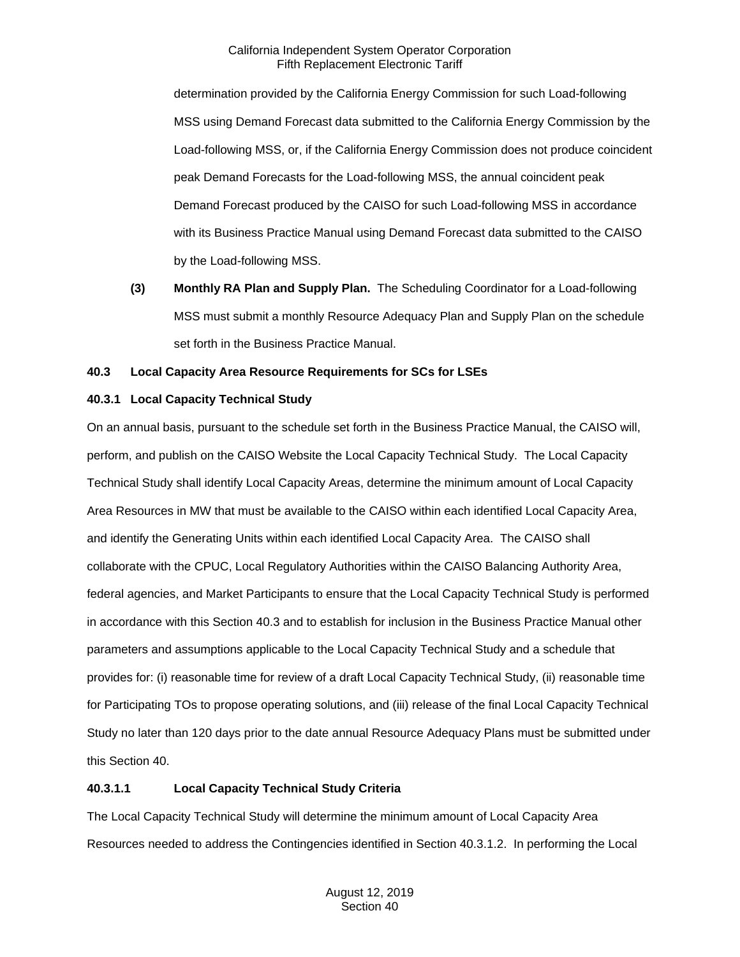determination provided by the California Energy Commission for such Load-following MSS using Demand Forecast data submitted to the California Energy Commission by the Load-following MSS, or, if the California Energy Commission does not produce coincident peak Demand Forecasts for the Load-following MSS, the annual coincident peak Demand Forecast produced by the CAISO for such Load-following MSS in accordance with its Business Practice Manual using Demand Forecast data submitted to the CAISO by the Load-following MSS.

**(3) Monthly RA Plan and Supply Plan.** The Scheduling Coordinator for a Load-following MSS must submit a monthly Resource Adequacy Plan and Supply Plan on the schedule set forth in the Business Practice Manual.

## <span id="page-6-0"></span>**40.3 Local Capacity Area Resource Requirements for SCs for LSEs**

## <span id="page-6-1"></span>**40.3.1 Local Capacity Technical Study**

On an annual basis, pursuant to the schedule set forth in the Business Practice Manual, the CAISO will, perform, and publish on the CAISO Website the Local Capacity Technical Study. The Local Capacity Technical Study shall identify Local Capacity Areas, determine the minimum amount of Local Capacity Area Resources in MW that must be available to the CAISO within each identified Local Capacity Area, and identify the Generating Units within each identified Local Capacity Area. The CAISO shall collaborate with the CPUC, Local Regulatory Authorities within the CAISO Balancing Authority Area, federal agencies, and Market Participants to ensure that the Local Capacity Technical Study is performed in accordance with this Section 40.3 and to establish for inclusion in the Business Practice Manual other parameters and assumptions applicable to the Local Capacity Technical Study and a schedule that provides for: (i) reasonable time for review of a draft Local Capacity Technical Study, (ii) reasonable time for Participating TOs to propose operating solutions, and (iii) release of the final Local Capacity Technical Study no later than 120 days prior to the date annual Resource Adequacy Plans must be submitted under this Section 40.

## **40.3.1.1 Local Capacity Technical Study Criteria**

The Local Capacity Technical Study will determine the minimum amount of Local Capacity Area Resources needed to address the Contingencies identified in Section 40.3.1.2. In performing the Local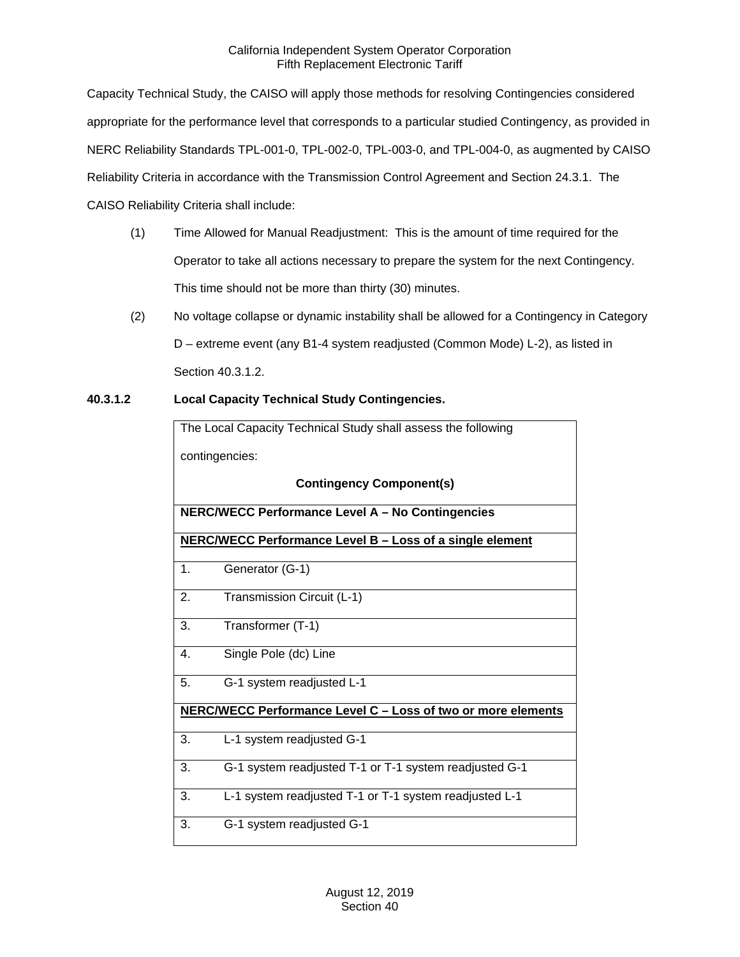Capacity Technical Study, the CAISO will apply those methods for resolving Contingencies considered appropriate for the performance level that corresponds to a particular studied Contingency, as provided in NERC Reliability Standards TPL-001-0, TPL-002-0, TPL-003-0, and TPL-004-0, as augmented by CAISO Reliability Criteria in accordance with the Transmission Control Agreement and Section 24.3.1. The CAISO Reliability Criteria shall include:

- (1) Time Allowed for Manual Readjustment: This is the amount of time required for the Operator to take all actions necessary to prepare the system for the next Contingency. This time should not be more than thirty (30) minutes.
- (2) No voltage collapse or dynamic instability shall be allowed for a Contingency in Category D – extreme event (any B1-4 system readjusted (Common Mode) L-2), as listed in Section 40.3.1.2.
- **40.3.1.2 Local Capacity Technical Study Contingencies.**

| The Local Capacity Technical Study shall assess the following |  |  |
|---------------------------------------------------------------|--|--|
| contingencies:                                                |  |  |
| <b>Contingency Component(s)</b>                               |  |  |
| NERC/WECC Performance Level A - No Contingencies              |  |  |
| NERC/WECC Performance Level B - Loss of a single element      |  |  |
| 1.<br>Generator (G-1)                                         |  |  |
| Transmission Circuit (L-1)<br>2.                              |  |  |
| Transformer (T-1)<br>3.                                       |  |  |
| Single Pole (dc) Line<br>4.                                   |  |  |
| 5.<br>G-1 system readjusted L-1                               |  |  |
| NERC/WECC Performance Level C - Loss of two or more elements  |  |  |
| 3.<br>L-1 system readjusted G-1                               |  |  |
| 3.<br>G-1 system readjusted T-1 or T-1 system readjusted G-1  |  |  |
| 3.<br>L-1 system readjusted T-1 or T-1 system readjusted L-1  |  |  |
| 3.<br>G-1 system readjusted G-1                               |  |  |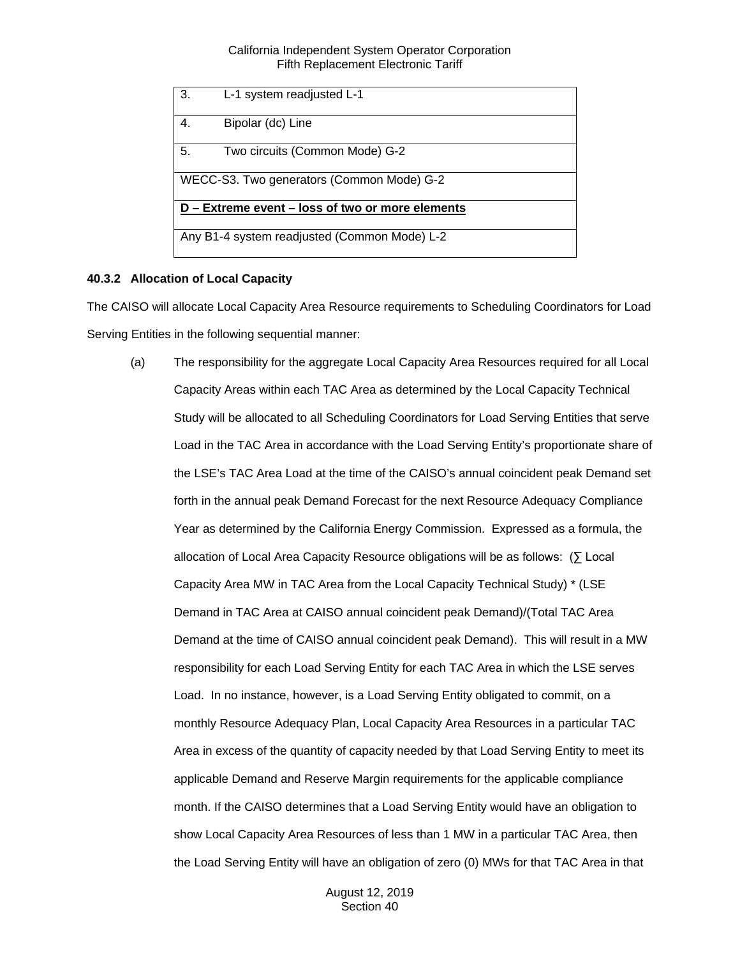| 3.                                               | L-1 system readiusted L-1      |  |
|--------------------------------------------------|--------------------------------|--|
| 4.                                               | Bipolar (dc) Line              |  |
| 5.                                               | Two circuits (Common Mode) G-2 |  |
| WECC-S3. Two generators (Common Mode) G-2        |                                |  |
| D – Extreme event – loss of two or more elements |                                |  |
|                                                  |                                |  |
| Any B1-4 system readjusted (Common Mode) L-2     |                                |  |

## <span id="page-8-0"></span>**40.3.2 Allocation of Local Capacity**

The CAISO will allocate Local Capacity Area Resource requirements to Scheduling Coordinators for Load Serving Entities in the following sequential manner:

(a) The responsibility for the aggregate Local Capacity Area Resources required for all Local Capacity Areas within each TAC Area as determined by the Local Capacity Technical Study will be allocated to all Scheduling Coordinators for Load Serving Entities that serve Load in the TAC Area in accordance with the Load Serving Entity's proportionate share of the LSE's TAC Area Load at the time of the CAISO's annual coincident peak Demand set forth in the annual peak Demand Forecast for the next Resource Adequacy Compliance Year as determined by the California Energy Commission. Expressed as a formula, the allocation of Local Area Capacity Resource obligations will be as follows:  $(\sum$  Local Capacity Area MW in TAC Area from the Local Capacity Technical Study) \* (LSE Demand in TAC Area at CAISO annual coincident peak Demand)/(Total TAC Area Demand at the time of CAISO annual coincident peak Demand). This will result in a MW responsibility for each Load Serving Entity for each TAC Area in which the LSE serves Load. In no instance, however, is a Load Serving Entity obligated to commit, on a monthly Resource Adequacy Plan, Local Capacity Area Resources in a particular TAC Area in excess of the quantity of capacity needed by that Load Serving Entity to meet its applicable Demand and Reserve Margin requirements for the applicable compliance month. If the CAISO determines that a Load Serving Entity would have an obligation to show Local Capacity Area Resources of less than 1 MW in a particular TAC Area, then the Load Serving Entity will have an obligation of zero (0) MWs for that TAC Area in that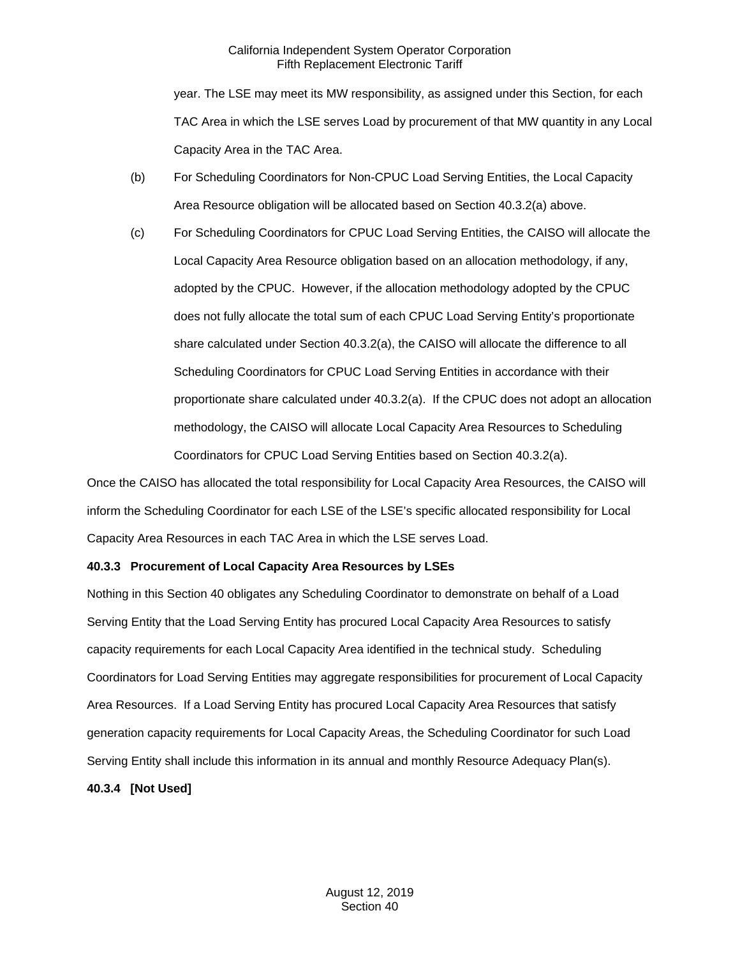year. The LSE may meet its MW responsibility, as assigned under this Section, for each TAC Area in which the LSE serves Load by procurement of that MW quantity in any Local Capacity Area in the TAC Area.

- (b) For Scheduling Coordinators for Non-CPUC Load Serving Entities, the Local Capacity Area Resource obligation will be allocated based on Section 40.3.2(a) above.
- (c) For Scheduling Coordinators for CPUC Load Serving Entities, the CAISO will allocate the Local Capacity Area Resource obligation based on an allocation methodology, if any, adopted by the CPUC. However, if the allocation methodology adopted by the CPUC does not fully allocate the total sum of each CPUC Load Serving Entity's proportionate share calculated under Section 40.3.2(a), the CAISO will allocate the difference to all Scheduling Coordinators for CPUC Load Serving Entities in accordance with their proportionate share calculated under 40.3.2(a). If the CPUC does not adopt an allocation methodology, the CAISO will allocate Local Capacity Area Resources to Scheduling Coordinators for CPUC Load Serving Entities based on Section 40.3.2(a).

Once the CAISO has allocated the total responsibility for Local Capacity Area Resources, the CAISO will inform the Scheduling Coordinator for each LSE of the LSE's specific allocated responsibility for Local Capacity Area Resources in each TAC Area in which the LSE serves Load.

## <span id="page-9-0"></span>**40.3.3 Procurement of Local Capacity Area Resources by LSEs**

Nothing in this Section 40 obligates any Scheduling Coordinator to demonstrate on behalf of a Load Serving Entity that the Load Serving Entity has procured Local Capacity Area Resources to satisfy capacity requirements for each Local Capacity Area identified in the technical study. Scheduling Coordinators for Load Serving Entities may aggregate responsibilities for procurement of Local Capacity Area Resources. If a Load Serving Entity has procured Local Capacity Area Resources that satisfy generation capacity requirements for Local Capacity Areas, the Scheduling Coordinator for such Load Serving Entity shall include this information in its annual and monthly Resource Adequacy Plan(s).

## <span id="page-9-1"></span>**40.3.4 [Not Used]**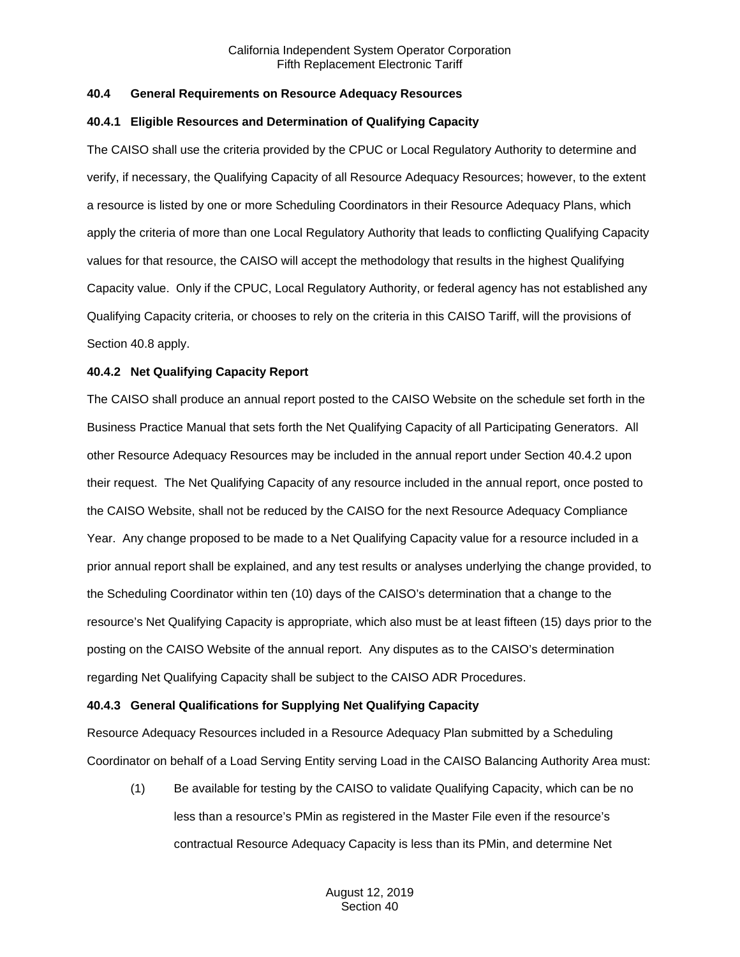## <span id="page-10-0"></span>**40.4 General Requirements on Resource Adequacy Resources**

#### <span id="page-10-1"></span>**40.4.1 Eligible Resources and Determination of Qualifying Capacity**

The CAISO shall use the criteria provided by the CPUC or Local Regulatory Authority to determine and verify, if necessary, the Qualifying Capacity of all Resource Adequacy Resources; however, to the extent a resource is listed by one or more Scheduling Coordinators in their Resource Adequacy Plans, which apply the criteria of more than one Local Regulatory Authority that leads to conflicting Qualifying Capacity values for that resource, the CAISO will accept the methodology that results in the highest Qualifying Capacity value. Only if the CPUC, Local Regulatory Authority, or federal agency has not established any Qualifying Capacity criteria, or chooses to rely on the criteria in this CAISO Tariff, will the provisions of Section 40.8 apply.

#### <span id="page-10-2"></span>**40.4.2 Net Qualifying Capacity Report**

The CAISO shall produce an annual report posted to the CAISO Website on the schedule set forth in the Business Practice Manual that sets forth the Net Qualifying Capacity of all Participating Generators. All other Resource Adequacy Resources may be included in the annual report under Section 40.4.2 upon their request. The Net Qualifying Capacity of any resource included in the annual report, once posted to the CAISO Website, shall not be reduced by the CAISO for the next Resource Adequacy Compliance Year. Any change proposed to be made to a Net Qualifying Capacity value for a resource included in a prior annual report shall be explained, and any test results or analyses underlying the change provided, to the Scheduling Coordinator within ten (10) days of the CAISO's determination that a change to the resource's Net Qualifying Capacity is appropriate, which also must be at least fifteen (15) days prior to the posting on the CAISO Website of the annual report. Any disputes as to the CAISO's determination regarding Net Qualifying Capacity shall be subject to the CAISO ADR Procedures.

#### <span id="page-10-3"></span>**40.4.3 General Qualifications for Supplying Net Qualifying Capacity**

Resource Adequacy Resources included in a Resource Adequacy Plan submitted by a Scheduling Coordinator on behalf of a Load Serving Entity serving Load in the CAISO Balancing Authority Area must:

(1) Be available for testing by the CAISO to validate Qualifying Capacity, which can be no less than a resource's PMin as registered in the Master File even if the resource's contractual Resource Adequacy Capacity is less than its PMin, and determine Net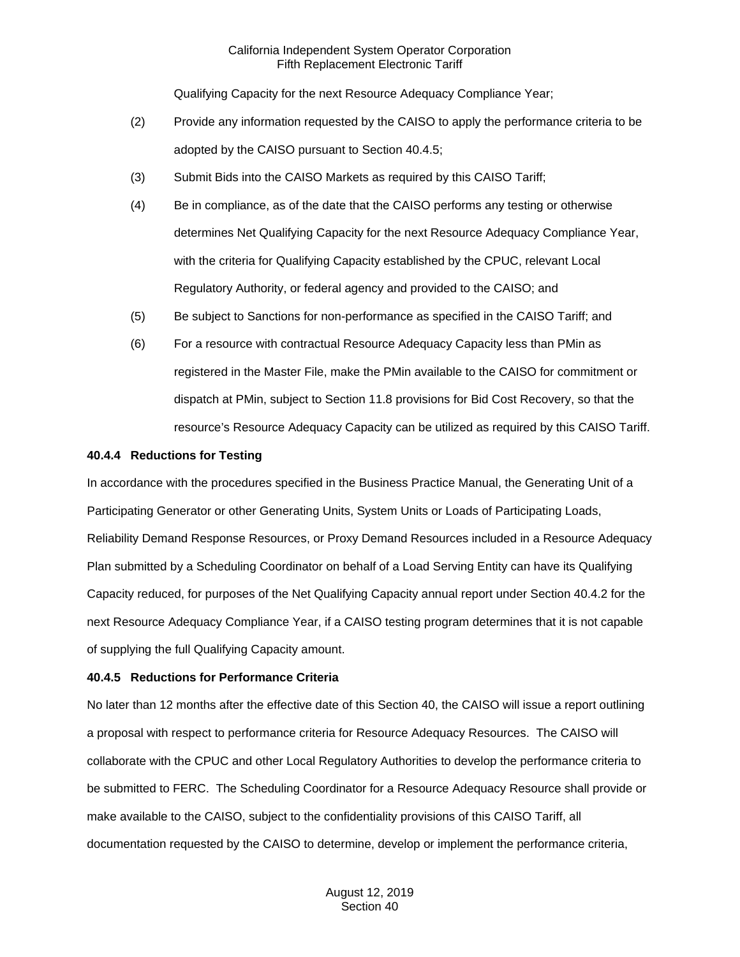Qualifying Capacity for the next Resource Adequacy Compliance Year;

- (2) Provide any information requested by the CAISO to apply the performance criteria to be adopted by the CAISO pursuant to Section 40.4.5;
- (3) Submit Bids into the CAISO Markets as required by this CAISO Tariff;
- (4) Be in compliance, as of the date that the CAISO performs any testing or otherwise determines Net Qualifying Capacity for the next Resource Adequacy Compliance Year, with the criteria for Qualifying Capacity established by the CPUC, relevant Local Regulatory Authority, or federal agency and provided to the CAISO; and
- (5) Be subject to Sanctions for non-performance as specified in the CAISO Tariff; and
- (6) For a resource with contractual Resource Adequacy Capacity less than PMin as registered in the Master File, make the PMin available to the CAISO for commitment or dispatch at PMin, subject to Section 11.8 provisions for Bid Cost Recovery, so that the resource's Resource Adequacy Capacity can be utilized as required by this CAISO Tariff.

#### <span id="page-11-0"></span>**40.4.4 Reductions for Testing**

In accordance with the procedures specified in the Business Practice Manual, the Generating Unit of a Participating Generator or other Generating Units, System Units or Loads of Participating Loads, Reliability Demand Response Resources, or Proxy Demand Resources included in a Resource Adequacy Plan submitted by a Scheduling Coordinator on behalf of a Load Serving Entity can have its Qualifying Capacity reduced, for purposes of the Net Qualifying Capacity annual report under Section 40.4.2 for the next Resource Adequacy Compliance Year, if a CAISO testing program determines that it is not capable of supplying the full Qualifying Capacity amount.

## <span id="page-11-1"></span>**40.4.5 Reductions for Performance Criteria**

No later than 12 months after the effective date of this Section 40, the CAISO will issue a report outlining a proposal with respect to performance criteria for Resource Adequacy Resources. The CAISO will collaborate with the CPUC and other Local Regulatory Authorities to develop the performance criteria to be submitted to FERC. The Scheduling Coordinator for a Resource Adequacy Resource shall provide or make available to the CAISO, subject to the confidentiality provisions of this CAISO Tariff, all documentation requested by the CAISO to determine, develop or implement the performance criteria,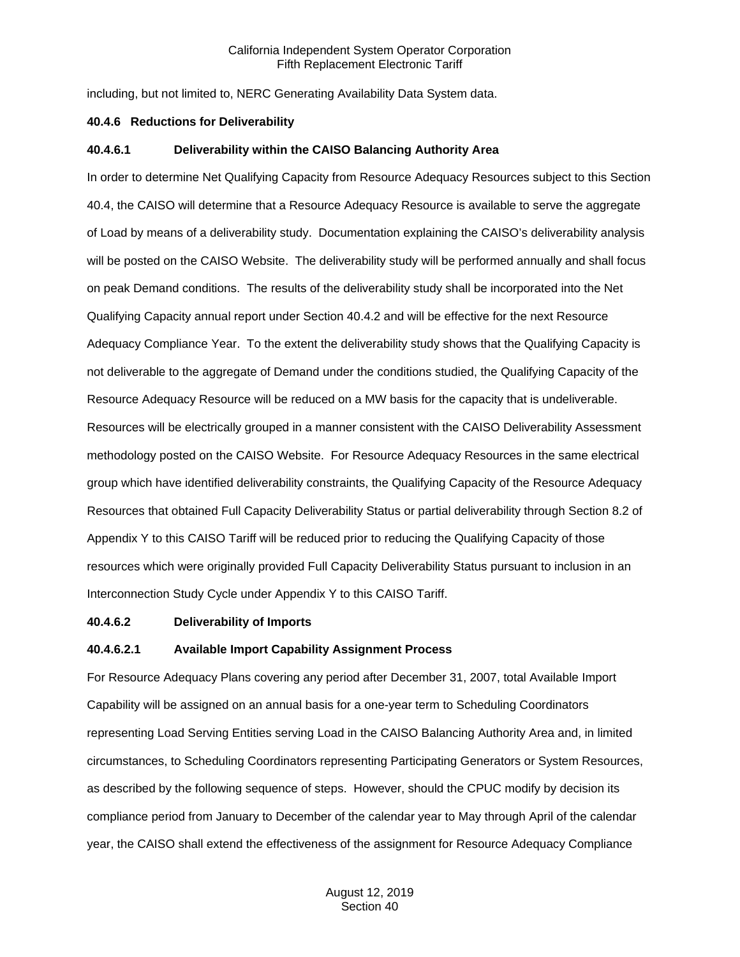including, but not limited to, NERC Generating Availability Data System data.

## <span id="page-12-0"></span>**40.4.6 Reductions for Deliverability**

## **40.4.6.1 Deliverability within the CAISO Balancing Authority Area**

In order to determine Net Qualifying Capacity from Resource Adequacy Resources subject to this Section 40.4, the CAISO will determine that a Resource Adequacy Resource is available to serve the aggregate of Load by means of a deliverability study. Documentation explaining the CAISO's deliverability analysis will be posted on the CAISO Website. The deliverability study will be performed annually and shall focus on peak Demand conditions. The results of the deliverability study shall be incorporated into the Net Qualifying Capacity annual report under Section 40.4.2 and will be effective for the next Resource Adequacy Compliance Year. To the extent the deliverability study shows that the Qualifying Capacity is not deliverable to the aggregate of Demand under the conditions studied, the Qualifying Capacity of the Resource Adequacy Resource will be reduced on a MW basis for the capacity that is undeliverable. Resources will be electrically grouped in a manner consistent with the CAISO Deliverability Assessment methodology posted on the CAISO Website. For Resource Adequacy Resources in the same electrical group which have identified deliverability constraints, the Qualifying Capacity of the Resource Adequacy Resources that obtained Full Capacity Deliverability Status or partial deliverability through Section 8.2 of Appendix Y to this CAISO Tariff will be reduced prior to reducing the Qualifying Capacity of those resources which were originally provided Full Capacity Deliverability Status pursuant to inclusion in an Interconnection Study Cycle under Appendix Y to this CAISO Tariff.

## **40.4.6.2 Deliverability of Imports**

## **40.4.6.2.1 Available Import Capability Assignment Process**

For Resource Adequacy Plans covering any period after December 31, 2007, total Available Import Capability will be assigned on an annual basis for a one-year term to Scheduling Coordinators representing Load Serving Entities serving Load in the CAISO Balancing Authority Area and, in limited circumstances, to Scheduling Coordinators representing Participating Generators or System Resources, as described by the following sequence of steps. However, should the CPUC modify by decision its compliance period from January to December of the calendar year to May through April of the calendar year, the CAISO shall extend the effectiveness of the assignment for Resource Adequacy Compliance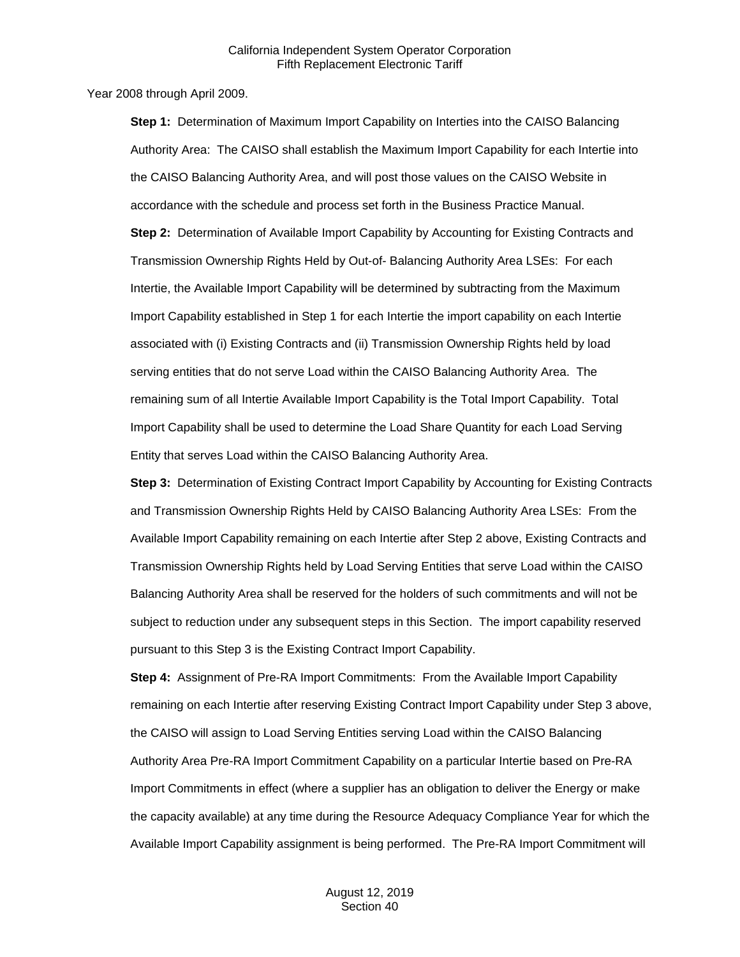Year 2008 through April 2009.

**Step 1:** Determination of Maximum Import Capability on Interties into the CAISO Balancing Authority Area: The CAISO shall establish the Maximum Import Capability for each Intertie into the CAISO Balancing Authority Area, and will post those values on the CAISO Website in accordance with the schedule and process set forth in the Business Practice Manual. **Step 2:** Determination of Available Import Capability by Accounting for Existing Contracts and Transmission Ownership Rights Held by Out-of- Balancing Authority Area LSEs: For each Intertie, the Available Import Capability will be determined by subtracting from the Maximum Import Capability established in Step 1 for each Intertie the import capability on each Intertie associated with (i) Existing Contracts and (ii) Transmission Ownership Rights held by load serving entities that do not serve Load within the CAISO Balancing Authority Area. The remaining sum of all Intertie Available Import Capability is the Total Import Capability. Total Import Capability shall be used to determine the Load Share Quantity for each Load Serving Entity that serves Load within the CAISO Balancing Authority Area.

**Step 3:** Determination of Existing Contract Import Capability by Accounting for Existing Contracts and Transmission Ownership Rights Held by CAISO Balancing Authority Area LSEs: From the Available Import Capability remaining on each Intertie after Step 2 above, Existing Contracts and Transmission Ownership Rights held by Load Serving Entities that serve Load within the CAISO Balancing Authority Area shall be reserved for the holders of such commitments and will not be subject to reduction under any subsequent steps in this Section. The import capability reserved pursuant to this Step 3 is the Existing Contract Import Capability.

**Step 4:** Assignment of Pre-RA Import Commitments: From the Available Import Capability remaining on each Intertie after reserving Existing Contract Import Capability under Step 3 above, the CAISO will assign to Load Serving Entities serving Load within the CAISO Balancing Authority Area Pre-RA Import Commitment Capability on a particular Intertie based on Pre-RA Import Commitments in effect (where a supplier has an obligation to deliver the Energy or make the capacity available) at any time during the Resource Adequacy Compliance Year for which the Available Import Capability assignment is being performed. The Pre-RA Import Commitment will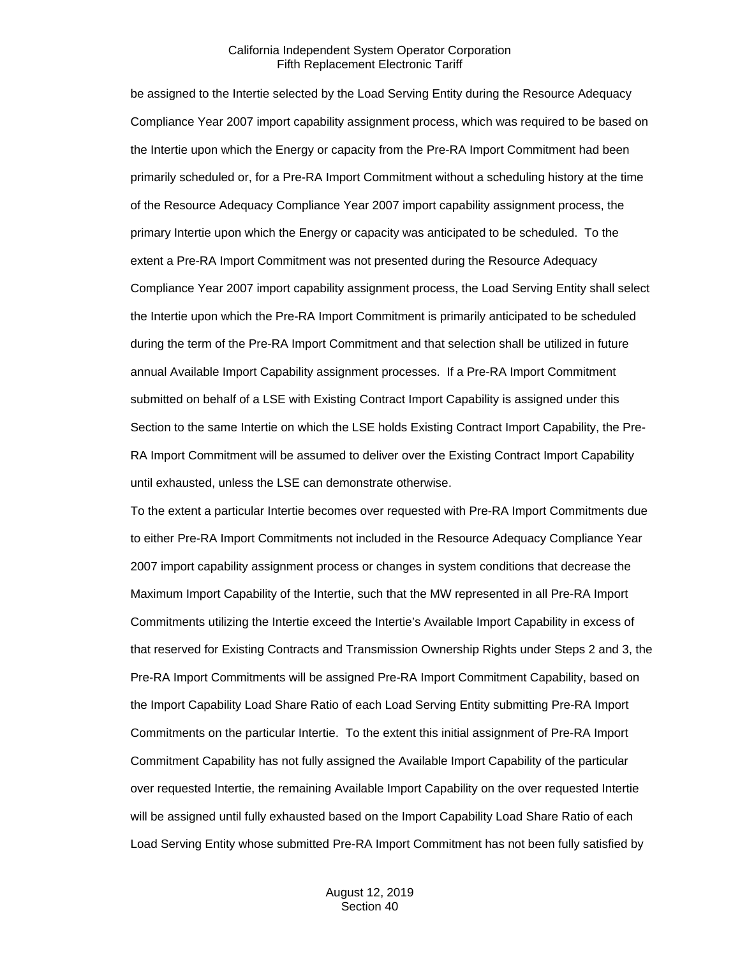be assigned to the Intertie selected by the Load Serving Entity during the Resource Adequacy Compliance Year 2007 import capability assignment process, which was required to be based on the Intertie upon which the Energy or capacity from the Pre-RA Import Commitment had been primarily scheduled or, for a Pre-RA Import Commitment without a scheduling history at the time of the Resource Adequacy Compliance Year 2007 import capability assignment process, the primary Intertie upon which the Energy or capacity was anticipated to be scheduled. To the extent a Pre-RA Import Commitment was not presented during the Resource Adequacy Compliance Year 2007 import capability assignment process, the Load Serving Entity shall select the Intertie upon which the Pre-RA Import Commitment is primarily anticipated to be scheduled during the term of the Pre-RA Import Commitment and that selection shall be utilized in future annual Available Import Capability assignment processes. If a Pre-RA Import Commitment submitted on behalf of a LSE with Existing Contract Import Capability is assigned under this Section to the same Intertie on which the LSE holds Existing Contract Import Capability, the Pre-RA Import Commitment will be assumed to deliver over the Existing Contract Import Capability until exhausted, unless the LSE can demonstrate otherwise.

To the extent a particular Intertie becomes over requested with Pre-RA Import Commitments due to either Pre-RA Import Commitments not included in the Resource Adequacy Compliance Year 2007 import capability assignment process or changes in system conditions that decrease the Maximum Import Capability of the Intertie, such that the MW represented in all Pre-RA Import Commitments utilizing the Intertie exceed the Intertie's Available Import Capability in excess of that reserved for Existing Contracts and Transmission Ownership Rights under Steps 2 and 3, the Pre-RA Import Commitments will be assigned Pre-RA Import Commitment Capability, based on the Import Capability Load Share Ratio of each Load Serving Entity submitting Pre-RA Import Commitments on the particular Intertie. To the extent this initial assignment of Pre-RA Import Commitment Capability has not fully assigned the Available Import Capability of the particular over requested Intertie, the remaining Available Import Capability on the over requested Intertie will be assigned until fully exhausted based on the Import Capability Load Share Ratio of each Load Serving Entity whose submitted Pre-RA Import Commitment has not been fully satisfied by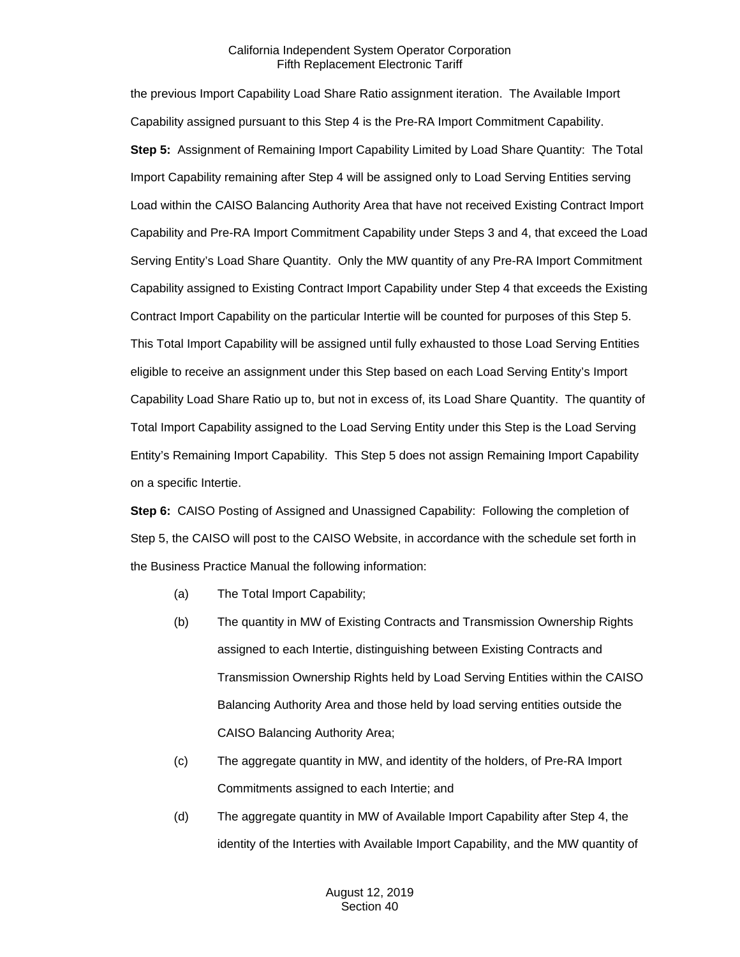the previous Import Capability Load Share Ratio assignment iteration. The Available Import Capability assigned pursuant to this Step 4 is the Pre-RA Import Commitment Capability. **Step 5:** Assignment of Remaining Import Capability Limited by Load Share Quantity: The Total Import Capability remaining after Step 4 will be assigned only to Load Serving Entities serving Load within the CAISO Balancing Authority Area that have not received Existing Contract Import Capability and Pre-RA Import Commitment Capability under Steps 3 and 4, that exceed the Load Serving Entity's Load Share Quantity. Only the MW quantity of any Pre-RA Import Commitment Capability assigned to Existing Contract Import Capability under Step 4 that exceeds the Existing Contract Import Capability on the particular Intertie will be counted for purposes of this Step 5. This Total Import Capability will be assigned until fully exhausted to those Load Serving Entities eligible to receive an assignment under this Step based on each Load Serving Entity's Import Capability Load Share Ratio up to, but not in excess of, its Load Share Quantity. The quantity of Total Import Capability assigned to the Load Serving Entity under this Step is the Load Serving Entity's Remaining Import Capability. This Step 5 does not assign Remaining Import Capability on a specific Intertie.

**Step 6:** CAISO Posting of Assigned and Unassigned Capability: Following the completion of Step 5, the CAISO will post to the CAISO Website, in accordance with the schedule set forth in the Business Practice Manual the following information:

- (a) The Total Import Capability;
- (b) The quantity in MW of Existing Contracts and Transmission Ownership Rights assigned to each Intertie, distinguishing between Existing Contracts and Transmission Ownership Rights held by Load Serving Entities within the CAISO Balancing Authority Area and those held by load serving entities outside the CAISO Balancing Authority Area;
- (c) The aggregate quantity in MW, and identity of the holders, of Pre-RA Import Commitments assigned to each Intertie; and
- (d) The aggregate quantity in MW of Available Import Capability after Step 4, the identity of the Interties with Available Import Capability, and the MW quantity of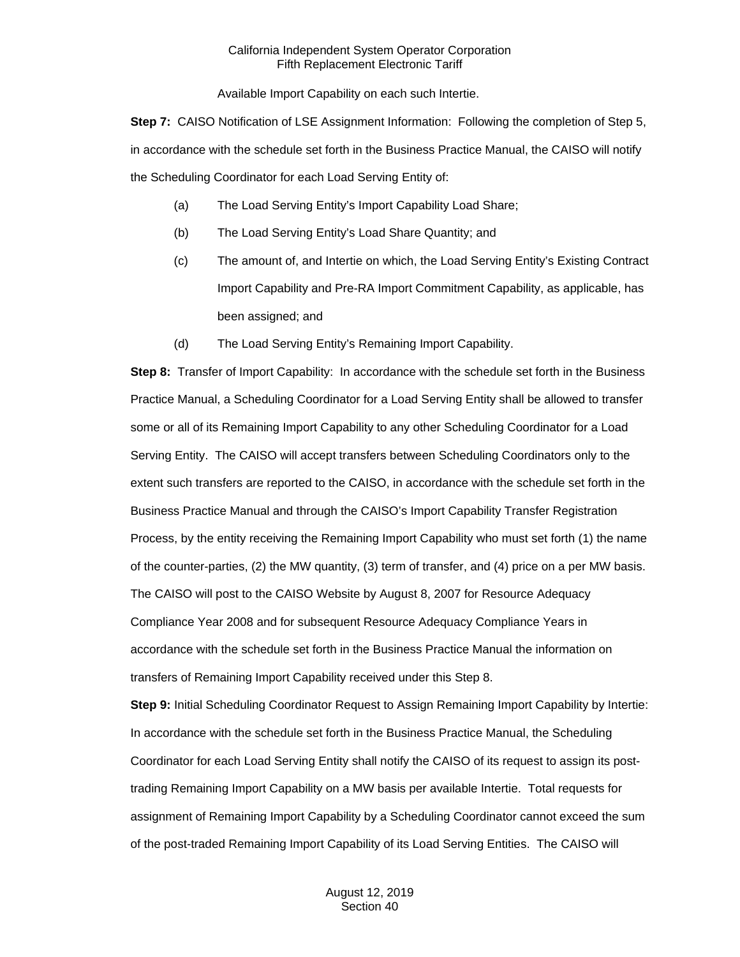Available Import Capability on each such Intertie.

**Step 7:** CAISO Notification of LSE Assignment Information: Following the completion of Step 5, in accordance with the schedule set forth in the Business Practice Manual, the CAISO will notify the Scheduling Coordinator for each Load Serving Entity of:

- (a) The Load Serving Entity's Import Capability Load Share;
- (b) The Load Serving Entity's Load Share Quantity; and
- (c) The amount of, and Intertie on which, the Load Serving Entity's Existing Contract Import Capability and Pre-RA Import Commitment Capability, as applicable, has been assigned; and
- (d) The Load Serving Entity's Remaining Import Capability.

**Step 8:** Transfer of Import Capability: In accordance with the schedule set forth in the Business Practice Manual, a Scheduling Coordinator for a Load Serving Entity shall be allowed to transfer some or all of its Remaining Import Capability to any other Scheduling Coordinator for a Load Serving Entity. The CAISO will accept transfers between Scheduling Coordinators only to the extent such transfers are reported to the CAISO, in accordance with the schedule set forth in the Business Practice Manual and through the CAISO's Import Capability Transfer Registration Process, by the entity receiving the Remaining Import Capability who must set forth (1) the name of the counter-parties, (2) the MW quantity, (3) term of transfer, and (4) price on a per MW basis. The CAISO will post to the CAISO Website by August 8, 2007 for Resource Adequacy Compliance Year 2008 and for subsequent Resource Adequacy Compliance Years in accordance with the schedule set forth in the Business Practice Manual the information on transfers of Remaining Import Capability received under this Step 8.

**Step 9:** Initial Scheduling Coordinator Request to Assign Remaining Import Capability by Intertie: In accordance with the schedule set forth in the Business Practice Manual, the Scheduling Coordinator for each Load Serving Entity shall notify the CAISO of its request to assign its posttrading Remaining Import Capability on a MW basis per available Intertie. Total requests for assignment of Remaining Import Capability by a Scheduling Coordinator cannot exceed the sum of the post-traded Remaining Import Capability of its Load Serving Entities. The CAISO will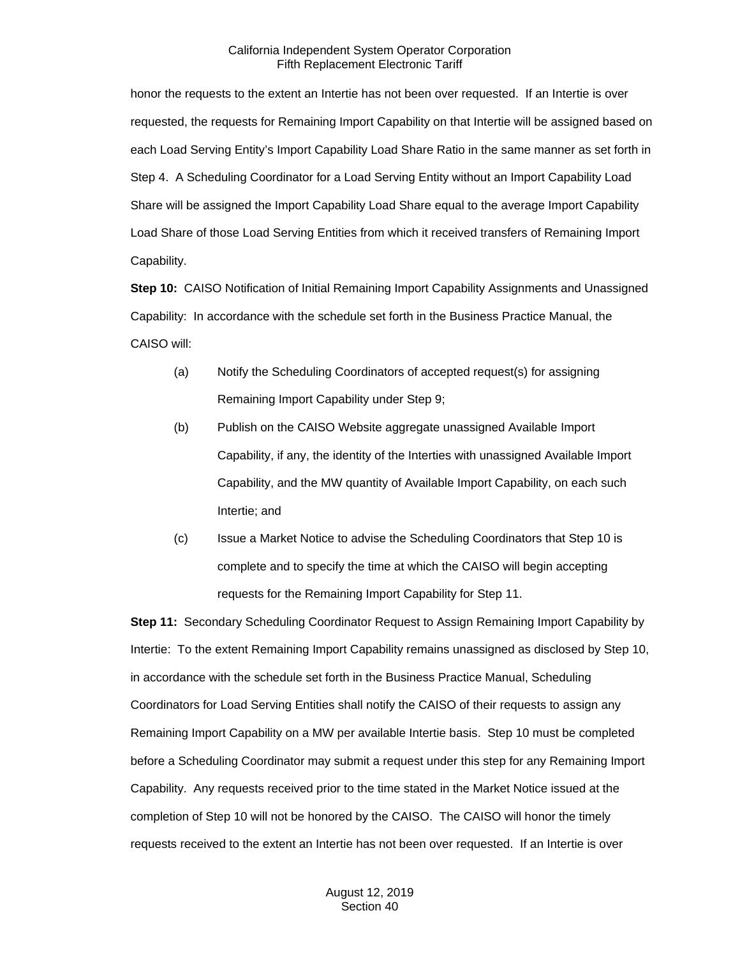honor the requests to the extent an Intertie has not been over requested. If an Intertie is over requested, the requests for Remaining Import Capability on that Intertie will be assigned based on each Load Serving Entity's Import Capability Load Share Ratio in the same manner as set forth in Step 4. A Scheduling Coordinator for a Load Serving Entity without an Import Capability Load Share will be assigned the Import Capability Load Share equal to the average Import Capability Load Share of those Load Serving Entities from which it received transfers of Remaining Import Capability.

**Step 10:** CAISO Notification of Initial Remaining Import Capability Assignments and Unassigned Capability: In accordance with the schedule set forth in the Business Practice Manual, the CAISO will:

- (a) Notify the Scheduling Coordinators of accepted request(s) for assigning Remaining Import Capability under Step 9;
- (b) Publish on the CAISO Website aggregate unassigned Available Import Capability, if any, the identity of the Interties with unassigned Available Import Capability, and the MW quantity of Available Import Capability, on each such Intertie; and
- (c) Issue a Market Notice to advise the Scheduling Coordinators that Step 10 is complete and to specify the time at which the CAISO will begin accepting requests for the Remaining Import Capability for Step 11.

**Step 11:** Secondary Scheduling Coordinator Request to Assign Remaining Import Capability by Intertie: To the extent Remaining Import Capability remains unassigned as disclosed by Step 10, in accordance with the schedule set forth in the Business Practice Manual, Scheduling Coordinators for Load Serving Entities shall notify the CAISO of their requests to assign any Remaining Import Capability on a MW per available Intertie basis. Step 10 must be completed before a Scheduling Coordinator may submit a request under this step for any Remaining Import Capability. Any requests received prior to the time stated in the Market Notice issued at the completion of Step 10 will not be honored by the CAISO. The CAISO will honor the timely requests received to the extent an Intertie has not been over requested. If an Intertie is over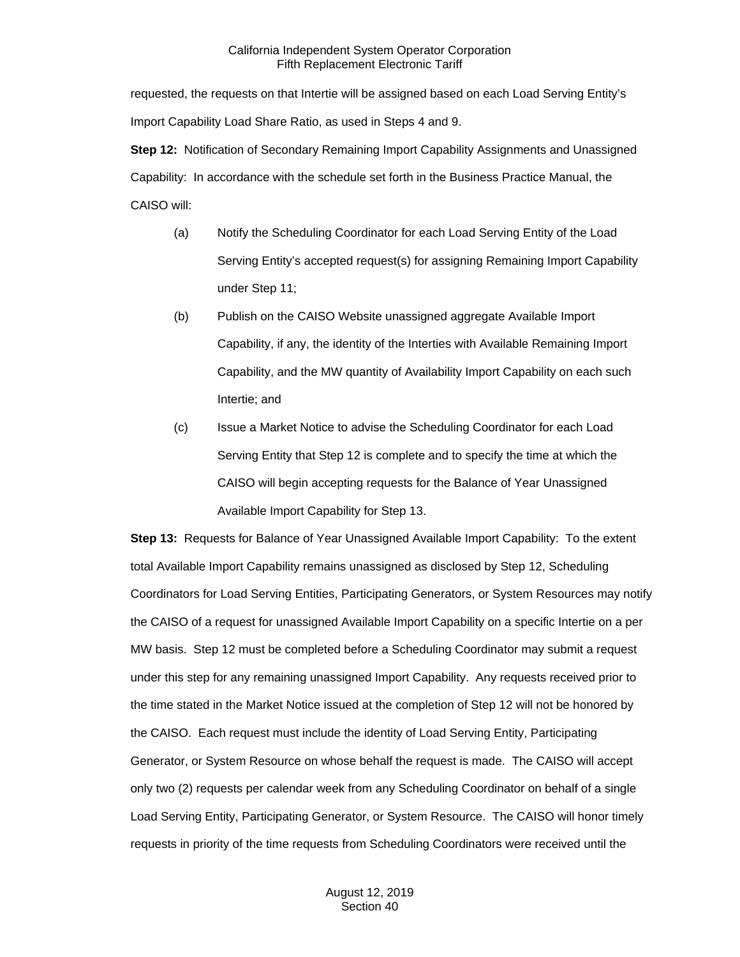requested, the requests on that Intertie will be assigned based on each Load Serving Entity's Import Capability Load Share Ratio, as used in Steps 4 and 9.

**Step 12:** Notification of Secondary Remaining Import Capability Assignments and Unassigned Capability: In accordance with the schedule set forth in the Business Practice Manual, the CAISO will:

- (a) Notify the Scheduling Coordinator for each Load Serving Entity of the Load Serving Entity's accepted request(s) for assigning Remaining Import Capability under Step 11;
- (b) Publish on the CAISO Website unassigned aggregate Available Import Capability, if any, the identity of the Interties with Available Remaining Import Capability, and the MW quantity of Availability Import Capability on each such Intertie; and
- (c) Issue a Market Notice to advise the Scheduling Coordinator for each Load Serving Entity that Step 12 is complete and to specify the time at which the CAISO will begin accepting requests for the Balance of Year Unassigned Available Import Capability for Step 13.

**Step 13:** Requests for Balance of Year Unassigned Available Import Capability: To the extent total Available Import Capability remains unassigned as disclosed by Step 12, Scheduling Coordinators for Load Serving Entities, Participating Generators, or System Resources may notify the CAISO of a request for unassigned Available Import Capability on a specific Intertie on a per MW basis. Step 12 must be completed before a Scheduling Coordinator may submit a request under this step for any remaining unassigned Import Capability. Any requests received prior to the time stated in the Market Notice issued at the completion of Step 12 will not be honored by the CAISO. Each request must include the identity of Load Serving Entity, Participating Generator, or System Resource on whose behalf the request is made. The CAISO will accept only two (2) requests per calendar week from any Scheduling Coordinator on behalf of a single Load Serving Entity, Participating Generator, or System Resource. The CAISO will honor timely requests in priority of the time requests from Scheduling Coordinators were received until the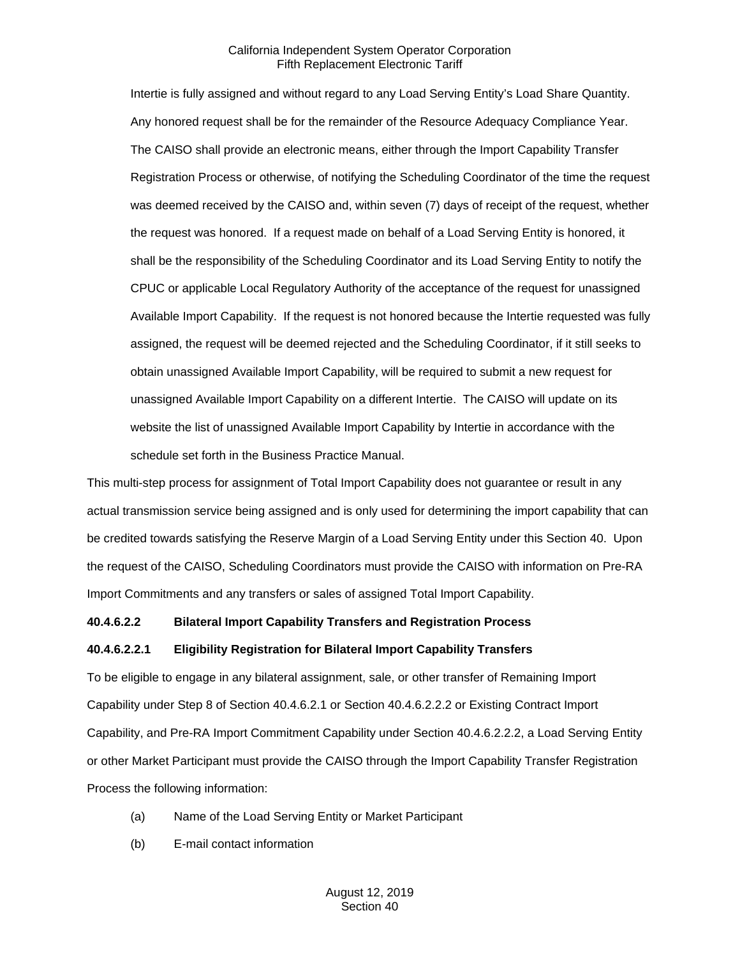Intertie is fully assigned and without regard to any Load Serving Entity's Load Share Quantity. Any honored request shall be for the remainder of the Resource Adequacy Compliance Year. The CAISO shall provide an electronic means, either through the Import Capability Transfer Registration Process or otherwise, of notifying the Scheduling Coordinator of the time the request was deemed received by the CAISO and, within seven (7) days of receipt of the request, whether the request was honored. If a request made on behalf of a Load Serving Entity is honored, it shall be the responsibility of the Scheduling Coordinator and its Load Serving Entity to notify the CPUC or applicable Local Regulatory Authority of the acceptance of the request for unassigned Available Import Capability. If the request is not honored because the Intertie requested was fully assigned, the request will be deemed rejected and the Scheduling Coordinator, if it still seeks to obtain unassigned Available Import Capability, will be required to submit a new request for unassigned Available Import Capability on a different Intertie. The CAISO will update on its website the list of unassigned Available Import Capability by Intertie in accordance with the schedule set forth in the Business Practice Manual.

This multi-step process for assignment of Total Import Capability does not guarantee or result in any actual transmission service being assigned and is only used for determining the import capability that can be credited towards satisfying the Reserve Margin of a Load Serving Entity under this Section 40. Upon the request of the CAISO, Scheduling Coordinators must provide the CAISO with information on Pre-RA Import Commitments and any transfers or sales of assigned Total Import Capability.

#### **40.4.6.2.2 Bilateral Import Capability Transfers and Registration Process**

#### **40.4.6.2.2.1 Eligibility Registration for Bilateral Import Capability Transfers**

To be eligible to engage in any bilateral assignment, sale, or other transfer of Remaining Import Capability under Step 8 of Section 40.4.6.2.1 or Section 40.4.6.2.2.2 or Existing Contract Import Capability, and Pre-RA Import Commitment Capability under Section 40.4.6.2.2.2, a Load Serving Entity or other Market Participant must provide the CAISO through the Import Capability Transfer Registration Process the following information:

- (a) Name of the Load Serving Entity or Market Participant
- (b) E-mail contact information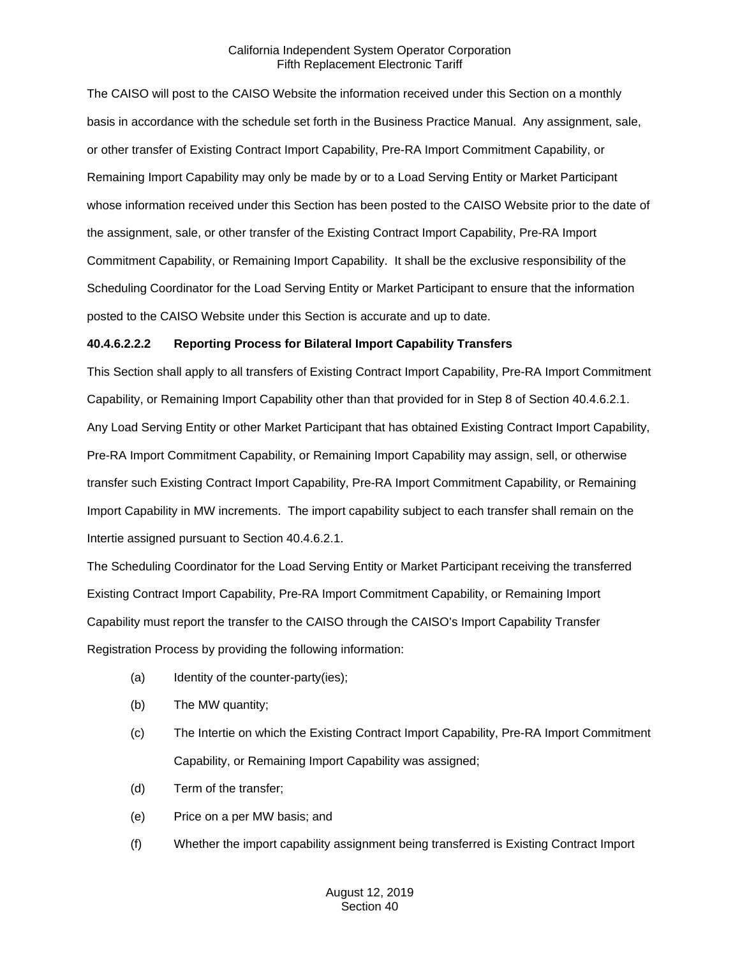The CAISO will post to the CAISO Website the information received under this Section on a monthly basis in accordance with the schedule set forth in the Business Practice Manual. Any assignment, sale, or other transfer of Existing Contract Import Capability, Pre-RA Import Commitment Capability, or Remaining Import Capability may only be made by or to a Load Serving Entity or Market Participant whose information received under this Section has been posted to the CAISO Website prior to the date of the assignment, sale, or other transfer of the Existing Contract Import Capability, Pre-RA Import Commitment Capability, or Remaining Import Capability. It shall be the exclusive responsibility of the Scheduling Coordinator for the Load Serving Entity or Market Participant to ensure that the information posted to the CAISO Website under this Section is accurate and up to date.

## **40.4.6.2.2.2 Reporting Process for Bilateral Import Capability Transfers**

This Section shall apply to all transfers of Existing Contract Import Capability, Pre-RA Import Commitment Capability, or Remaining Import Capability other than that provided for in Step 8 of Section 40.4.6.2.1. Any Load Serving Entity or other Market Participant that has obtained Existing Contract Import Capability, Pre-RA Import Commitment Capability, or Remaining Import Capability may assign, sell, or otherwise transfer such Existing Contract Import Capability, Pre-RA Import Commitment Capability, or Remaining Import Capability in MW increments. The import capability subject to each transfer shall remain on the Intertie assigned pursuant to Section 40.4.6.2.1.

The Scheduling Coordinator for the Load Serving Entity or Market Participant receiving the transferred Existing Contract Import Capability, Pre-RA Import Commitment Capability, or Remaining Import Capability must report the transfer to the CAISO through the CAISO's Import Capability Transfer Registration Process by providing the following information:

- (a) Identity of the counter-party(ies);
- (b) The MW quantity;
- (c) The Intertie on which the Existing Contract Import Capability, Pre-RA Import Commitment Capability, or Remaining Import Capability was assigned;
- (d) Term of the transfer;
- (e) Price on a per MW basis; and
- (f) Whether the import capability assignment being transferred is Existing Contract Import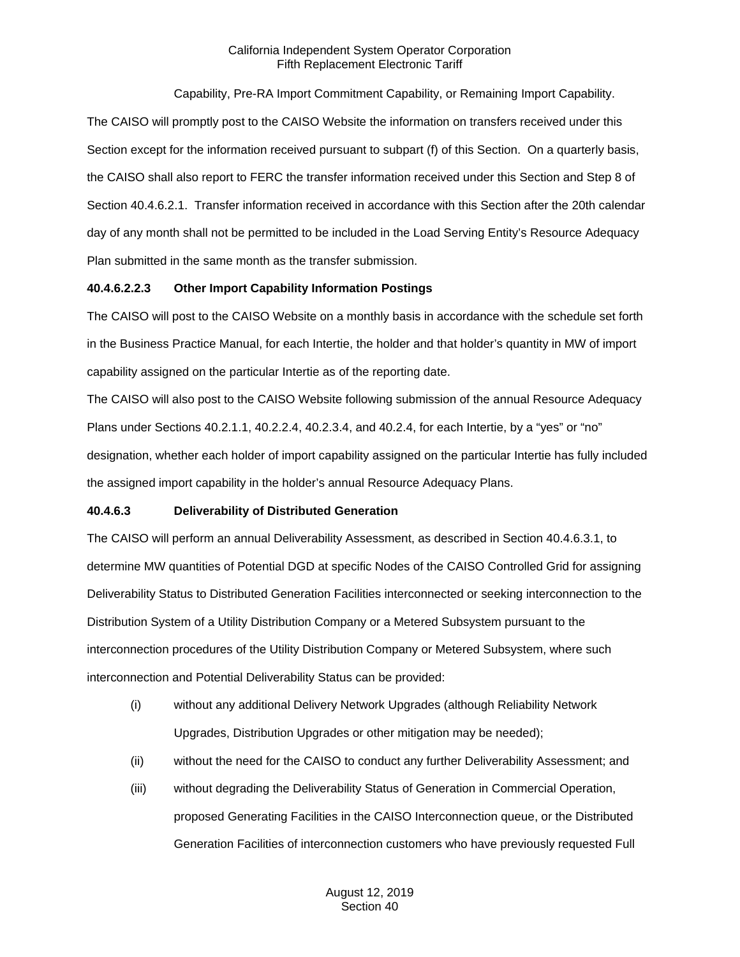## Capability, Pre-RA Import Commitment Capability, or Remaining Import Capability.

The CAISO will promptly post to the CAISO Website the information on transfers received under this Section except for the information received pursuant to subpart (f) of this Section. On a quarterly basis, the CAISO shall also report to FERC the transfer information received under this Section and Step 8 of Section 40.4.6.2.1. Transfer information received in accordance with this Section after the 20th calendar day of any month shall not be permitted to be included in the Load Serving Entity's Resource Adequacy Plan submitted in the same month as the transfer submission.

## **40.4.6.2.2.3 Other Import Capability Information Postings**

The CAISO will post to the CAISO Website on a monthly basis in accordance with the schedule set forth in the Business Practice Manual, for each Intertie, the holder and that holder's quantity in MW of import capability assigned on the particular Intertie as of the reporting date.

The CAISO will also post to the CAISO Website following submission of the annual Resource Adequacy Plans under Sections 40.2.1.1, 40.2.2.4, 40.2.3.4, and 40.2.4, for each Intertie, by a "yes" or "no" designation, whether each holder of import capability assigned on the particular Intertie has fully included the assigned import capability in the holder's annual Resource Adequacy Plans.

## **40.4.6.3 Deliverability of Distributed Generation**

The CAISO will perform an annual Deliverability Assessment, as described in Section 40.4.6.3.1, to determine MW quantities of Potential DGD at specific Nodes of the CAISO Controlled Grid for assigning Deliverability Status to Distributed Generation Facilities interconnected or seeking interconnection to the Distribution System of a Utility Distribution Company or a Metered Subsystem pursuant to the interconnection procedures of the Utility Distribution Company or Metered Subsystem, where such interconnection and Potential Deliverability Status can be provided:

- (i) without any additional Delivery Network Upgrades (although Reliability Network Upgrades, Distribution Upgrades or other mitigation may be needed);
- (ii) without the need for the CAISO to conduct any further Deliverability Assessment; and
- (iii) without degrading the Deliverability Status of Generation in Commercial Operation, proposed Generating Facilities in the CAISO Interconnection queue, or the Distributed Generation Facilities of interconnection customers who have previously requested Full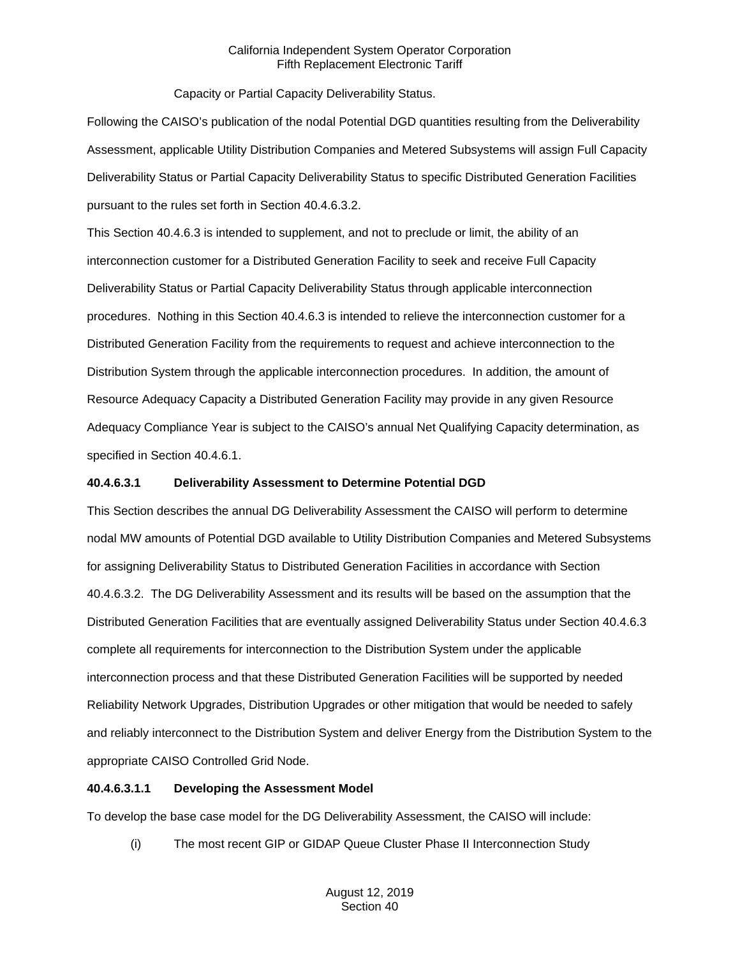Capacity or Partial Capacity Deliverability Status.

Following the CAISO's publication of the nodal Potential DGD quantities resulting from the Deliverability Assessment, applicable Utility Distribution Companies and Metered Subsystems will assign Full Capacity Deliverability Status or Partial Capacity Deliverability Status to specific Distributed Generation Facilities pursuant to the rules set forth in Section 40.4.6.3.2.

This Section 40.4.6.3 is intended to supplement, and not to preclude or limit, the ability of an interconnection customer for a Distributed Generation Facility to seek and receive Full Capacity Deliverability Status or Partial Capacity Deliverability Status through applicable interconnection procedures. Nothing in this Section 40.4.6.3 is intended to relieve the interconnection customer for a Distributed Generation Facility from the requirements to request and achieve interconnection to the Distribution System through the applicable interconnection procedures. In addition, the amount of Resource Adequacy Capacity a Distributed Generation Facility may provide in any given Resource Adequacy Compliance Year is subject to the CAISO's annual Net Qualifying Capacity determination, as specified in Section 40.4.6.1.

## **40.4.6.3.1 Deliverability Assessment to Determine Potential DGD**

This Section describes the annual DG Deliverability Assessment the CAISO will perform to determine nodal MW amounts of Potential DGD available to Utility Distribution Companies and Metered Subsystems for assigning Deliverability Status to Distributed Generation Facilities in accordance with Section 40.4.6.3.2. The DG Deliverability Assessment and its results will be based on the assumption that the Distributed Generation Facilities that are eventually assigned Deliverability Status under Section 40.4.6.3 complete all requirements for interconnection to the Distribution System under the applicable interconnection process and that these Distributed Generation Facilities will be supported by needed Reliability Network Upgrades, Distribution Upgrades or other mitigation that would be needed to safely and reliably interconnect to the Distribution System and deliver Energy from the Distribution System to the appropriate CAISO Controlled Grid Node.

## **40.4.6.3.1.1 Developing the Assessment Model**

To develop the base case model for the DG Deliverability Assessment, the CAISO will include:

(i) The most recent GIP or GIDAP Queue Cluster Phase II Interconnection Study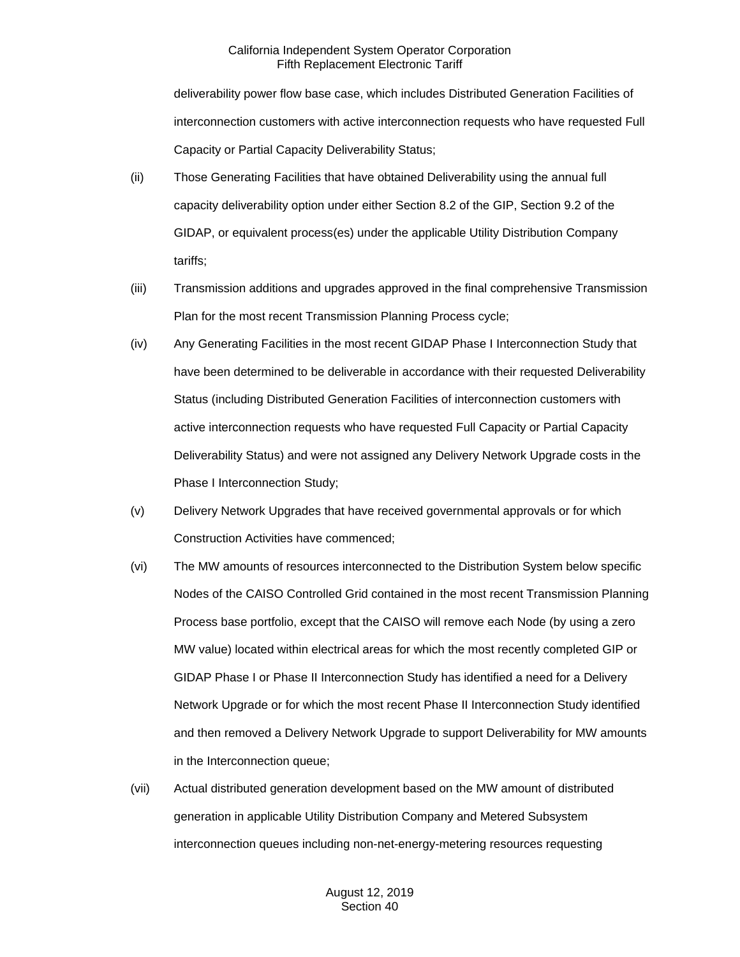deliverability power flow base case, which includes Distributed Generation Facilities of interconnection customers with active interconnection requests who have requested Full Capacity or Partial Capacity Deliverability Status;

- (ii) Those Generating Facilities that have obtained Deliverability using the annual full capacity deliverability option under either Section 8.2 of the GIP, Section 9.2 of the GIDAP, or equivalent process(es) under the applicable Utility Distribution Company tariffs;
- (iii) Transmission additions and upgrades approved in the final comprehensive Transmission Plan for the most recent Transmission Planning Process cycle;
- (iv) Any Generating Facilities in the most recent GIDAP Phase I Interconnection Study that have been determined to be deliverable in accordance with their requested Deliverability Status (including Distributed Generation Facilities of interconnection customers with active interconnection requests who have requested Full Capacity or Partial Capacity Deliverability Status) and were not assigned any Delivery Network Upgrade costs in the Phase I Interconnection Study;
- (v) Delivery Network Upgrades that have received governmental approvals or for which Construction Activities have commenced;
- (vi) The MW amounts of resources interconnected to the Distribution System below specific Nodes of the CAISO Controlled Grid contained in the most recent Transmission Planning Process base portfolio, except that the CAISO will remove each Node (by using a zero MW value) located within electrical areas for which the most recently completed GIP or GIDAP Phase I or Phase II Interconnection Study has identified a need for a Delivery Network Upgrade or for which the most recent Phase II Interconnection Study identified and then removed a Delivery Network Upgrade to support Deliverability for MW amounts in the Interconnection queue;
- (vii) Actual distributed generation development based on the MW amount of distributed generation in applicable Utility Distribution Company and Metered Subsystem interconnection queues including non-net-energy-metering resources requesting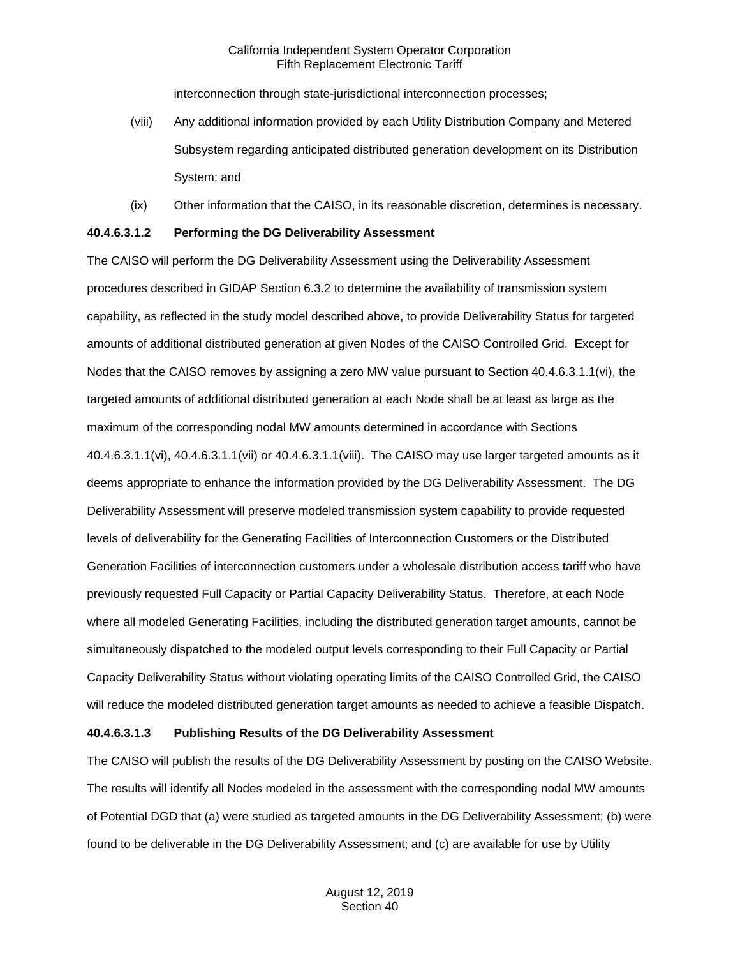interconnection through state-jurisdictional interconnection processes;

- (viii) Any additional information provided by each Utility Distribution Company and Metered Subsystem regarding anticipated distributed generation development on its Distribution System; and
- (ix) Other information that the CAISO, in its reasonable discretion, determines is necessary.

### **40.4.6.3.1.2 Performing the DG Deliverability Assessment**

The CAISO will perform the DG Deliverability Assessment using the Deliverability Assessment procedures described in GIDAP Section 6.3.2 to determine the availability of transmission system capability, as reflected in the study model described above, to provide Deliverability Status for targeted amounts of additional distributed generation at given Nodes of the CAISO Controlled Grid. Except for Nodes that the CAISO removes by assigning a zero MW value pursuant to Section 40.4.6.3.1.1(vi), the targeted amounts of additional distributed generation at each Node shall be at least as large as the maximum of the corresponding nodal MW amounts determined in accordance with Sections 40.4.6.3.1.1(vi), 40.4.6.3.1.1(vii) or 40.4.6.3.1.1(viii). The CAISO may use larger targeted amounts as it deems appropriate to enhance the information provided by the DG Deliverability Assessment. The DG Deliverability Assessment will preserve modeled transmission system capability to provide requested levels of deliverability for the Generating Facilities of Interconnection Customers or the Distributed Generation Facilities of interconnection customers under a wholesale distribution access tariff who have previously requested Full Capacity or Partial Capacity Deliverability Status. Therefore, at each Node where all modeled Generating Facilities, including the distributed generation target amounts, cannot be simultaneously dispatched to the modeled output levels corresponding to their Full Capacity or Partial Capacity Deliverability Status without violating operating limits of the CAISO Controlled Grid, the CAISO will reduce the modeled distributed generation target amounts as needed to achieve a feasible Dispatch.

## **40.4.6.3.1.3 Publishing Results of the DG Deliverability Assessment**

The CAISO will publish the results of the DG Deliverability Assessment by posting on the CAISO Website. The results will identify all Nodes modeled in the assessment with the corresponding nodal MW amounts of Potential DGD that (a) were studied as targeted amounts in the DG Deliverability Assessment; (b) were found to be deliverable in the DG Deliverability Assessment; and (c) are available for use by Utility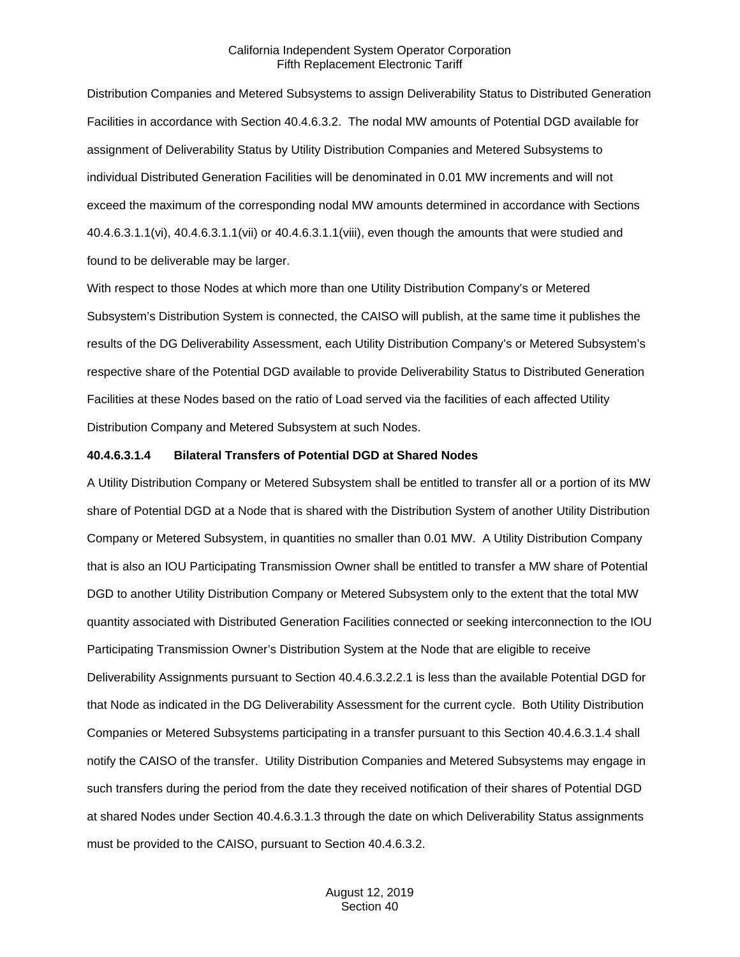Distribution Companies and Metered Subsystems to assign Deliverability Status to Distributed Generation Facilities in accordance with Section 40.4.6.3.2. The nodal MW amounts of Potential DGD available for assignment of Deliverability Status by Utility Distribution Companies and Metered Subsystems to individual Distributed Generation Facilities will be denominated in 0.01 MW increments and will not exceed the maximum of the corresponding nodal MW amounts determined in accordance with Sections 40.4.6.3.1.1(vi), 40.4.6.3.1.1(vii) or 40.4.6.3.1.1(viii), even though the amounts that were studied and found to be deliverable may be larger.

With respect to those Nodes at which more than one Utility Distribution Company's or Metered Subsystem's Distribution System is connected, the CAISO will publish, at the same time it publishes the results of the DG Deliverability Assessment, each Utility Distribution Company's or Metered Subsystem's respective share of the Potential DGD available to provide Deliverability Status to Distributed Generation Facilities at these Nodes based on the ratio of Load served via the facilities of each affected Utility Distribution Company and Metered Subsystem at such Nodes.

#### **40.4.6.3.1.4 Bilateral Transfers of Potential DGD at Shared Nodes**

A Utility Distribution Company or Metered Subsystem shall be entitled to transfer all or a portion of its MW share of Potential DGD at a Node that is shared with the Distribution System of another Utility Distribution Company or Metered Subsystem, in quantities no smaller than 0.01 MW. A Utility Distribution Company that is also an IOU Participating Transmission Owner shall be entitled to transfer a MW share of Potential DGD to another Utility Distribution Company or Metered Subsystem only to the extent that the total MW quantity associated with Distributed Generation Facilities connected or seeking interconnection to the IOU Participating Transmission Owner's Distribution System at the Node that are eligible to receive Deliverability Assignments pursuant to Section 40.4.6.3.2.2.1 is less than the available Potential DGD for that Node as indicated in the DG Deliverability Assessment for the current cycle. Both Utility Distribution Companies or Metered Subsystems participating in a transfer pursuant to this Section 40.4.6.3.1.4 shall notify the CAISO of the transfer. Utility Distribution Companies and Metered Subsystems may engage in such transfers during the period from the date they received notification of their shares of Potential DGD at shared Nodes under Section 40.4.6.3.1.3 through the date on which Deliverability Status assignments must be provided to the CAISO, pursuant to Section 40.4.6.3.2.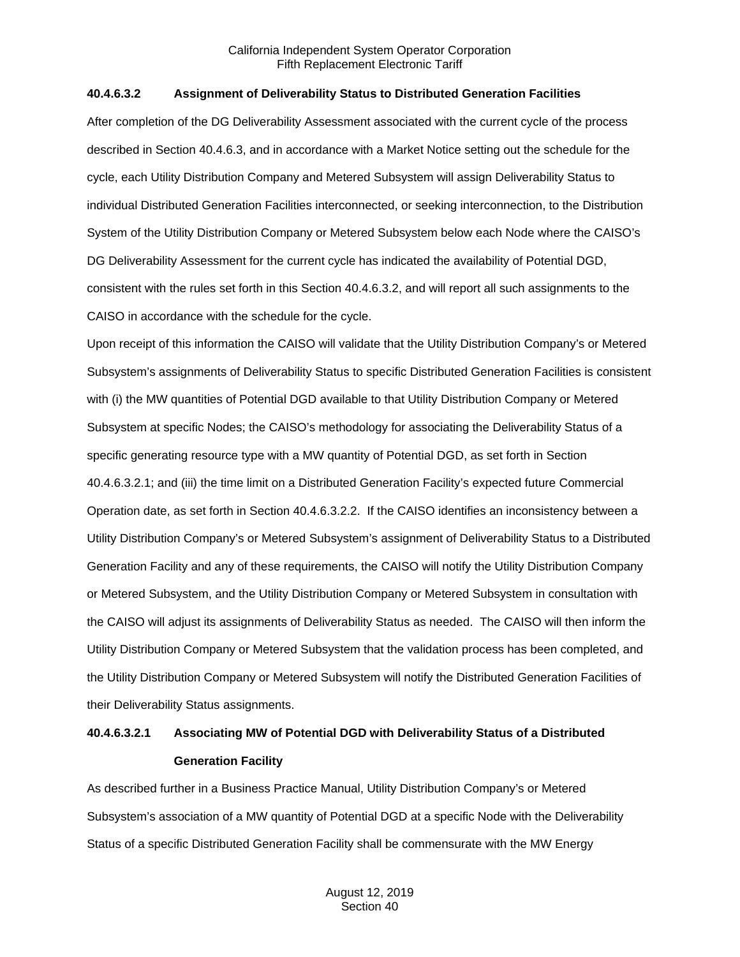### **40.4.6.3.2 Assignment of Deliverability Status to Distributed Generation Facilities**

After completion of the DG Deliverability Assessment associated with the current cycle of the process described in Section 40.4.6.3, and in accordance with a Market Notice setting out the schedule for the cycle, each Utility Distribution Company and Metered Subsystem will assign Deliverability Status to individual Distributed Generation Facilities interconnected, or seeking interconnection, to the Distribution System of the Utility Distribution Company or Metered Subsystem below each Node where the CAISO's DG Deliverability Assessment for the current cycle has indicated the availability of Potential DGD, consistent with the rules set forth in this Section 40.4.6.3.2, and will report all such assignments to the CAISO in accordance with the schedule for the cycle.

Upon receipt of this information the CAISO will validate that the Utility Distribution Company's or Metered Subsystem's assignments of Deliverability Status to specific Distributed Generation Facilities is consistent with (i) the MW quantities of Potential DGD available to that Utility Distribution Company or Metered Subsystem at specific Nodes; the CAISO's methodology for associating the Deliverability Status of a specific generating resource type with a MW quantity of Potential DGD, as set forth in Section 40.4.6.3.2.1; and (iii) the time limit on a Distributed Generation Facility's expected future Commercial Operation date, as set forth in Section 40.4.6.3.2.2. If the CAISO identifies an inconsistency between a Utility Distribution Company's or Metered Subsystem's assignment of Deliverability Status to a Distributed Generation Facility and any of these requirements, the CAISO will notify the Utility Distribution Company or Metered Subsystem, and the Utility Distribution Company or Metered Subsystem in consultation with the CAISO will adjust its assignments of Deliverability Status as needed. The CAISO will then inform the Utility Distribution Company or Metered Subsystem that the validation process has been completed, and the Utility Distribution Company or Metered Subsystem will notify the Distributed Generation Facilities of their Deliverability Status assignments.

## **40.4.6.3.2.1 Associating MW of Potential DGD with Deliverability Status of a Distributed Generation Facility**

As described further in a Business Practice Manual, Utility Distribution Company's or Metered Subsystem's association of a MW quantity of Potential DGD at a specific Node with the Deliverability Status of a specific Distributed Generation Facility shall be commensurate with the MW Energy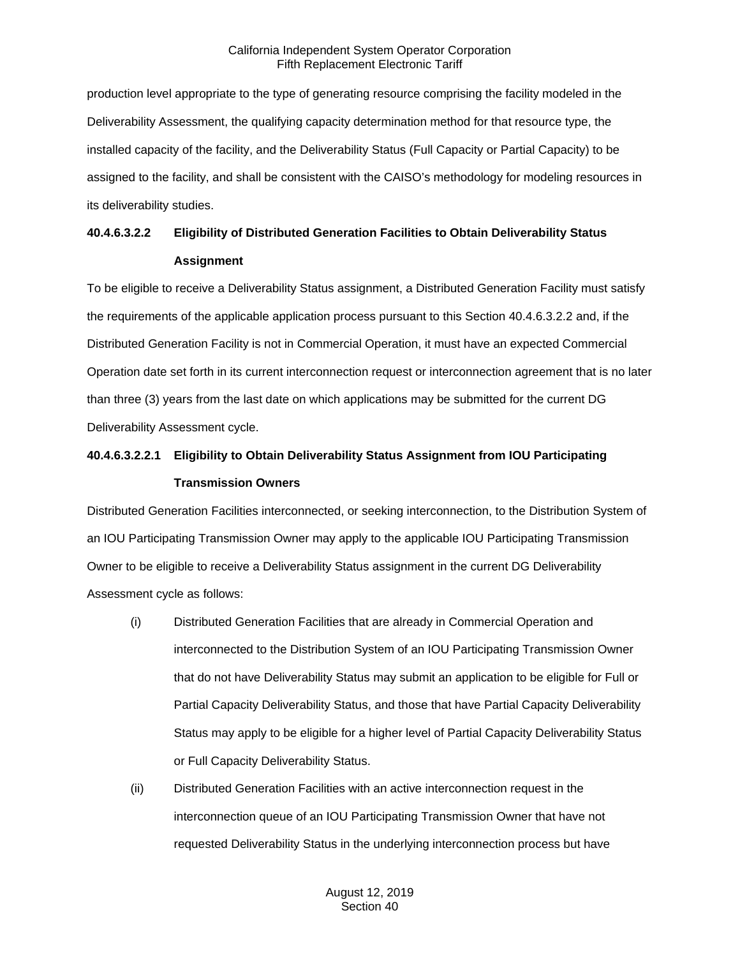production level appropriate to the type of generating resource comprising the facility modeled in the Deliverability Assessment, the qualifying capacity determination method for that resource type, the installed capacity of the facility, and the Deliverability Status (Full Capacity or Partial Capacity) to be assigned to the facility, and shall be consistent with the CAISO's methodology for modeling resources in its deliverability studies.

## **40.4.6.3.2.2 Eligibility of Distributed Generation Facilities to Obtain Deliverability Status Assignment**

To be eligible to receive a Deliverability Status assignment, a Distributed Generation Facility must satisfy the requirements of the applicable application process pursuant to this Section 40.4.6.3.2.2 and, if the Distributed Generation Facility is not in Commercial Operation, it must have an expected Commercial Operation date set forth in its current interconnection request or interconnection agreement that is no later than three (3) years from the last date on which applications may be submitted for the current DG Deliverability Assessment cycle.

## **40.4.6.3.2.2.1 Eligibility to Obtain Deliverability Status Assignment from IOU Participating Transmission Owners**

Distributed Generation Facilities interconnected, or seeking interconnection, to the Distribution System of an IOU Participating Transmission Owner may apply to the applicable IOU Participating Transmission Owner to be eligible to receive a Deliverability Status assignment in the current DG Deliverability Assessment cycle as follows:

- (i) Distributed Generation Facilities that are already in Commercial Operation and interconnected to the Distribution System of an IOU Participating Transmission Owner that do not have Deliverability Status may submit an application to be eligible for Full or Partial Capacity Deliverability Status, and those that have Partial Capacity Deliverability Status may apply to be eligible for a higher level of Partial Capacity Deliverability Status or Full Capacity Deliverability Status.
- (ii) Distributed Generation Facilities with an active interconnection request in the interconnection queue of an IOU Participating Transmission Owner that have not requested Deliverability Status in the underlying interconnection process but have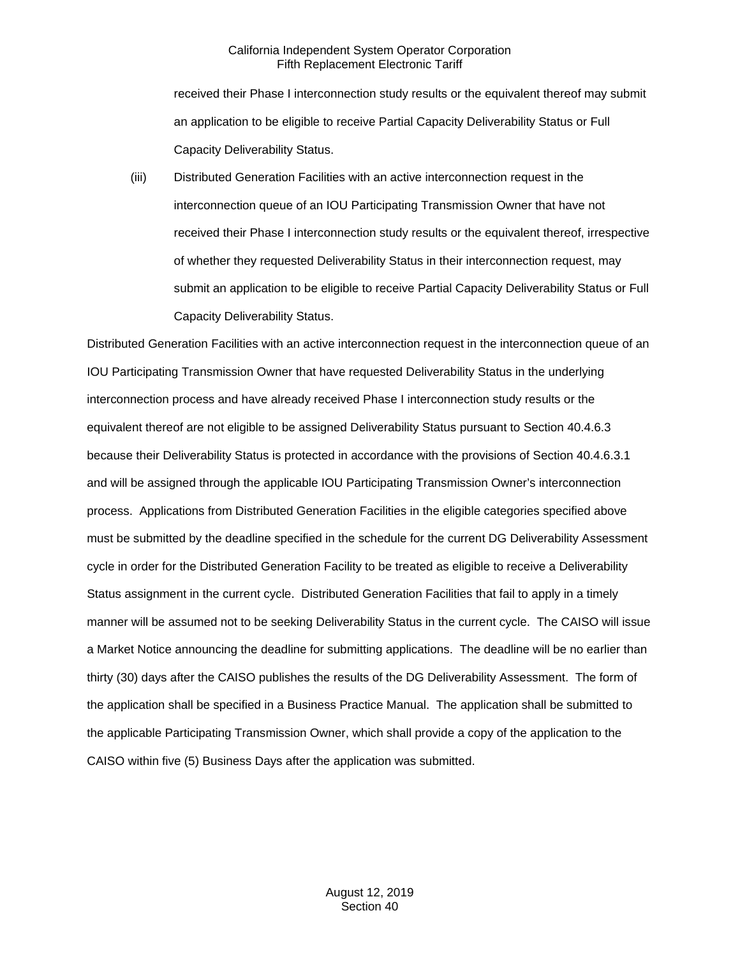received their Phase I interconnection study results or the equivalent thereof may submit an application to be eligible to receive Partial Capacity Deliverability Status or Full Capacity Deliverability Status.

(iii) Distributed Generation Facilities with an active interconnection request in the interconnection queue of an IOU Participating Transmission Owner that have not received their Phase I interconnection study results or the equivalent thereof, irrespective of whether they requested Deliverability Status in their interconnection request, may submit an application to be eligible to receive Partial Capacity Deliverability Status or Full Capacity Deliverability Status.

Distributed Generation Facilities with an active interconnection request in the interconnection queue of an IOU Participating Transmission Owner that have requested Deliverability Status in the underlying interconnection process and have already received Phase I interconnection study results or the equivalent thereof are not eligible to be assigned Deliverability Status pursuant to Section 40.4.6.3 because their Deliverability Status is protected in accordance with the provisions of Section 40.4.6.3.1 and will be assigned through the applicable IOU Participating Transmission Owner's interconnection process. Applications from Distributed Generation Facilities in the eligible categories specified above must be submitted by the deadline specified in the schedule for the current DG Deliverability Assessment cycle in order for the Distributed Generation Facility to be treated as eligible to receive a Deliverability Status assignment in the current cycle. Distributed Generation Facilities that fail to apply in a timely manner will be assumed not to be seeking Deliverability Status in the current cycle. The CAISO will issue a Market Notice announcing the deadline for submitting applications. The deadline will be no earlier than thirty (30) days after the CAISO publishes the results of the DG Deliverability Assessment. The form of the application shall be specified in a Business Practice Manual. The application shall be submitted to the applicable Participating Transmission Owner, which shall provide a copy of the application to the CAISO within five (5) Business Days after the application was submitted.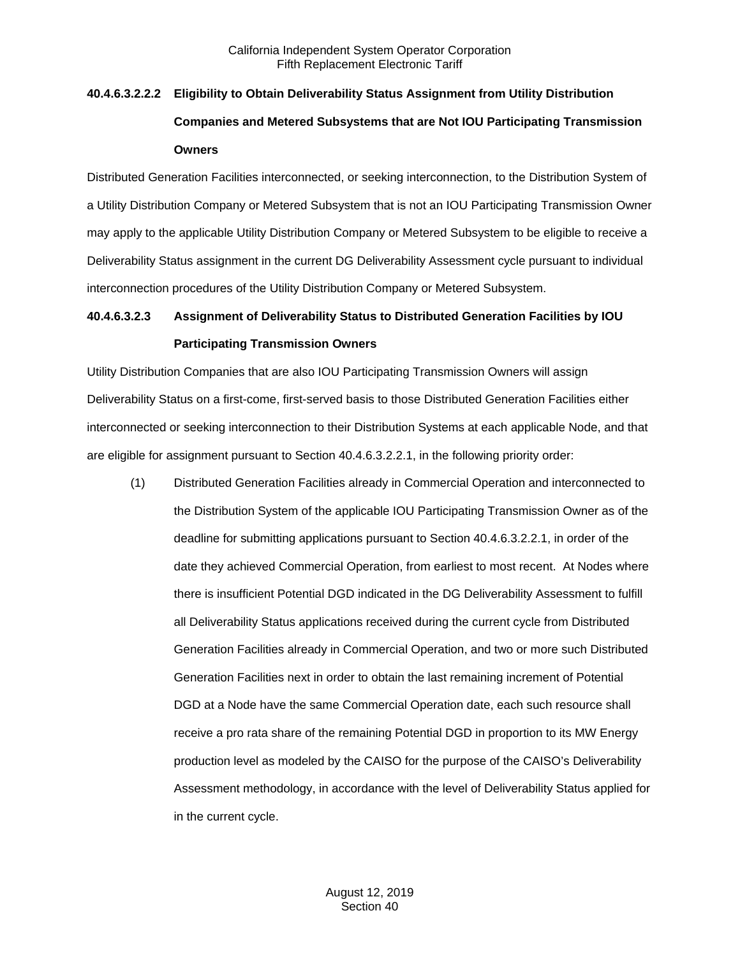# **40.4.6.3.2.2.2 Eligibility to Obtain Deliverability Status Assignment from Utility Distribution Companies and Metered Subsystems that are Not IOU Participating Transmission Owners**

Distributed Generation Facilities interconnected, or seeking interconnection, to the Distribution System of a Utility Distribution Company or Metered Subsystem that is not an IOU Participating Transmission Owner may apply to the applicable Utility Distribution Company or Metered Subsystem to be eligible to receive a Deliverability Status assignment in the current DG Deliverability Assessment cycle pursuant to individual interconnection procedures of the Utility Distribution Company or Metered Subsystem.

## **40.4.6.3.2.3 Assignment of Deliverability Status to Distributed Generation Facilities by IOU Participating Transmission Owners**

Utility Distribution Companies that are also IOU Participating Transmission Owners will assign Deliverability Status on a first-come, first-served basis to those Distributed Generation Facilities either interconnected or seeking interconnection to their Distribution Systems at each applicable Node, and that are eligible for assignment pursuant to Section 40.4.6.3.2.2.1, in the following priority order:

(1) Distributed Generation Facilities already in Commercial Operation and interconnected to the Distribution System of the applicable IOU Participating Transmission Owner as of the deadline for submitting applications pursuant to Section 40.4.6.3.2.2.1, in order of the date they achieved Commercial Operation, from earliest to most recent. At Nodes where there is insufficient Potential DGD indicated in the DG Deliverability Assessment to fulfill all Deliverability Status applications received during the current cycle from Distributed Generation Facilities already in Commercial Operation, and two or more such Distributed Generation Facilities next in order to obtain the last remaining increment of Potential DGD at a Node have the same Commercial Operation date, each such resource shall receive a pro rata share of the remaining Potential DGD in proportion to its MW Energy production level as modeled by the CAISO for the purpose of the CAISO's Deliverability Assessment methodology, in accordance with the level of Deliverability Status applied for in the current cycle.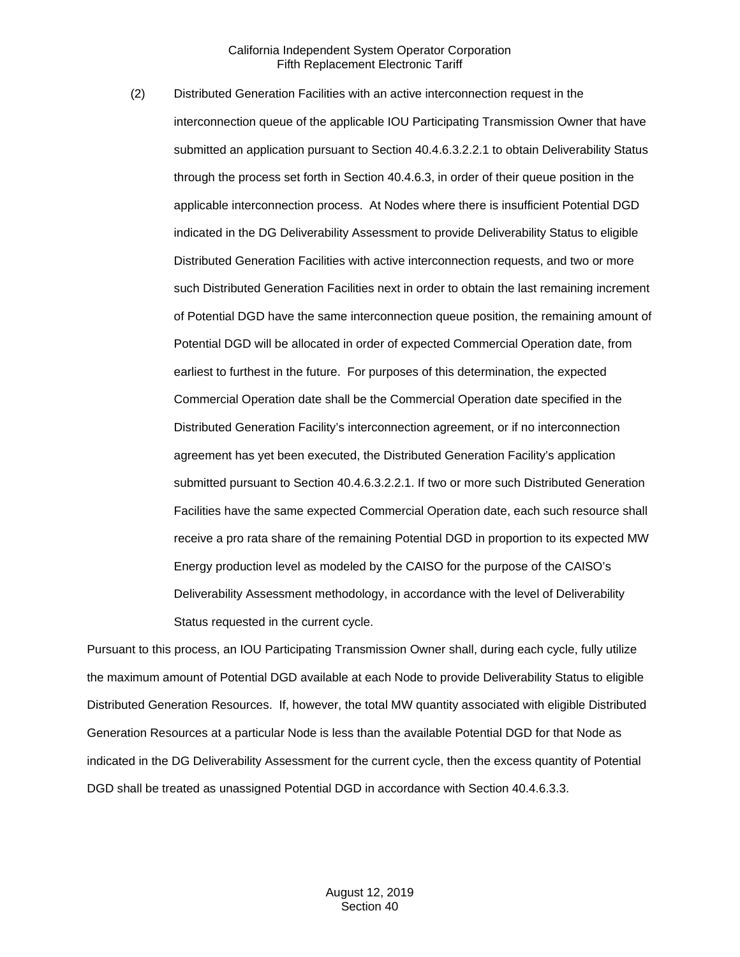(2) Distributed Generation Facilities with an active interconnection request in the interconnection queue of the applicable IOU Participating Transmission Owner that have submitted an application pursuant to Section 40.4.6.3.2.2.1 to obtain Deliverability Status through the process set forth in Section 40.4.6.3, in order of their queue position in the applicable interconnection process. At Nodes where there is insufficient Potential DGD indicated in the DG Deliverability Assessment to provide Deliverability Status to eligible Distributed Generation Facilities with active interconnection requests, and two or more such Distributed Generation Facilities next in order to obtain the last remaining increment of Potential DGD have the same interconnection queue position, the remaining amount of Potential DGD will be allocated in order of expected Commercial Operation date, from earliest to furthest in the future. For purposes of this determination, the expected Commercial Operation date shall be the Commercial Operation date specified in the Distributed Generation Facility's interconnection agreement, or if no interconnection agreement has yet been executed, the Distributed Generation Facility's application submitted pursuant to Section 40.4.6.3.2.2.1. If two or more such Distributed Generation Facilities have the same expected Commercial Operation date, each such resource shall receive a pro rata share of the remaining Potential DGD in proportion to its expected MW Energy production level as modeled by the CAISO for the purpose of the CAISO's Deliverability Assessment methodology, in accordance with the level of Deliverability Status requested in the current cycle.

Pursuant to this process, an IOU Participating Transmission Owner shall, during each cycle, fully utilize the maximum amount of Potential DGD available at each Node to provide Deliverability Status to eligible Distributed Generation Resources. If, however, the total MW quantity associated with eligible Distributed Generation Resources at a particular Node is less than the available Potential DGD for that Node as indicated in the DG Deliverability Assessment for the current cycle, then the excess quantity of Potential DGD shall be treated as unassigned Potential DGD in accordance with Section 40.4.6.3.3.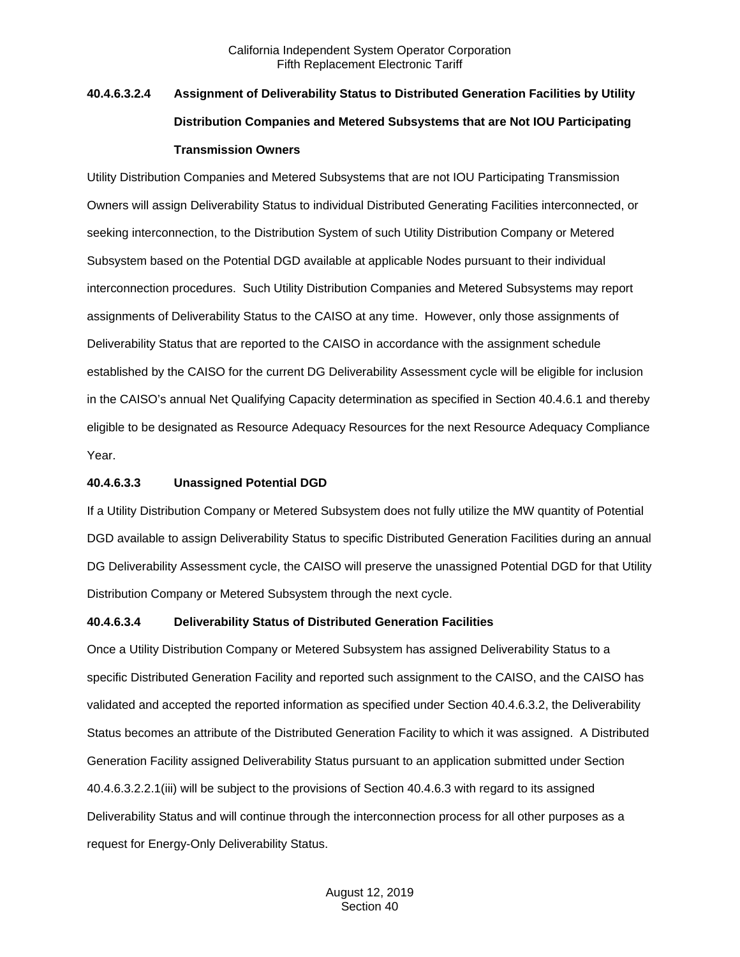# **40.4.6.3.2.4 Assignment of Deliverability Status to Distributed Generation Facilities by Utility Distribution Companies and Metered Subsystems that are Not IOU Participating Transmission Owners**

Utility Distribution Companies and Metered Subsystems that are not IOU Participating Transmission Owners will assign Deliverability Status to individual Distributed Generating Facilities interconnected, or seeking interconnection, to the Distribution System of such Utility Distribution Company or Metered Subsystem based on the Potential DGD available at applicable Nodes pursuant to their individual interconnection procedures. Such Utility Distribution Companies and Metered Subsystems may report assignments of Deliverability Status to the CAISO at any time. However, only those assignments of Deliverability Status that are reported to the CAISO in accordance with the assignment schedule established by the CAISO for the current DG Deliverability Assessment cycle will be eligible for inclusion in the CAISO's annual Net Qualifying Capacity determination as specified in Section 40.4.6.1 and thereby eligible to be designated as Resource Adequacy Resources for the next Resource Adequacy Compliance Year.

#### **40.4.6.3.3 Unassigned Potential DGD**

If a Utility Distribution Company or Metered Subsystem does not fully utilize the MW quantity of Potential DGD available to assign Deliverability Status to specific Distributed Generation Facilities during an annual DG Deliverability Assessment cycle, the CAISO will preserve the unassigned Potential DGD for that Utility Distribution Company or Metered Subsystem through the next cycle.

#### **40.4.6.3.4 Deliverability Status of Distributed Generation Facilities**

Once a Utility Distribution Company or Metered Subsystem has assigned Deliverability Status to a specific Distributed Generation Facility and reported such assignment to the CAISO, and the CAISO has validated and accepted the reported information as specified under Section 40.4.6.3.2, the Deliverability Status becomes an attribute of the Distributed Generation Facility to which it was assigned. A Distributed Generation Facility assigned Deliverability Status pursuant to an application submitted under Section 40.4.6.3.2.2.1(iii) will be subject to the provisions of Section 40.4.6.3 with regard to its assigned Deliverability Status and will continue through the interconnection process for all other purposes as a request for Energy-Only Deliverability Status.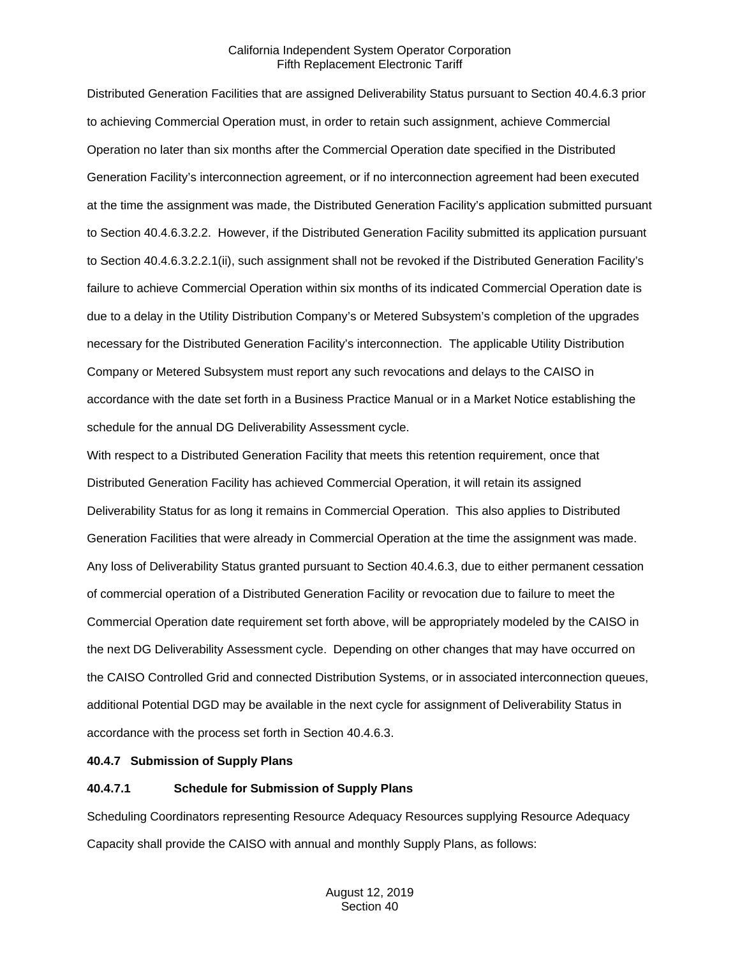Distributed Generation Facilities that are assigned Deliverability Status pursuant to Section 40.4.6.3 prior to achieving Commercial Operation must, in order to retain such assignment, achieve Commercial Operation no later than six months after the Commercial Operation date specified in the Distributed Generation Facility's interconnection agreement, or if no interconnection agreement had been executed at the time the assignment was made, the Distributed Generation Facility's application submitted pursuant to Section 40.4.6.3.2.2. However, if the Distributed Generation Facility submitted its application pursuant to Section 40.4.6.3.2.2.1(ii), such assignment shall not be revoked if the Distributed Generation Facility's failure to achieve Commercial Operation within six months of its indicated Commercial Operation date is due to a delay in the Utility Distribution Company's or Metered Subsystem's completion of the upgrades necessary for the Distributed Generation Facility's interconnection. The applicable Utility Distribution Company or Metered Subsystem must report any such revocations and delays to the CAISO in accordance with the date set forth in a Business Practice Manual or in a Market Notice establishing the schedule for the annual DG Deliverability Assessment cycle.

With respect to a Distributed Generation Facility that meets this retention requirement, once that Distributed Generation Facility has achieved Commercial Operation, it will retain its assigned Deliverability Status for as long it remains in Commercial Operation. This also applies to Distributed Generation Facilities that were already in Commercial Operation at the time the assignment was made. Any loss of Deliverability Status granted pursuant to Section 40.4.6.3, due to either permanent cessation of commercial operation of a Distributed Generation Facility or revocation due to failure to meet the Commercial Operation date requirement set forth above, will be appropriately modeled by the CAISO in the next DG Deliverability Assessment cycle. Depending on other changes that may have occurred on the CAISO Controlled Grid and connected Distribution Systems, or in associated interconnection queues, additional Potential DGD may be available in the next cycle for assignment of Deliverability Status in accordance with the process set forth in Section 40.4.6.3.

## <span id="page-32-0"></span>**40.4.7 Submission of Supply Plans**

## **40.4.7.1 Schedule for Submission of Supply Plans**

Scheduling Coordinators representing Resource Adequacy Resources supplying Resource Adequacy Capacity shall provide the CAISO with annual and monthly Supply Plans, as follows: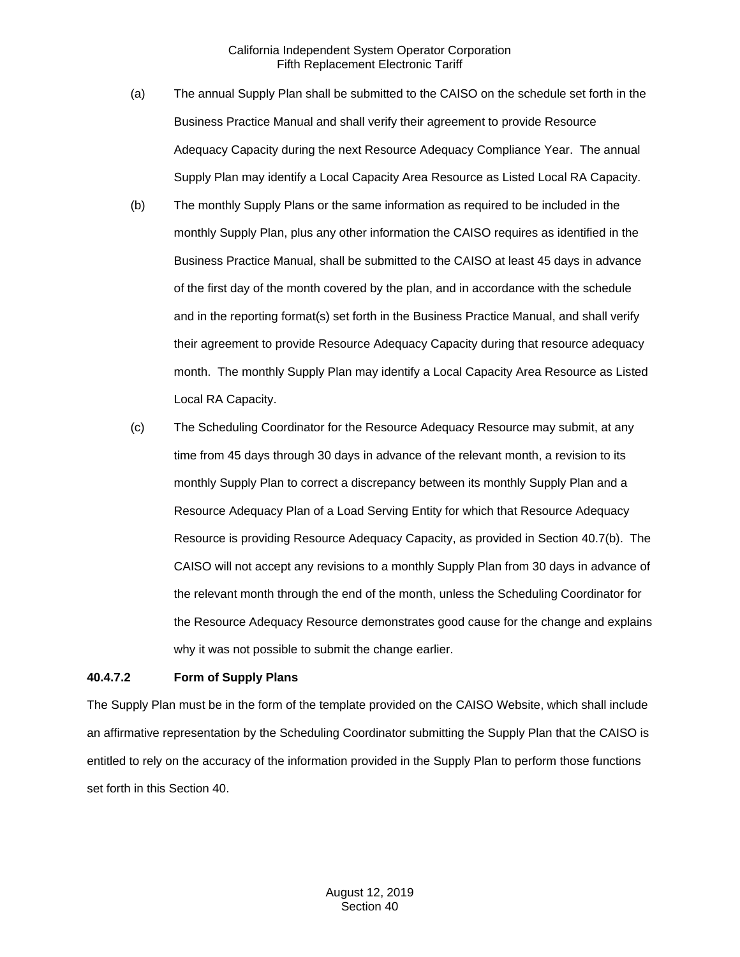- (a) The annual Supply Plan shall be submitted to the CAISO on the schedule set forth in the Business Practice Manual and shall verify their agreement to provide Resource Adequacy Capacity during the next Resource Adequacy Compliance Year. The annual Supply Plan may identify a Local Capacity Area Resource as Listed Local RA Capacity.
- (b) The monthly Supply Plans or the same information as required to be included in the monthly Supply Plan, plus any other information the CAISO requires as identified in the Business Practice Manual, shall be submitted to the CAISO at least 45 days in advance of the first day of the month covered by the plan, and in accordance with the schedule and in the reporting format(s) set forth in the Business Practice Manual, and shall verify their agreement to provide Resource Adequacy Capacity during that resource adequacy month. The monthly Supply Plan may identify a Local Capacity Area Resource as Listed Local RA Capacity.
- (c) The Scheduling Coordinator for the Resource Adequacy Resource may submit, at any time from 45 days through 30 days in advance of the relevant month, a revision to its monthly Supply Plan to correct a discrepancy between its monthly Supply Plan and a Resource Adequacy Plan of a Load Serving Entity for which that Resource Adequacy Resource is providing Resource Adequacy Capacity, as provided in Section 40.7(b). The CAISO will not accept any revisions to a monthly Supply Plan from 30 days in advance of the relevant month through the end of the month, unless the Scheduling Coordinator for the Resource Adequacy Resource demonstrates good cause for the change and explains why it was not possible to submit the change earlier.

## **40.4.7.2 Form of Supply Plans**

The Supply Plan must be in the form of the template provided on the CAISO Website, which shall include an affirmative representation by the Scheduling Coordinator submitting the Supply Plan that the CAISO is entitled to rely on the accuracy of the information provided in the Supply Plan to perform those functions set forth in this Section 40.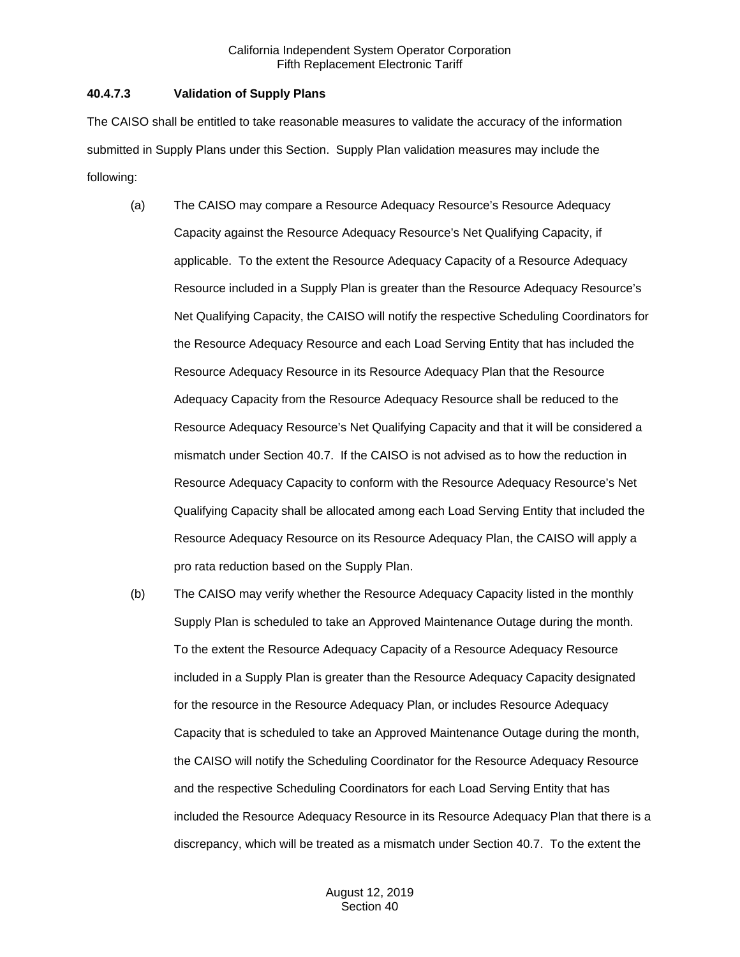### **40.4.7.3 Validation of Supply Plans**

The CAISO shall be entitled to take reasonable measures to validate the accuracy of the information submitted in Supply Plans under this Section. Supply Plan validation measures may include the following:

- (a) The CAISO may compare a Resource Adequacy Resource's Resource Adequacy Capacity against the Resource Adequacy Resource's Net Qualifying Capacity, if applicable. To the extent the Resource Adequacy Capacity of a Resource Adequacy Resource included in a Supply Plan is greater than the Resource Adequacy Resource's Net Qualifying Capacity, the CAISO will notify the respective Scheduling Coordinators for the Resource Adequacy Resource and each Load Serving Entity that has included the Resource Adequacy Resource in its Resource Adequacy Plan that the Resource Adequacy Capacity from the Resource Adequacy Resource shall be reduced to the Resource Adequacy Resource's Net Qualifying Capacity and that it will be considered a mismatch under Section 40.7. If the CAISO is not advised as to how the reduction in Resource Adequacy Capacity to conform with the Resource Adequacy Resource's Net Qualifying Capacity shall be allocated among each Load Serving Entity that included the Resource Adequacy Resource on its Resource Adequacy Plan, the CAISO will apply a pro rata reduction based on the Supply Plan.
- (b) The CAISO may verify whether the Resource Adequacy Capacity listed in the monthly Supply Plan is scheduled to take an Approved Maintenance Outage during the month. To the extent the Resource Adequacy Capacity of a Resource Adequacy Resource included in a Supply Plan is greater than the Resource Adequacy Capacity designated for the resource in the Resource Adequacy Plan, or includes Resource Adequacy Capacity that is scheduled to take an Approved Maintenance Outage during the month, the CAISO will notify the Scheduling Coordinator for the Resource Adequacy Resource and the respective Scheduling Coordinators for each Load Serving Entity that has included the Resource Adequacy Resource in its Resource Adequacy Plan that there is a discrepancy, which will be treated as a mismatch under Section 40.7. To the extent the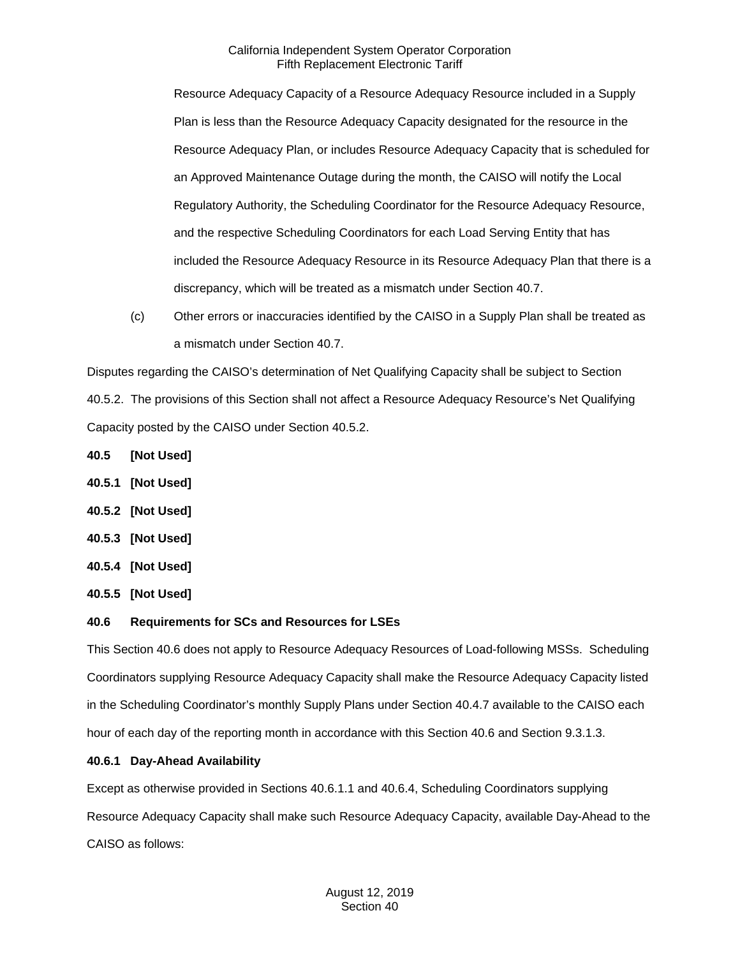Resource Adequacy Capacity of a Resource Adequacy Resource included in a Supply Plan is less than the Resource Adequacy Capacity designated for the resource in the Resource Adequacy Plan, or includes Resource Adequacy Capacity that is scheduled for an Approved Maintenance Outage during the month, the CAISO will notify the Local Regulatory Authority, the Scheduling Coordinator for the Resource Adequacy Resource, and the respective Scheduling Coordinators for each Load Serving Entity that has included the Resource Adequacy Resource in its Resource Adequacy Plan that there is a discrepancy, which will be treated as a mismatch under Section 40.7.

(c) Other errors or inaccuracies identified by the CAISO in a Supply Plan shall be treated as a mismatch under Section 40.7.

Disputes regarding the CAISO's determination of Net Qualifying Capacity shall be subject to Section 40.5.2. The provisions of this Section shall not affect a Resource Adequacy Resource's Net Qualifying Capacity posted by the CAISO under Section 40.5.2.

- <span id="page-35-0"></span>**40.5 [Not Used]**
- <span id="page-35-1"></span>**40.5.1 [Not Used]**
- <span id="page-35-2"></span>**40.5.2 [Not Used]**
- <span id="page-35-3"></span>**40.5.3 [Not Used]**
- <span id="page-35-4"></span>**40.5.4 [Not Used]**
- <span id="page-35-5"></span>**40.5.5 [Not Used]**

## <span id="page-35-6"></span>**40.6 Requirements for SCs and Resources for LSEs**

This Section 40.6 does not apply to Resource Adequacy Resources of Load-following MSSs. Scheduling Coordinators supplying Resource Adequacy Capacity shall make the Resource Adequacy Capacity listed in the Scheduling Coordinator's monthly Supply Plans under Section 40.4.7 available to the CAISO each hour of each day of the reporting month in accordance with this Section 40.6 and Section 9.3.1.3.

## <span id="page-35-7"></span>**40.6.1 Day-Ahead Availability**

Except as otherwise provided in Sections 40.6.1.1 and 40.6.4, Scheduling Coordinators supplying Resource Adequacy Capacity shall make such Resource Adequacy Capacity, available Day-Ahead to the CAISO as follows: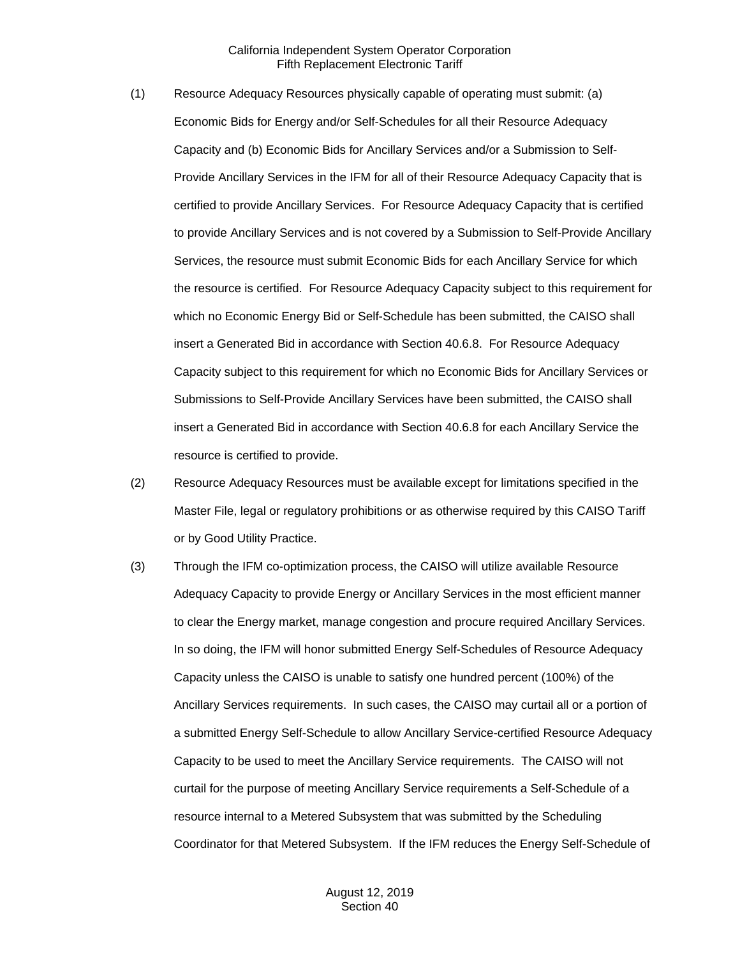- (1) Resource Adequacy Resources physically capable of operating must submit: (a) Economic Bids for Energy and/or Self-Schedules for all their Resource Adequacy Capacity and (b) Economic Bids for Ancillary Services and/or a Submission to Self-Provide Ancillary Services in the IFM for all of their Resource Adequacy Capacity that is certified to provide Ancillary Services. For Resource Adequacy Capacity that is certified to provide Ancillary Services and is not covered by a Submission to Self-Provide Ancillary Services, the resource must submit Economic Bids for each Ancillary Service for which the resource is certified. For Resource Adequacy Capacity subject to this requirement for which no Economic Energy Bid or Self-Schedule has been submitted, the CAISO shall insert a Generated Bid in accordance with Section 40.6.8. For Resource Adequacy Capacity subject to this requirement for which no Economic Bids for Ancillary Services or Submissions to Self-Provide Ancillary Services have been submitted, the CAISO shall insert a Generated Bid in accordance with Section 40.6.8 for each Ancillary Service the resource is certified to provide.
- (2) Resource Adequacy Resources must be available except for limitations specified in the Master File, legal or regulatory prohibitions or as otherwise required by this CAISO Tariff or by Good Utility Practice.
- (3) Through the IFM co-optimization process, the CAISO will utilize available Resource Adequacy Capacity to provide Energy or Ancillary Services in the most efficient manner to clear the Energy market, manage congestion and procure required Ancillary Services. In so doing, the IFM will honor submitted Energy Self-Schedules of Resource Adequacy Capacity unless the CAISO is unable to satisfy one hundred percent (100%) of the Ancillary Services requirements. In such cases, the CAISO may curtail all or a portion of a submitted Energy Self-Schedule to allow Ancillary Service-certified Resource Adequacy Capacity to be used to meet the Ancillary Service requirements. The CAISO will not curtail for the purpose of meeting Ancillary Service requirements a Self-Schedule of a resource internal to a Metered Subsystem that was submitted by the Scheduling Coordinator for that Metered Subsystem. If the IFM reduces the Energy Self-Schedule of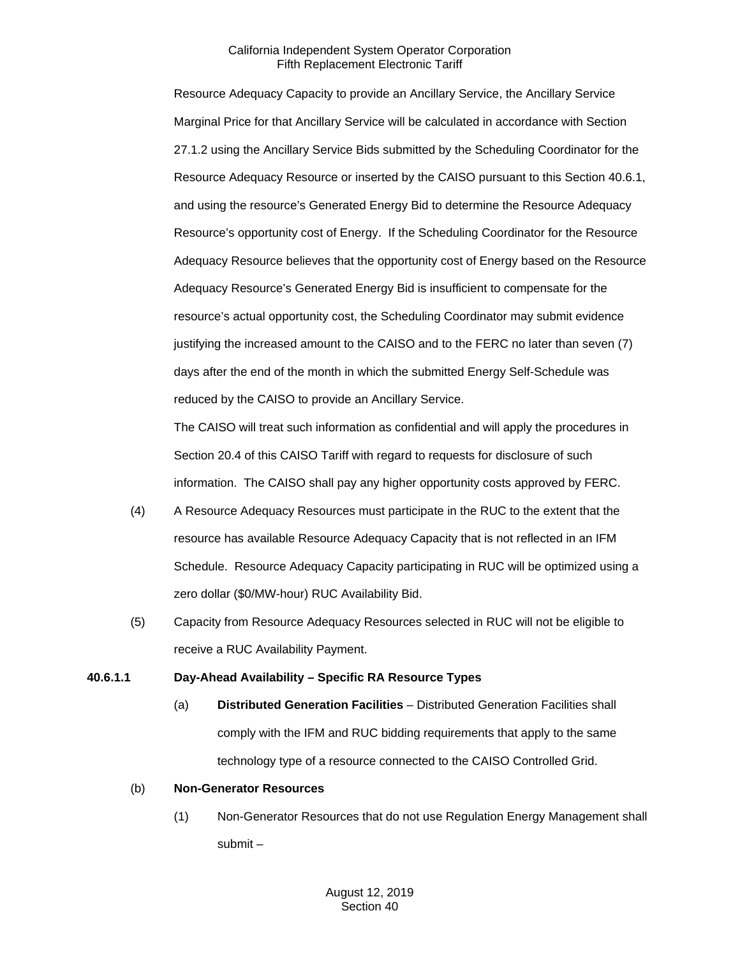Resource Adequacy Capacity to provide an Ancillary Service, the Ancillary Service Marginal Price for that Ancillary Service will be calculated in accordance with Section 27.1.2 using the Ancillary Service Bids submitted by the Scheduling Coordinator for the Resource Adequacy Resource or inserted by the CAISO pursuant to this Section 40.6.1, and using the resource's Generated Energy Bid to determine the Resource Adequacy Resource's opportunity cost of Energy. If the Scheduling Coordinator for the Resource Adequacy Resource believes that the opportunity cost of Energy based on the Resource Adequacy Resource's Generated Energy Bid is insufficient to compensate for the resource's actual opportunity cost, the Scheduling Coordinator may submit evidence justifying the increased amount to the CAISO and to the FERC no later than seven (7) days after the end of the month in which the submitted Energy Self-Schedule was reduced by the CAISO to provide an Ancillary Service.

The CAISO will treat such information as confidential and will apply the procedures in Section 20.4 of this CAISO Tariff with regard to requests for disclosure of such information. The CAISO shall pay any higher opportunity costs approved by FERC.

- (4) A Resource Adequacy Resources must participate in the RUC to the extent that the resource has available Resource Adequacy Capacity that is not reflected in an IFM Schedule. Resource Adequacy Capacity participating in RUC will be optimized using a zero dollar (\$0/MW-hour) RUC Availability Bid.
- (5) Capacity from Resource Adequacy Resources selected in RUC will not be eligible to receive a RUC Availability Payment.

# **40.6.1.1 Day-Ahead Availability – Specific RA Resource Types**

(a) **Distributed Generation Facilities** – Distributed Generation Facilities shall comply with the IFM and RUC bidding requirements that apply to the same technology type of a resource connected to the CAISO Controlled Grid.

# (b) **Non-Generator Resources**

(1) Non-Generator Resources that do not use Regulation Energy Management shall submit –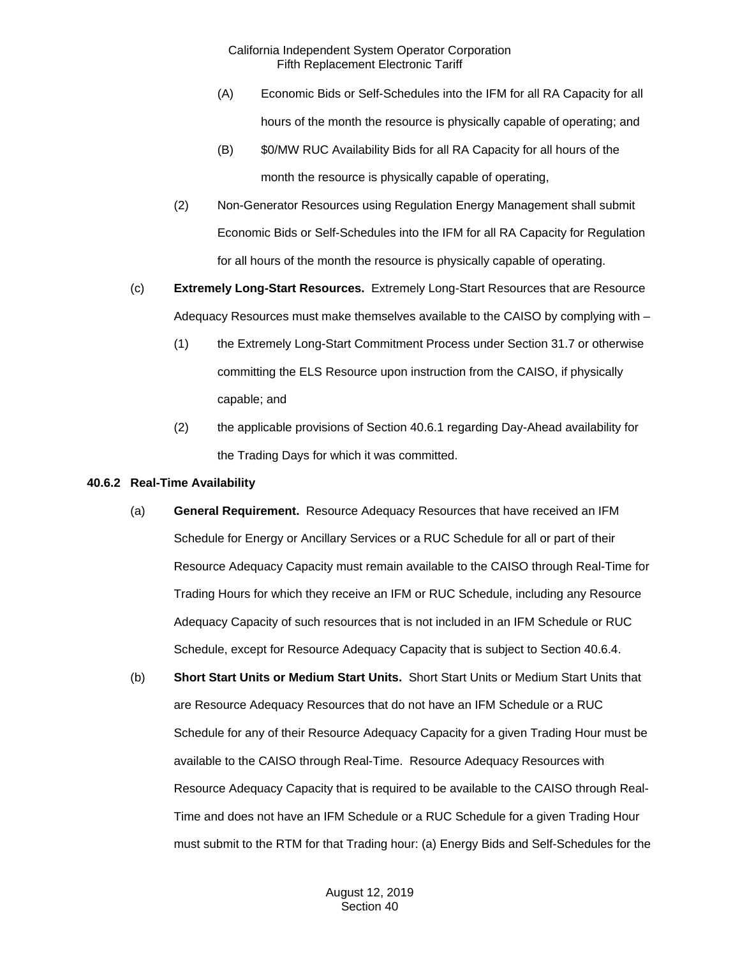- (A) Economic Bids or Self-Schedules into the IFM for all RA Capacity for all hours of the month the resource is physically capable of operating; and
- (B) \$0/MW RUC Availability Bids for all RA Capacity for all hours of the month the resource is physically capable of operating,
- (2) Non-Generator Resources using Regulation Energy Management shall submit Economic Bids or Self-Schedules into the IFM for all RA Capacity for Regulation for all hours of the month the resource is physically capable of operating.
- (c) **Extremely Long-Start Resources.** Extremely Long-Start Resources that are Resource Adequacy Resources must make themselves available to the CAISO by complying with –
	- (1) the Extremely Long-Start Commitment Process under Section 31.7 or otherwise committing the ELS Resource upon instruction from the CAISO, if physically capable; and
	- (2) the applicable provisions of Section 40.6.1 regarding Day-Ahead availability for the Trading Days for which it was committed.

# **40.6.2 Real-Time Availability**

- (a) **General Requirement.** Resource Adequacy Resources that have received an IFM Schedule for Energy or Ancillary Services or a RUC Schedule for all or part of their Resource Adequacy Capacity must remain available to the CAISO through Real-Time for Trading Hours for which they receive an IFM or RUC Schedule, including any Resource Adequacy Capacity of such resources that is not included in an IFM Schedule or RUC Schedule, except for Resource Adequacy Capacity that is subject to Section 40.6.4.
- (b) **Short Start Units or Medium Start Units.** Short Start Units or Medium Start Units that are Resource Adequacy Resources that do not have an IFM Schedule or a RUC Schedule for any of their Resource Adequacy Capacity for a given Trading Hour must be available to the CAISO through Real-Time. Resource Adequacy Resources with Resource Adequacy Capacity that is required to be available to the CAISO through Real-Time and does not have an IFM Schedule or a RUC Schedule for a given Trading Hour must submit to the RTM for that Trading hour: (a) Energy Bids and Self-Schedules for the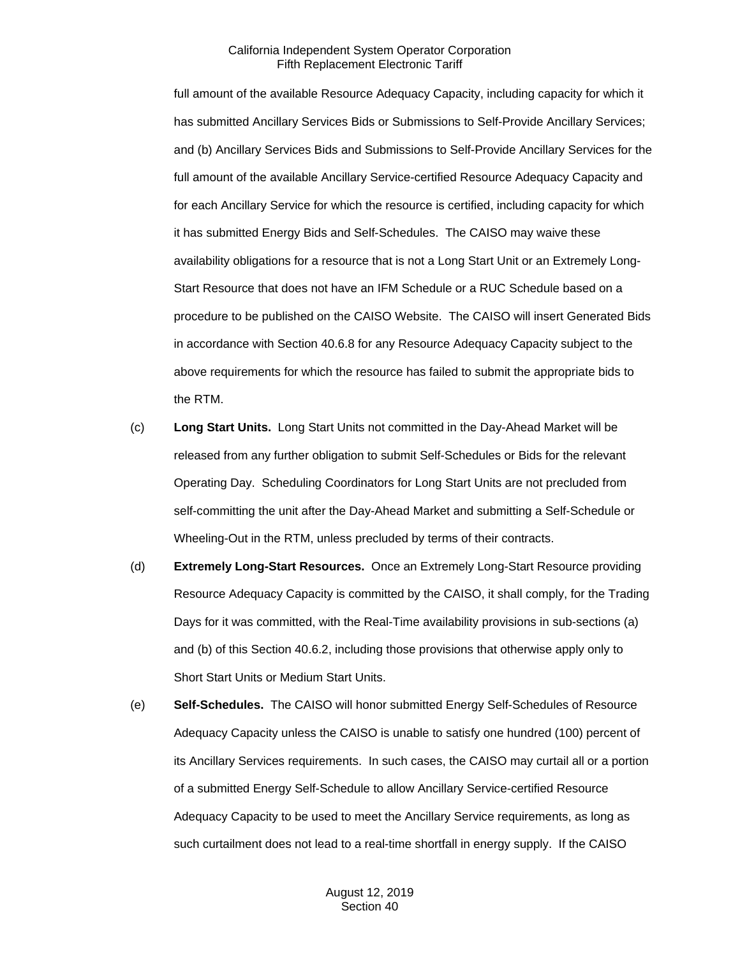full amount of the available Resource Adequacy Capacity, including capacity for which it has submitted Ancillary Services Bids or Submissions to Self-Provide Ancillary Services; and (b) Ancillary Services Bids and Submissions to Self-Provide Ancillary Services for the full amount of the available Ancillary Service-certified Resource Adequacy Capacity and for each Ancillary Service for which the resource is certified, including capacity for which it has submitted Energy Bids and Self-Schedules. The CAISO may waive these availability obligations for a resource that is not a Long Start Unit or an Extremely Long-Start Resource that does not have an IFM Schedule or a RUC Schedule based on a procedure to be published on the CAISO Website. The CAISO will insert Generated Bids in accordance with Section 40.6.8 for any Resource Adequacy Capacity subject to the above requirements for which the resource has failed to submit the appropriate bids to the RTM.

- (c) **Long Start Units.** Long Start Units not committed in the Day-Ahead Market will be released from any further obligation to submit Self-Schedules or Bids for the relevant Operating Day. Scheduling Coordinators for Long Start Units are not precluded from self-committing the unit after the Day-Ahead Market and submitting a Self-Schedule or Wheeling-Out in the RTM, unless precluded by terms of their contracts.
- (d) **Extremely Long-Start Resources.** Once an Extremely Long-Start Resource providing Resource Adequacy Capacity is committed by the CAISO, it shall comply, for the Trading Days for it was committed, with the Real-Time availability provisions in sub-sections (a) and (b) of this Section 40.6.2, including those provisions that otherwise apply only to Short Start Units or Medium Start Units.
- (e) **Self-Schedules.** The CAISO will honor submitted Energy Self-Schedules of Resource Adequacy Capacity unless the CAISO is unable to satisfy one hundred (100) percent of its Ancillary Services requirements. In such cases, the CAISO may curtail all or a portion of a submitted Energy Self-Schedule to allow Ancillary Service-certified Resource Adequacy Capacity to be used to meet the Ancillary Service requirements, as long as such curtailment does not lead to a real-time shortfall in energy supply. If the CAISO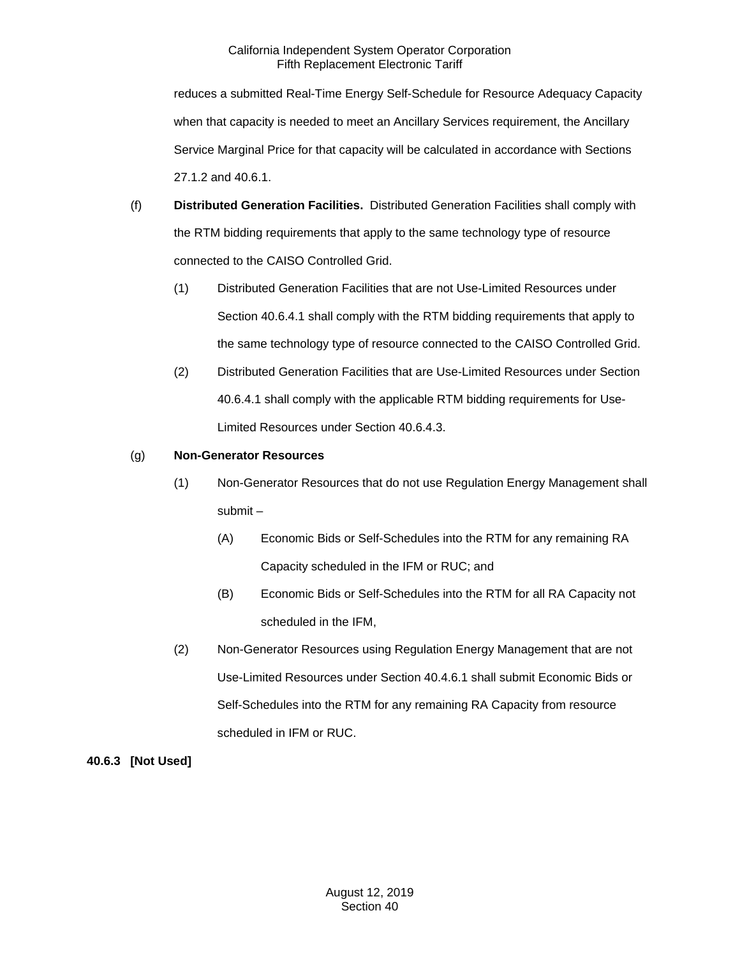reduces a submitted Real-Time Energy Self-Schedule for Resource Adequacy Capacity when that capacity is needed to meet an Ancillary Services requirement, the Ancillary Service Marginal Price for that capacity will be calculated in accordance with Sections 27.1.2 and 40.6.1.

- (f) **Distributed Generation Facilities.** Distributed Generation Facilities shall comply with the RTM bidding requirements that apply to the same technology type of resource connected to the CAISO Controlled Grid.
	- (1) Distributed Generation Facilities that are not Use-Limited Resources under Section 40.6.4.1 shall comply with the RTM bidding requirements that apply to the same technology type of resource connected to the CAISO Controlled Grid.
	- (2) Distributed Generation Facilities that are Use-Limited Resources under Section 40.6.4.1 shall comply with the applicable RTM bidding requirements for Use-Limited Resources under Section 40.6.4.3.

# (g) **Non-Generator Resources**

- (1) Non-Generator Resources that do not use Regulation Energy Management shall submit –
	- (A) Economic Bids or Self-Schedules into the RTM for any remaining RA Capacity scheduled in the IFM or RUC; and
	- (B) Economic Bids or Self-Schedules into the RTM for all RA Capacity not scheduled in the IFM,
- (2) Non-Generator Resources using Regulation Energy Management that are not Use-Limited Resources under Section 40.4.6.1 shall submit Economic Bids or Self-Schedules into the RTM for any remaining RA Capacity from resource scheduled in IFM or RUC.

# **40.6.3 [Not Used]**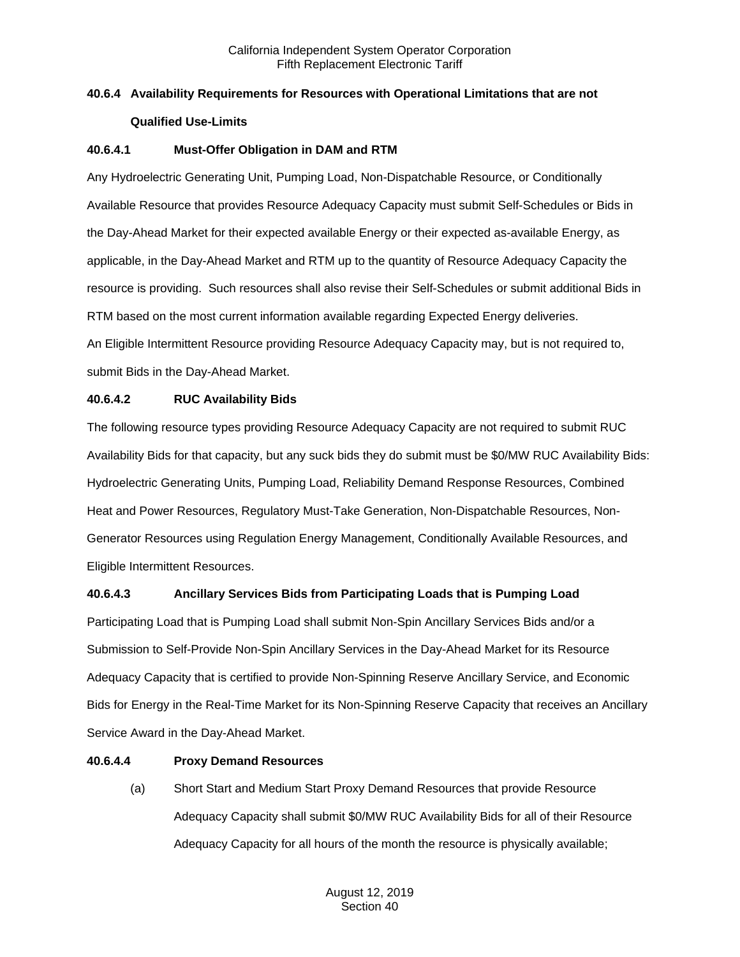# **40.6.4 Availability Requirements for Resources with Operational Limitations that are not Qualified Use-Limits**

# **40.6.4.1 Must-Offer Obligation in DAM and RTM**

Any Hydroelectric Generating Unit, Pumping Load, Non-Dispatchable Resource, or Conditionally Available Resource that provides Resource Adequacy Capacity must submit Self-Schedules or Bids in the Day-Ahead Market for their expected available Energy or their expected as-available Energy, as applicable, in the Day-Ahead Market and RTM up to the quantity of Resource Adequacy Capacity the resource is providing. Such resources shall also revise their Self-Schedules or submit additional Bids in RTM based on the most current information available regarding Expected Energy deliveries. An Eligible Intermittent Resource providing Resource Adequacy Capacity may, but is not required to, submit Bids in the Day-Ahead Market.

# **40.6.4.2 RUC Availability Bids**

The following resource types providing Resource Adequacy Capacity are not required to submit RUC Availability Bids for that capacity, but any suck bids they do submit must be \$0/MW RUC Availability Bids: Hydroelectric Generating Units, Pumping Load, Reliability Demand Response Resources, Combined Heat and Power Resources, Regulatory Must-Take Generation, Non-Dispatchable Resources, Non-Generator Resources using Regulation Energy Management, Conditionally Available Resources, and Eligible Intermittent Resources.

# **40.6.4.3 Ancillary Services Bids from Participating Loads that is Pumping Load**

Participating Load that is Pumping Load shall submit Non-Spin Ancillary Services Bids and/or a Submission to Self-Provide Non-Spin Ancillary Services in the Day-Ahead Market for its Resource Adequacy Capacity that is certified to provide Non-Spinning Reserve Ancillary Service, and Economic Bids for Energy in the Real-Time Market for its Non-Spinning Reserve Capacity that receives an Ancillary Service Award in the Day-Ahead Market.

# **40.6.4.4 Proxy Demand Resources**

(a) Short Start and Medium Start Proxy Demand Resources that provide Resource Adequacy Capacity shall submit \$0/MW RUC Availability Bids for all of their Resource Adequacy Capacity for all hours of the month the resource is physically available;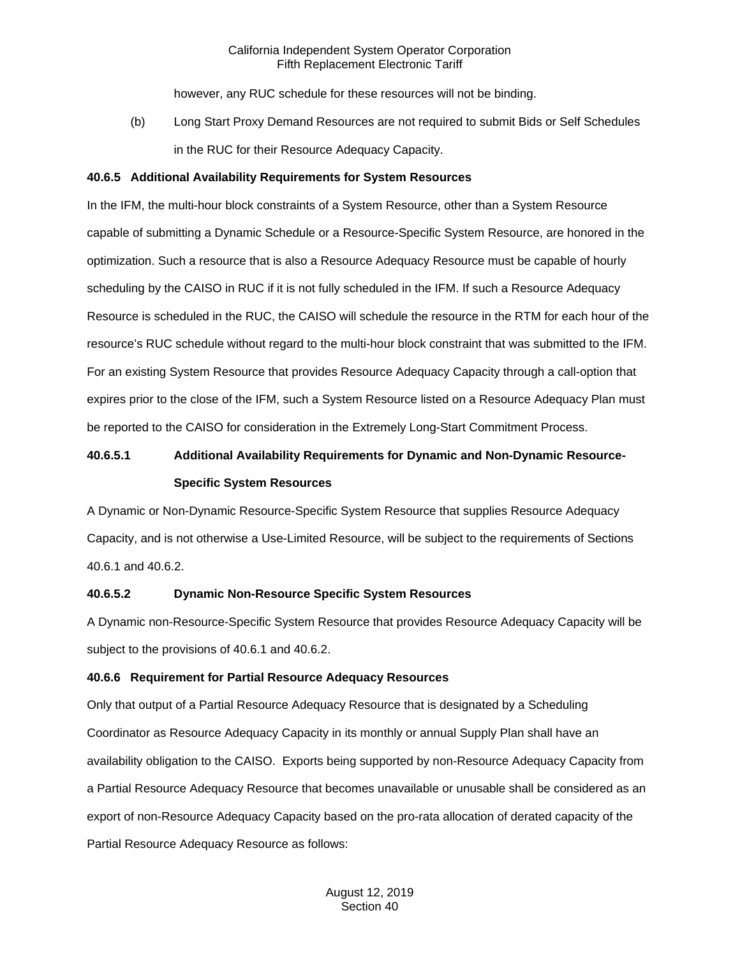however, any RUC schedule for these resources will not be binding.

(b) Long Start Proxy Demand Resources are not required to submit Bids or Self Schedules in the RUC for their Resource Adequacy Capacity.

## **40.6.5 Additional Availability Requirements for System Resources**

In the IFM, the multi-hour block constraints of a System Resource, other than a System Resource capable of submitting a Dynamic Schedule or a Resource-Specific System Resource, are honored in the optimization. Such a resource that is also a Resource Adequacy Resource must be capable of hourly scheduling by the CAISO in RUC if it is not fully scheduled in the IFM. If such a Resource Adequacy Resource is scheduled in the RUC, the CAISO will schedule the resource in the RTM for each hour of the resource's RUC schedule without regard to the multi-hour block constraint that was submitted to the IFM. For an existing System Resource that provides Resource Adequacy Capacity through a call-option that expires prior to the close of the IFM, such a System Resource listed on a Resource Adequacy Plan must be reported to the CAISO for consideration in the Extremely Long-Start Commitment Process.

# **40.6.5.1 Additional Availability Requirements for Dynamic and Non-Dynamic Resource-Specific System Resources**

A Dynamic or Non-Dynamic Resource-Specific System Resource that supplies Resource Adequacy Capacity, and is not otherwise a Use-Limited Resource, will be subject to the requirements of Sections 40.6.1 and 40.6.2.

#### **40.6.5.2 Dynamic Non-Resource Specific System Resources**

A Dynamic non-Resource-Specific System Resource that provides Resource Adequacy Capacity will be subject to the provisions of 40.6.1 and 40.6.2.

## **40.6.6 Requirement for Partial Resource Adequacy Resources**

Only that output of a Partial Resource Adequacy Resource that is designated by a Scheduling Coordinator as Resource Adequacy Capacity in its monthly or annual Supply Plan shall have an availability obligation to the CAISO. Exports being supported by non-Resource Adequacy Capacity from a Partial Resource Adequacy Resource that becomes unavailable or unusable shall be considered as an export of non-Resource Adequacy Capacity based on the pro-rata allocation of derated capacity of the Partial Resource Adequacy Resource as follows: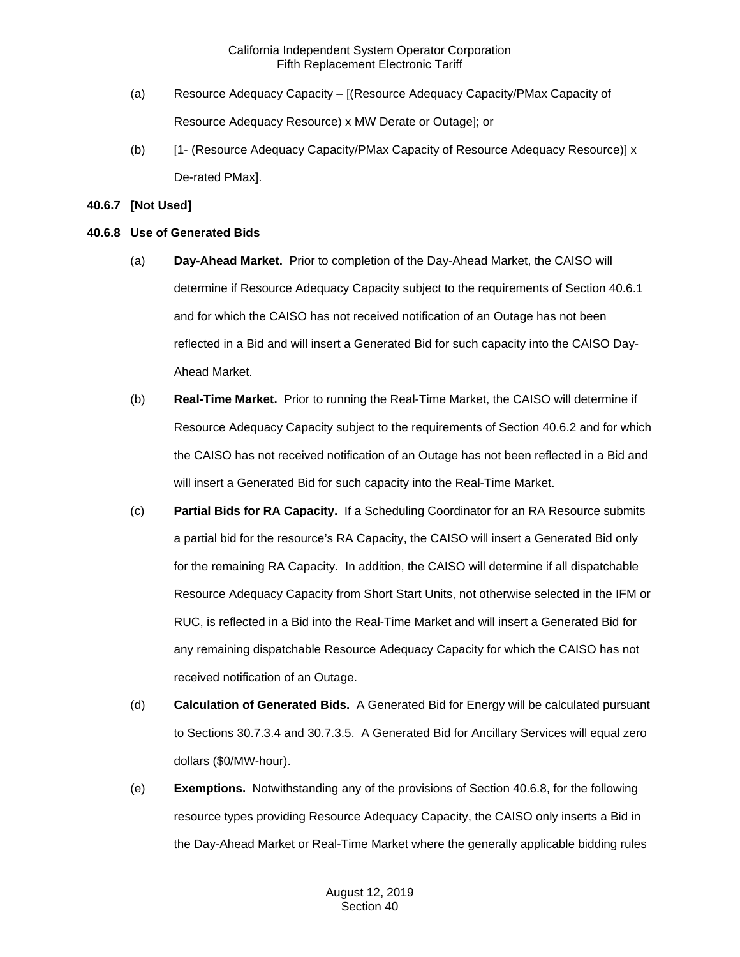- (a) Resource Adequacy Capacity [(Resource Adequacy Capacity/PMax Capacity of Resource Adequacy Resource) x MW Derate or Outage]; or
- (b) [1- (Resource Adequacy Capacity/PMax Capacity of Resource Adequacy Resource)] x De-rated PMax].

# **40.6.7 [Not Used]**

# **40.6.8 Use of Generated Bids**

- (a) **Day-Ahead Market.** Prior to completion of the Day-Ahead Market, the CAISO will determine if Resource Adequacy Capacity subject to the requirements of Section 40.6.1 and for which the CAISO has not received notification of an Outage has not been reflected in a Bid and will insert a Generated Bid for such capacity into the CAISO Day-Ahead Market.
- (b) **Real-Time Market.** Prior to running the Real-Time Market, the CAISO will determine if Resource Adequacy Capacity subject to the requirements of Section 40.6.2 and for which the CAISO has not received notification of an Outage has not been reflected in a Bid and will insert a Generated Bid for such capacity into the Real-Time Market.
- (c) **Partial Bids for RA Capacity.** If a Scheduling Coordinator for an RA Resource submits a partial bid for the resource's RA Capacity, the CAISO will insert a Generated Bid only for the remaining RA Capacity. In addition, the CAISO will determine if all dispatchable Resource Adequacy Capacity from Short Start Units, not otherwise selected in the IFM or RUC, is reflected in a Bid into the Real-Time Market and will insert a Generated Bid for any remaining dispatchable Resource Adequacy Capacity for which the CAISO has not received notification of an Outage.
- (d) **Calculation of Generated Bids.** A Generated Bid for Energy will be calculated pursuant to Sections 30.7.3.4 and 30.7.3.5. A Generated Bid for Ancillary Services will equal zero dollars (\$0/MW-hour).
- (e) **Exemptions.** Notwithstanding any of the provisions of Section 40.6.8, for the following resource types providing Resource Adequacy Capacity, the CAISO only inserts a Bid in the Day-Ahead Market or Real-Time Market where the generally applicable bidding rules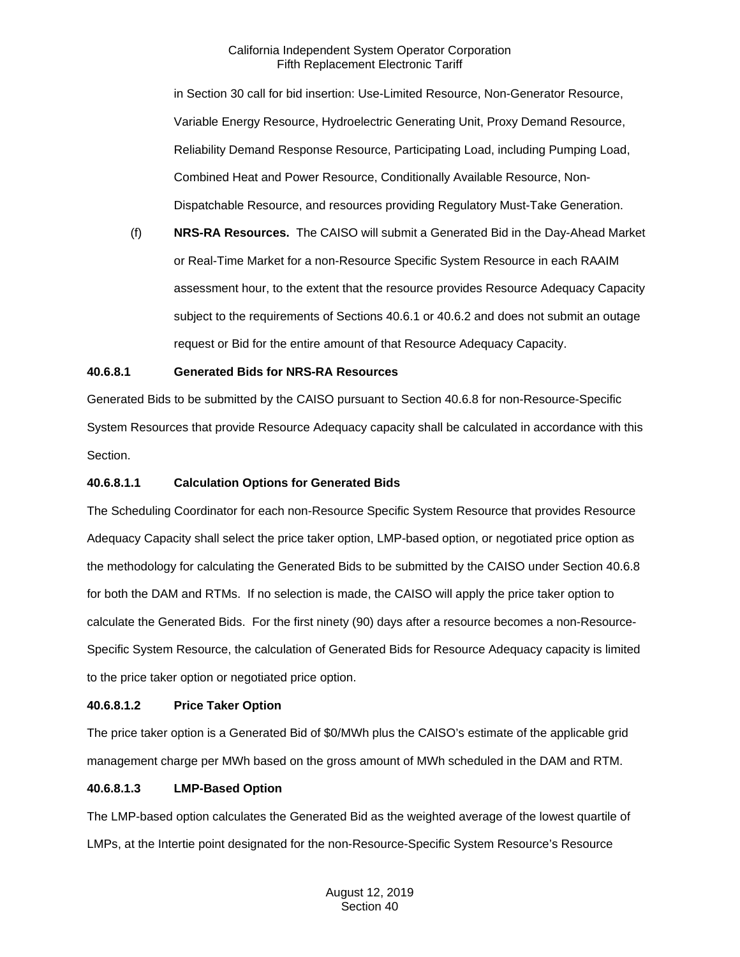in Section 30 call for bid insertion: Use-Limited Resource, Non-Generator Resource, Variable Energy Resource, Hydroelectric Generating Unit, Proxy Demand Resource, Reliability Demand Response Resource, Participating Load, including Pumping Load, Combined Heat and Power Resource, Conditionally Available Resource, Non-Dispatchable Resource, and resources providing Regulatory Must-Take Generation.

(f) **NRS-RA Resources.** The CAISO will submit a Generated Bid in the Day-Ahead Market or Real-Time Market for a non-Resource Specific System Resource in each RAAIM assessment hour, to the extent that the resource provides Resource Adequacy Capacity subject to the requirements of Sections 40.6.1 or 40.6.2 and does not submit an outage request or Bid for the entire amount of that Resource Adequacy Capacity.

# **40.6.8.1 Generated Bids for NRS-RA Resources**

Generated Bids to be submitted by the CAISO pursuant to Section 40.6.8 for non-Resource-Specific System Resources that provide Resource Adequacy capacity shall be calculated in accordance with this Section.

## **40.6.8.1.1 Calculation Options for Generated Bids**

The Scheduling Coordinator for each non-Resource Specific System Resource that provides Resource Adequacy Capacity shall select the price taker option, LMP-based option, or negotiated price option as the methodology for calculating the Generated Bids to be submitted by the CAISO under Section 40.6.8 for both the DAM and RTMs. If no selection is made, the CAISO will apply the price taker option to calculate the Generated Bids. For the first ninety (90) days after a resource becomes a non-Resource-Specific System Resource, the calculation of Generated Bids for Resource Adequacy capacity is limited to the price taker option or negotiated price option.

# **40.6.8.1.2 Price Taker Option**

The price taker option is a Generated Bid of \$0/MWh plus the CAISO's estimate of the applicable grid management charge per MWh based on the gross amount of MWh scheduled in the DAM and RTM.

# **40.6.8.1.3 LMP-Based Option**

The LMP-based option calculates the Generated Bid as the weighted average of the lowest quartile of LMPs, at the Intertie point designated for the non-Resource-Specific System Resource's Resource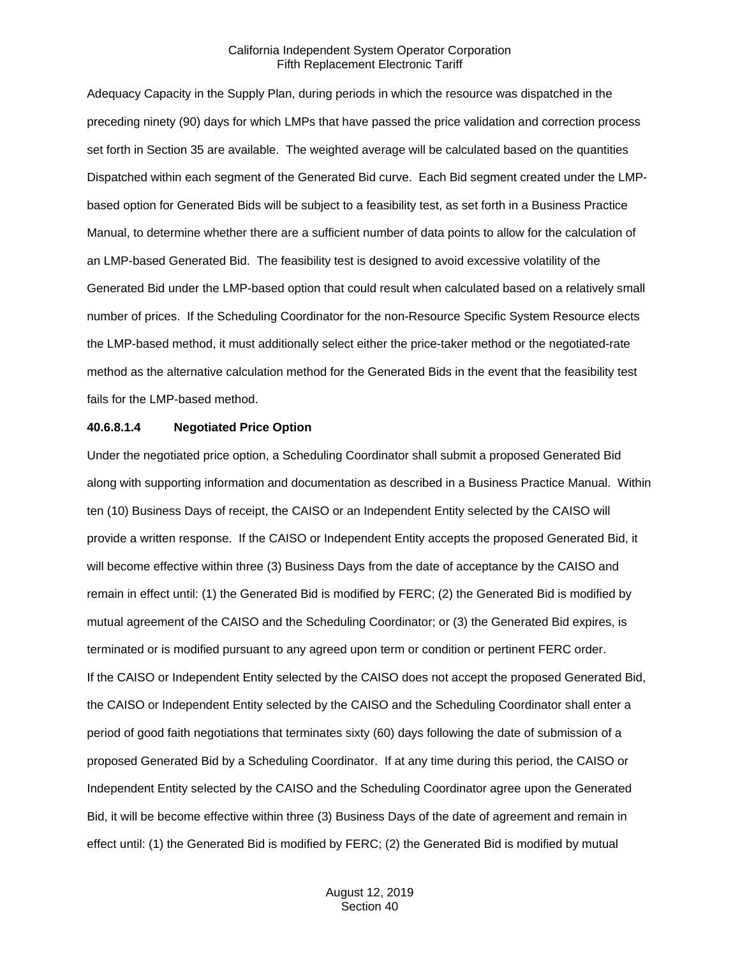Adequacy Capacity in the Supply Plan, during periods in which the resource was dispatched in the preceding ninety (90) days for which LMPs that have passed the price validation and correction process set forth in Section 35 are available. The weighted average will be calculated based on the quantities Dispatched within each segment of the Generated Bid curve. Each Bid segment created under the LMPbased option for Generated Bids will be subject to a feasibility test, as set forth in a Business Practice Manual, to determine whether there are a sufficient number of data points to allow for the calculation of an LMP-based Generated Bid. The feasibility test is designed to avoid excessive volatility of the Generated Bid under the LMP-based option that could result when calculated based on a relatively small number of prices. If the Scheduling Coordinator for the non-Resource Specific System Resource elects the LMP-based method, it must additionally select either the price-taker method or the negotiated-rate method as the alternative calculation method for the Generated Bids in the event that the feasibility test fails for the LMP-based method.

#### **40.6.8.1.4 Negotiated Price Option**

Under the negotiated price option, a Scheduling Coordinator shall submit a proposed Generated Bid along with supporting information and documentation as described in a Business Practice Manual. Within ten (10) Business Days of receipt, the CAISO or an Independent Entity selected by the CAISO will provide a written response. If the CAISO or Independent Entity accepts the proposed Generated Bid, it will become effective within three (3) Business Days from the date of acceptance by the CAISO and remain in effect until: (1) the Generated Bid is modified by FERC; (2) the Generated Bid is modified by mutual agreement of the CAISO and the Scheduling Coordinator; or (3) the Generated Bid expires, is terminated or is modified pursuant to any agreed upon term or condition or pertinent FERC order. If the CAISO or Independent Entity selected by the CAISO does not accept the proposed Generated Bid, the CAISO or Independent Entity selected by the CAISO and the Scheduling Coordinator shall enter a period of good faith negotiations that terminates sixty (60) days following the date of submission of a proposed Generated Bid by a Scheduling Coordinator. If at any time during this period, the CAISO or Independent Entity selected by the CAISO and the Scheduling Coordinator agree upon the Generated Bid, it will be become effective within three (3) Business Days of the date of agreement and remain in effect until: (1) the Generated Bid is modified by FERC; (2) the Generated Bid is modified by mutual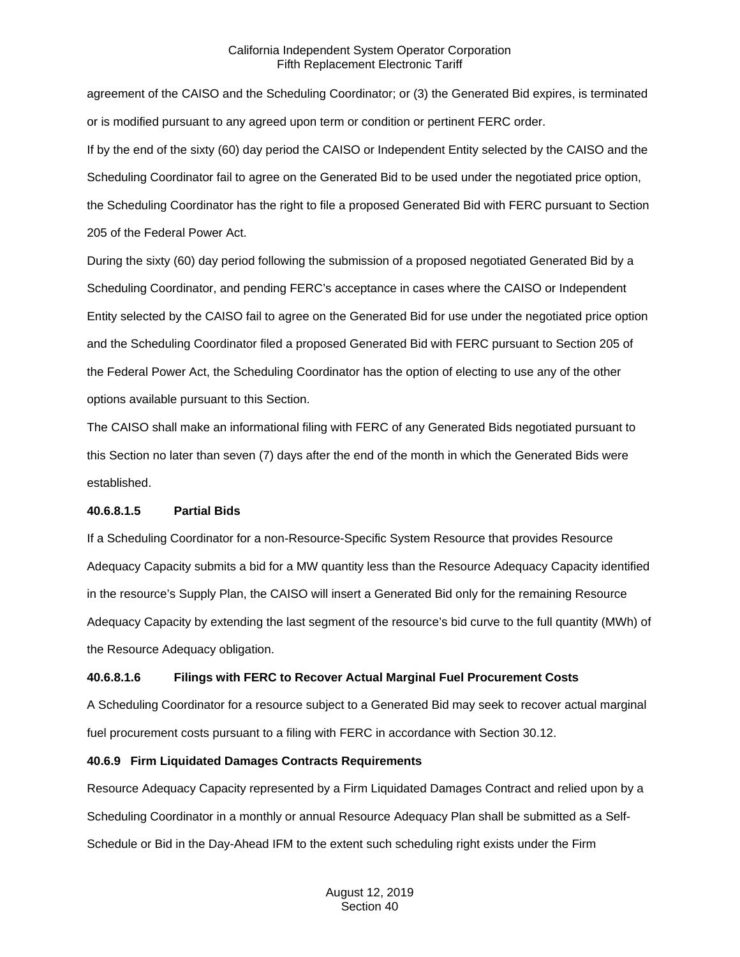agreement of the CAISO and the Scheduling Coordinator; or (3) the Generated Bid expires, is terminated or is modified pursuant to any agreed upon term or condition or pertinent FERC order. If by the end of the sixty (60) day period the CAISO or Independent Entity selected by the CAISO and the Scheduling Coordinator fail to agree on the Generated Bid to be used under the negotiated price option, the Scheduling Coordinator has the right to file a proposed Generated Bid with FERC pursuant to Section 205 of the Federal Power Act.

During the sixty (60) day period following the submission of a proposed negotiated Generated Bid by a Scheduling Coordinator, and pending FERC's acceptance in cases where the CAISO or Independent Entity selected by the CAISO fail to agree on the Generated Bid for use under the negotiated price option and the Scheduling Coordinator filed a proposed Generated Bid with FERC pursuant to Section 205 of the Federal Power Act, the Scheduling Coordinator has the option of electing to use any of the other options available pursuant to this Section.

The CAISO shall make an informational filing with FERC of any Generated Bids negotiated pursuant to this Section no later than seven (7) days after the end of the month in which the Generated Bids were established.

# **40.6.8.1.5 Partial Bids**

If a Scheduling Coordinator for a non-Resource-Specific System Resource that provides Resource Adequacy Capacity submits a bid for a MW quantity less than the Resource Adequacy Capacity identified in the resource's Supply Plan, the CAISO will insert a Generated Bid only for the remaining Resource Adequacy Capacity by extending the last segment of the resource's bid curve to the full quantity (MWh) of the Resource Adequacy obligation.

# **40.6.8.1.6 Filings with FERC to Recover Actual Marginal Fuel Procurement Costs**

A Scheduling Coordinator for a resource subject to a Generated Bid may seek to recover actual marginal fuel procurement costs pursuant to a filing with FERC in accordance with Section 30.12.

# **40.6.9 Firm Liquidated Damages Contracts Requirements**

Resource Adequacy Capacity represented by a Firm Liquidated Damages Contract and relied upon by a Scheduling Coordinator in a monthly or annual Resource Adequacy Plan shall be submitted as a Self-Schedule or Bid in the Day-Ahead IFM to the extent such scheduling right exists under the Firm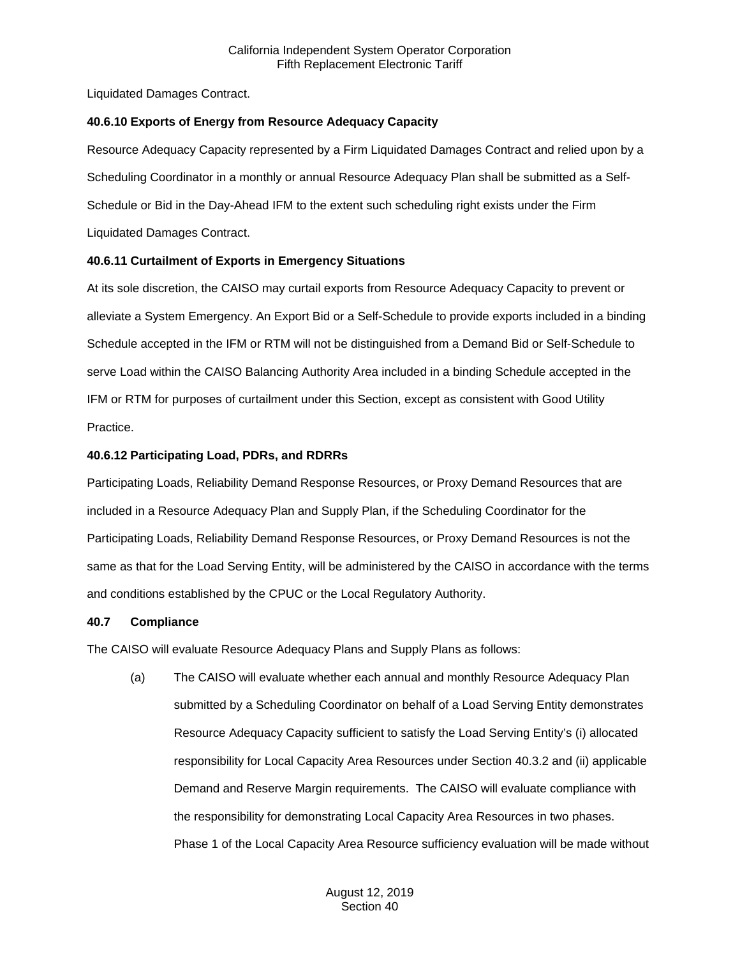Liquidated Damages Contract.

#### **40.6.10 Exports of Energy from Resource Adequacy Capacity**

Resource Adequacy Capacity represented by a Firm Liquidated Damages Contract and relied upon by a Scheduling Coordinator in a monthly or annual Resource Adequacy Plan shall be submitted as a Self-Schedule or Bid in the Day-Ahead IFM to the extent such scheduling right exists under the Firm Liquidated Damages Contract.

## **40.6.11 Curtailment of Exports in Emergency Situations**

At its sole discretion, the CAISO may curtail exports from Resource Adequacy Capacity to prevent or alleviate a System Emergency. An Export Bid or a Self-Schedule to provide exports included in a binding Schedule accepted in the IFM or RTM will not be distinguished from a Demand Bid or Self-Schedule to serve Load within the CAISO Balancing Authority Area included in a binding Schedule accepted in the IFM or RTM for purposes of curtailment under this Section, except as consistent with Good Utility Practice.

## **40.6.12 Participating Load, PDRs, and RDRRs**

Participating Loads, Reliability Demand Response Resources, or Proxy Demand Resources that are included in a Resource Adequacy Plan and Supply Plan, if the Scheduling Coordinator for the Participating Loads, Reliability Demand Response Resources, or Proxy Demand Resources is not the same as that for the Load Serving Entity, will be administered by the CAISO in accordance with the terms and conditions established by the CPUC or the Local Regulatory Authority.

#### **40.7 Compliance**

The CAISO will evaluate Resource Adequacy Plans and Supply Plans as follows:

(a) The CAISO will evaluate whether each annual and monthly Resource Adequacy Plan submitted by a Scheduling Coordinator on behalf of a Load Serving Entity demonstrates Resource Adequacy Capacity sufficient to satisfy the Load Serving Entity's (i) allocated responsibility for Local Capacity Area Resources under Section 40.3.2 and (ii) applicable Demand and Reserve Margin requirements. The CAISO will evaluate compliance with the responsibility for demonstrating Local Capacity Area Resources in two phases. Phase 1 of the Local Capacity Area Resource sufficiency evaluation will be made without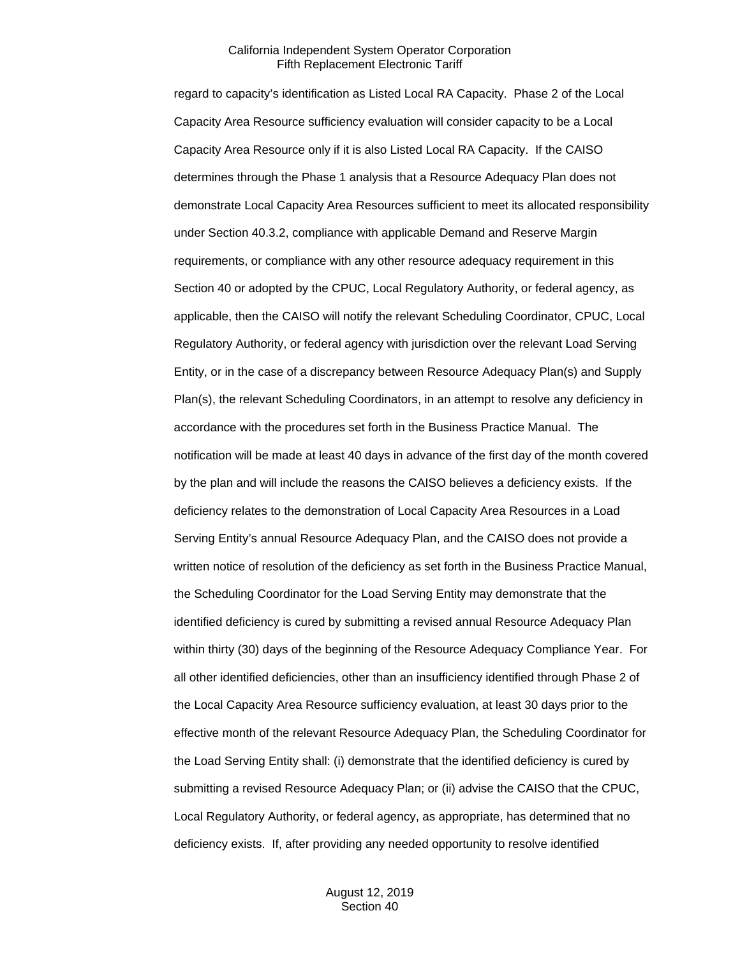regard to capacity's identification as Listed Local RA Capacity. Phase 2 of the Local Capacity Area Resource sufficiency evaluation will consider capacity to be a Local Capacity Area Resource only if it is also Listed Local RA Capacity. If the CAISO determines through the Phase 1 analysis that a Resource Adequacy Plan does not demonstrate Local Capacity Area Resources sufficient to meet its allocated responsibility under Section 40.3.2, compliance with applicable Demand and Reserve Margin requirements, or compliance with any other resource adequacy requirement in this Section 40 or adopted by the CPUC, Local Regulatory Authority, or federal agency, as applicable, then the CAISO will notify the relevant Scheduling Coordinator, CPUC, Local Regulatory Authority, or federal agency with jurisdiction over the relevant Load Serving Entity, or in the case of a discrepancy between Resource Adequacy Plan(s) and Supply Plan(s), the relevant Scheduling Coordinators, in an attempt to resolve any deficiency in accordance with the procedures set forth in the Business Practice Manual. The notification will be made at least 40 days in advance of the first day of the month covered by the plan and will include the reasons the CAISO believes a deficiency exists. If the deficiency relates to the demonstration of Local Capacity Area Resources in a Load Serving Entity's annual Resource Adequacy Plan, and the CAISO does not provide a written notice of resolution of the deficiency as set forth in the Business Practice Manual, the Scheduling Coordinator for the Load Serving Entity may demonstrate that the identified deficiency is cured by submitting a revised annual Resource Adequacy Plan within thirty (30) days of the beginning of the Resource Adequacy Compliance Year. For all other identified deficiencies, other than an insufficiency identified through Phase 2 of the Local Capacity Area Resource sufficiency evaluation, at least 30 days prior to the effective month of the relevant Resource Adequacy Plan, the Scheduling Coordinator for the Load Serving Entity shall: (i) demonstrate that the identified deficiency is cured by submitting a revised Resource Adequacy Plan; or (ii) advise the CAISO that the CPUC, Local Regulatory Authority, or federal agency, as appropriate, has determined that no deficiency exists. If, after providing any needed opportunity to resolve identified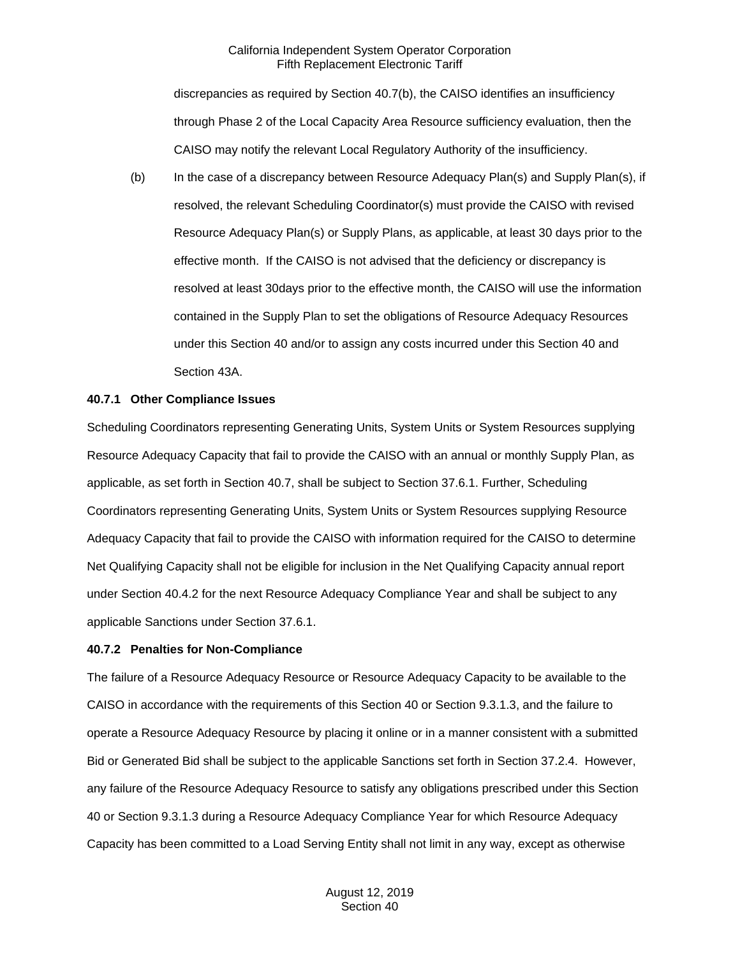discrepancies as required by Section 40.7(b), the CAISO identifies an insufficiency through Phase 2 of the Local Capacity Area Resource sufficiency evaluation, then the CAISO may notify the relevant Local Regulatory Authority of the insufficiency.

(b) In the case of a discrepancy between Resource Adequacy Plan(s) and Supply Plan(s), if resolved, the relevant Scheduling Coordinator(s) must provide the CAISO with revised Resource Adequacy Plan(s) or Supply Plans, as applicable, at least 30 days prior to the effective month. If the CAISO is not advised that the deficiency or discrepancy is resolved at least 30days prior to the effective month, the CAISO will use the information contained in the Supply Plan to set the obligations of Resource Adequacy Resources under this Section 40 and/or to assign any costs incurred under this Section 40 and Section 43A.

## **40.7.1 Other Compliance Issues**

Scheduling Coordinators representing Generating Units, System Units or System Resources supplying Resource Adequacy Capacity that fail to provide the CAISO with an annual or monthly Supply Plan, as applicable, as set forth in Section 40.7, shall be subject to Section 37.6.1. Further, Scheduling Coordinators representing Generating Units, System Units or System Resources supplying Resource Adequacy Capacity that fail to provide the CAISO with information required for the CAISO to determine Net Qualifying Capacity shall not be eligible for inclusion in the Net Qualifying Capacity annual report under Section 40.4.2 for the next Resource Adequacy Compliance Year and shall be subject to any applicable Sanctions under Section 37.6.1.

#### **40.7.2 Penalties for Non-Compliance**

The failure of a Resource Adequacy Resource or Resource Adequacy Capacity to be available to the CAISO in accordance with the requirements of this Section 40 or Section 9.3.1.3, and the failure to operate a Resource Adequacy Resource by placing it online or in a manner consistent with a submitted Bid or Generated Bid shall be subject to the applicable Sanctions set forth in Section 37.2.4. However, any failure of the Resource Adequacy Resource to satisfy any obligations prescribed under this Section 40 or Section 9.3.1.3 during a Resource Adequacy Compliance Year for which Resource Adequacy Capacity has been committed to a Load Serving Entity shall not limit in any way, except as otherwise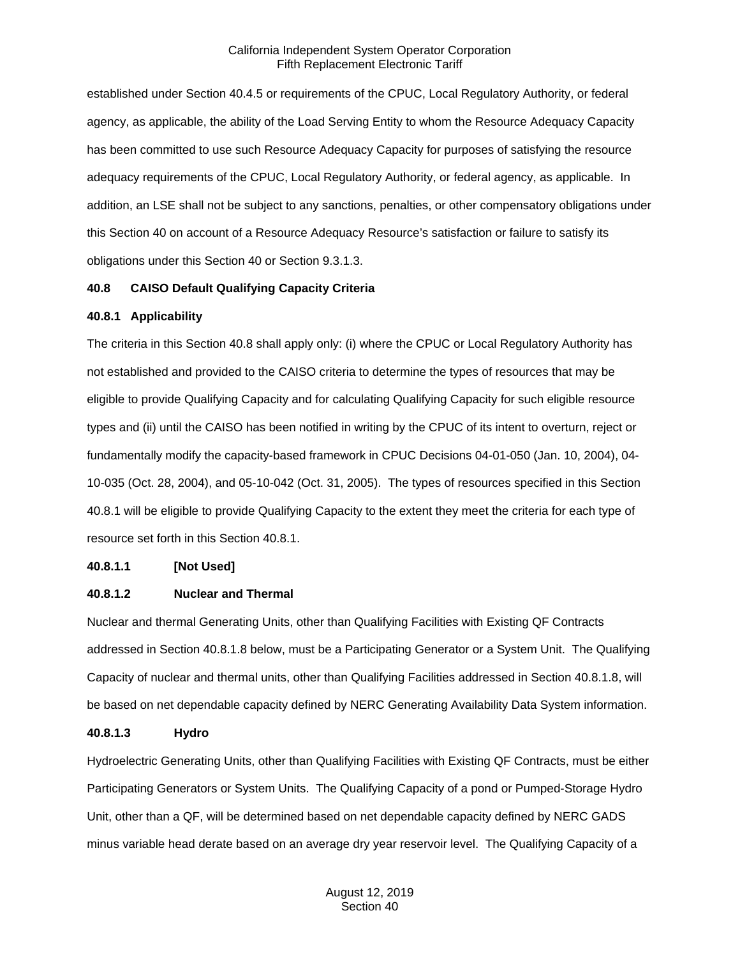established under Section 40.4.5 or requirements of the CPUC, Local Regulatory Authority, or federal agency, as applicable, the ability of the Load Serving Entity to whom the Resource Adequacy Capacity has been committed to use such Resource Adequacy Capacity for purposes of satisfying the resource adequacy requirements of the CPUC, Local Regulatory Authority, or federal agency, as applicable. In addition, an LSE shall not be subject to any sanctions, penalties, or other compensatory obligations under this Section 40 on account of a Resource Adequacy Resource's satisfaction or failure to satisfy its obligations under this Section 40 or Section 9.3.1.3.

## **40.8 CAISO Default Qualifying Capacity Criteria**

## **40.8.1 Applicability**

The criteria in this Section 40.8 shall apply only: (i) where the CPUC or Local Regulatory Authority has not established and provided to the CAISO criteria to determine the types of resources that may be eligible to provide Qualifying Capacity and for calculating Qualifying Capacity for such eligible resource types and (ii) until the CAISO has been notified in writing by the CPUC of its intent to overturn, reject or fundamentally modify the capacity-based framework in CPUC Decisions 04-01-050 (Jan. 10, 2004), 04- 10-035 (Oct. 28, 2004), and 05-10-042 (Oct. 31, 2005). The types of resources specified in this Section 40.8.1 will be eligible to provide Qualifying Capacity to the extent they meet the criteria for each type of resource set forth in this Section 40.8.1.

# **40.8.1.1 [Not Used]**

# **40.8.1.2 Nuclear and Thermal**

Nuclear and thermal Generating Units, other than Qualifying Facilities with Existing QF Contracts addressed in Section 40.8.1.8 below, must be a Participating Generator or a System Unit. The Qualifying Capacity of nuclear and thermal units, other than Qualifying Facilities addressed in Section 40.8.1.8, will be based on net dependable capacity defined by NERC Generating Availability Data System information.

#### **40.8.1.3 Hydro**

Hydroelectric Generating Units, other than Qualifying Facilities with Existing QF Contracts, must be either Participating Generators or System Units. The Qualifying Capacity of a pond or Pumped-Storage Hydro Unit, other than a QF, will be determined based on net dependable capacity defined by NERC GADS minus variable head derate based on an average dry year reservoir level. The Qualifying Capacity of a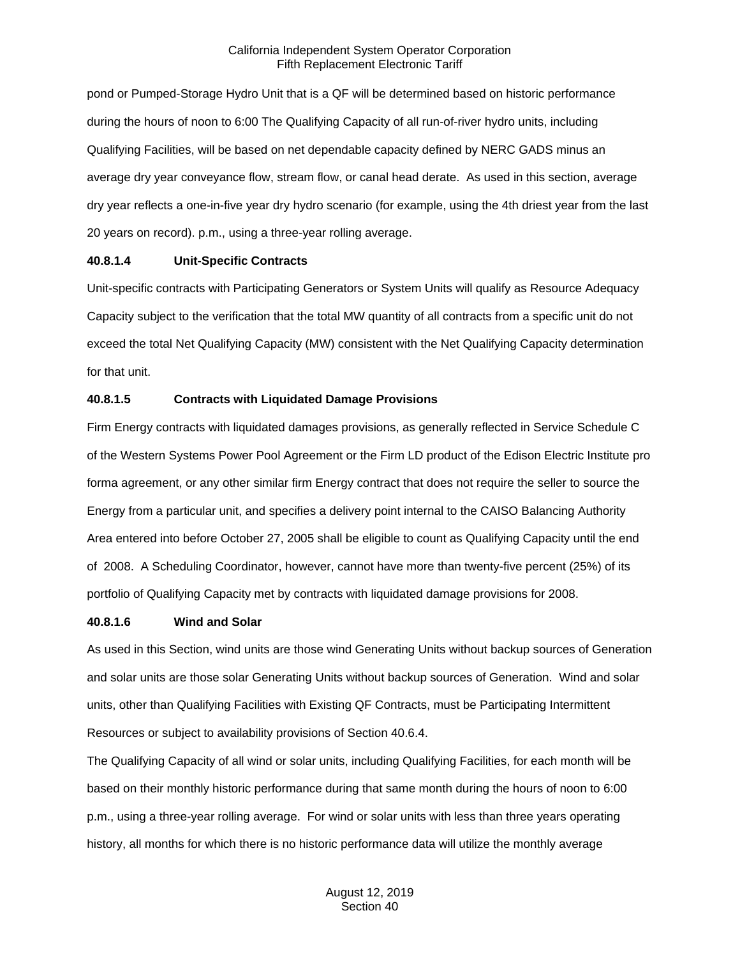pond or Pumped-Storage Hydro Unit that is a QF will be determined based on historic performance during the hours of noon to 6:00 The Qualifying Capacity of all run-of-river hydro units, including Qualifying Facilities, will be based on net dependable capacity defined by NERC GADS minus an average dry year conveyance flow, stream flow, or canal head derate. As used in this section, average dry year reflects a one-in-five year dry hydro scenario (for example, using the 4th driest year from the last 20 years on record). p.m., using a three-year rolling average.

## **40.8.1.4 Unit-Specific Contracts**

Unit-specific contracts with Participating Generators or System Units will qualify as Resource Adequacy Capacity subject to the verification that the total MW quantity of all contracts from a specific unit do not exceed the total Net Qualifying Capacity (MW) consistent with the Net Qualifying Capacity determination for that unit.

# **40.8.1.5 Contracts with Liquidated Damage Provisions**

Firm Energy contracts with liquidated damages provisions, as generally reflected in Service Schedule C of the Western Systems Power Pool Agreement or the Firm LD product of the Edison Electric Institute pro forma agreement, or any other similar firm Energy contract that does not require the seller to source the Energy from a particular unit, and specifies a delivery point internal to the CAISO Balancing Authority Area entered into before October 27, 2005 shall be eligible to count as Qualifying Capacity until the end of 2008. A Scheduling Coordinator, however, cannot have more than twenty-five percent (25%) of its portfolio of Qualifying Capacity met by contracts with liquidated damage provisions for 2008.

#### **40.8.1.6 Wind and Solar**

As used in this Section, wind units are those wind Generating Units without backup sources of Generation and solar units are those solar Generating Units without backup sources of Generation. Wind and solar units, other than Qualifying Facilities with Existing QF Contracts, must be Participating Intermittent Resources or subject to availability provisions of Section 40.6.4.

The Qualifying Capacity of all wind or solar units, including Qualifying Facilities, for each month will be based on their monthly historic performance during that same month during the hours of noon to 6:00 p.m., using a three-year rolling average. For wind or solar units with less than three years operating history, all months for which there is no historic performance data will utilize the monthly average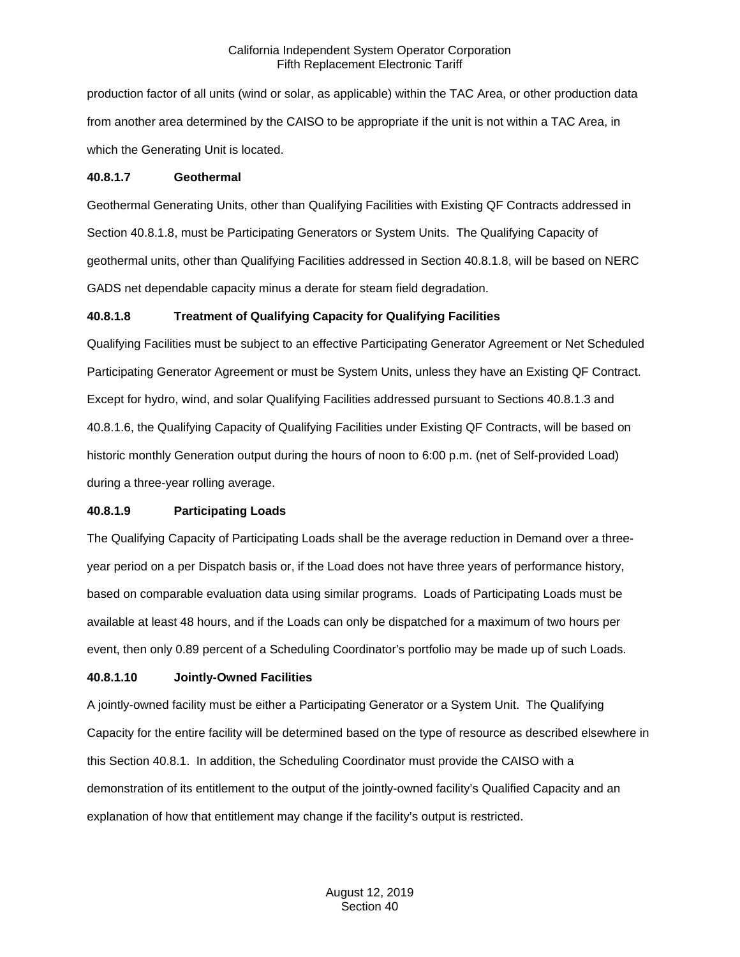production factor of all units (wind or solar, as applicable) within the TAC Area, or other production data from another area determined by the CAISO to be appropriate if the unit is not within a TAC Area, in which the Generating Unit is located.

#### **40.8.1.7 Geothermal**

Geothermal Generating Units, other than Qualifying Facilities with Existing QF Contracts addressed in Section 40.8.1.8, must be Participating Generators or System Units. The Qualifying Capacity of geothermal units, other than Qualifying Facilities addressed in Section 40.8.1.8, will be based on NERC GADS net dependable capacity minus a derate for steam field degradation.

# **40.8.1.8 Treatment of Qualifying Capacity for Qualifying Facilities**

Qualifying Facilities must be subject to an effective Participating Generator Agreement or Net Scheduled Participating Generator Agreement or must be System Units, unless they have an Existing QF Contract. Except for hydro, wind, and solar Qualifying Facilities addressed pursuant to Sections 40.8.1.3 and 40.8.1.6, the Qualifying Capacity of Qualifying Facilities under Existing QF Contracts, will be based on historic monthly Generation output during the hours of noon to 6:00 p.m. (net of Self-provided Load) during a three-year rolling average.

# **40.8.1.9 Participating Loads**

The Qualifying Capacity of Participating Loads shall be the average reduction in Demand over a threeyear period on a per Dispatch basis or, if the Load does not have three years of performance history, based on comparable evaluation data using similar programs. Loads of Participating Loads must be available at least 48 hours, and if the Loads can only be dispatched for a maximum of two hours per event, then only 0.89 percent of a Scheduling Coordinator's portfolio may be made up of such Loads.

# **40.8.1.10 Jointly-Owned Facilities**

A jointly-owned facility must be either a Participating Generator or a System Unit. The Qualifying Capacity for the entire facility will be determined based on the type of resource as described elsewhere in this Section 40.8.1. In addition, the Scheduling Coordinator must provide the CAISO with a demonstration of its entitlement to the output of the jointly-owned facility's Qualified Capacity and an explanation of how that entitlement may change if the facility's output is restricted.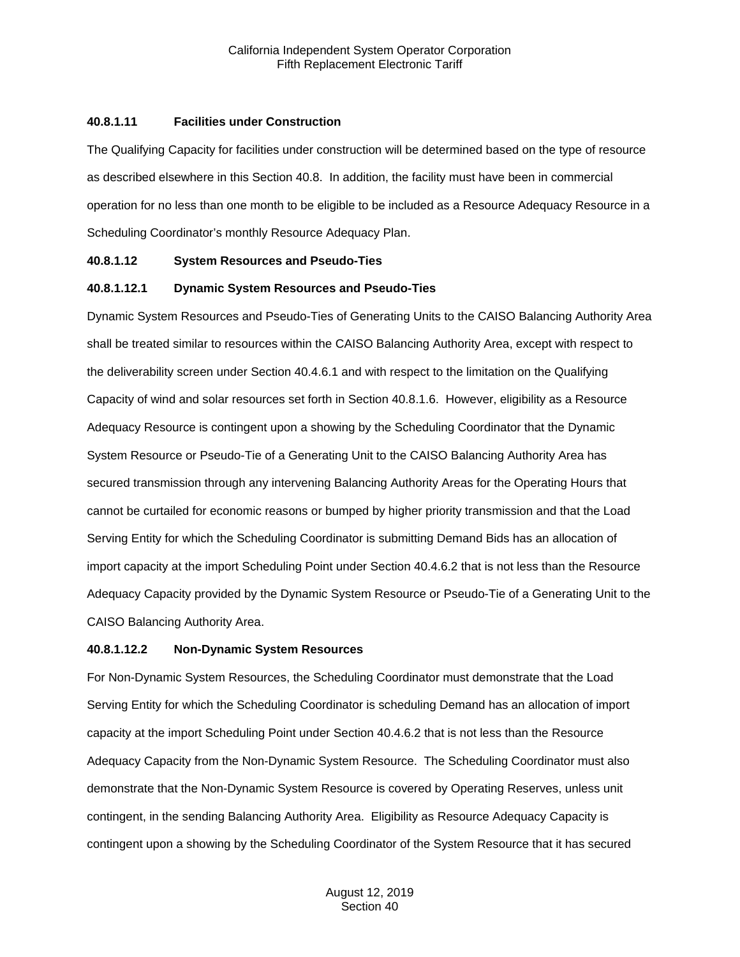#### **40.8.1.11 Facilities under Construction**

The Qualifying Capacity for facilities under construction will be determined based on the type of resource as described elsewhere in this Section 40.8. In addition, the facility must have been in commercial operation for no less than one month to be eligible to be included as a Resource Adequacy Resource in a Scheduling Coordinator's monthly Resource Adequacy Plan.

## **40.8.1.12 System Resources and Pseudo-Ties**

## **40.8.1.12.1 Dynamic System Resources and Pseudo-Ties**

Dynamic System Resources and Pseudo-Ties of Generating Units to the CAISO Balancing Authority Area shall be treated similar to resources within the CAISO Balancing Authority Area, except with respect to the deliverability screen under Section 40.4.6.1 and with respect to the limitation on the Qualifying Capacity of wind and solar resources set forth in Section 40.8.1.6. However, eligibility as a Resource Adequacy Resource is contingent upon a showing by the Scheduling Coordinator that the Dynamic System Resource or Pseudo-Tie of a Generating Unit to the CAISO Balancing Authority Area has secured transmission through any intervening Balancing Authority Areas for the Operating Hours that cannot be curtailed for economic reasons or bumped by higher priority transmission and that the Load Serving Entity for which the Scheduling Coordinator is submitting Demand Bids has an allocation of import capacity at the import Scheduling Point under Section 40.4.6.2 that is not less than the Resource Adequacy Capacity provided by the Dynamic System Resource or Pseudo-Tie of a Generating Unit to the CAISO Balancing Authority Area.

#### **40.8.1.12.2 Non-Dynamic System Resources**

For Non-Dynamic System Resources, the Scheduling Coordinator must demonstrate that the Load Serving Entity for which the Scheduling Coordinator is scheduling Demand has an allocation of import capacity at the import Scheduling Point under Section 40.4.6.2 that is not less than the Resource Adequacy Capacity from the Non-Dynamic System Resource. The Scheduling Coordinator must also demonstrate that the Non-Dynamic System Resource is covered by Operating Reserves, unless unit contingent, in the sending Balancing Authority Area. Eligibility as Resource Adequacy Capacity is contingent upon a showing by the Scheduling Coordinator of the System Resource that it has secured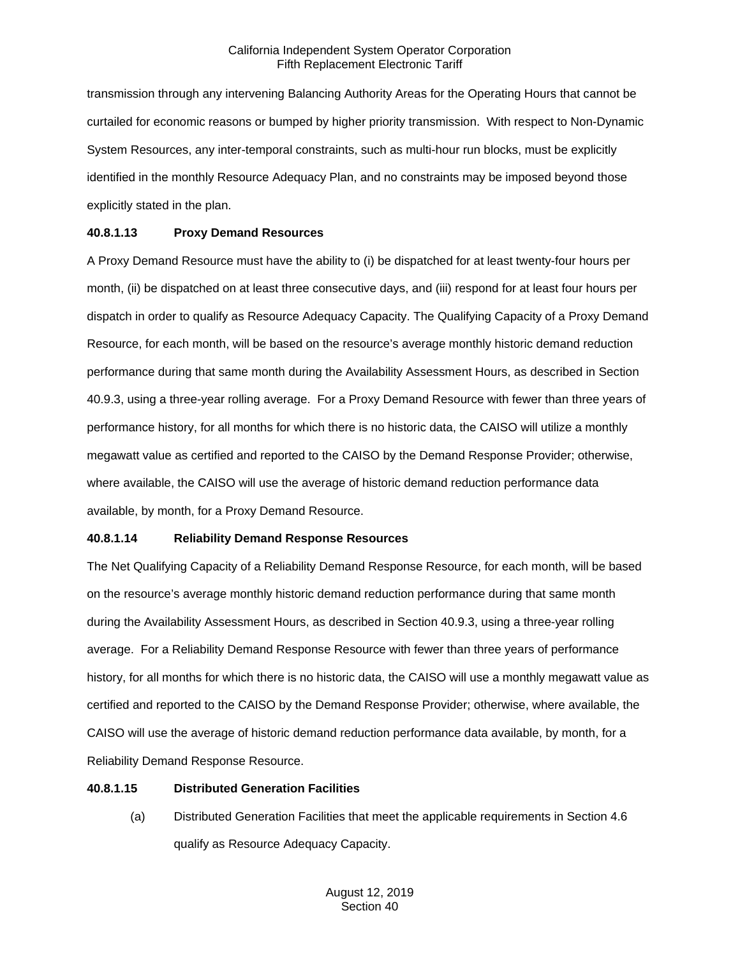transmission through any intervening Balancing Authority Areas for the Operating Hours that cannot be curtailed for economic reasons or bumped by higher priority transmission. With respect to Non-Dynamic System Resources, any inter-temporal constraints, such as multi-hour run blocks, must be explicitly identified in the monthly Resource Adequacy Plan, and no constraints may be imposed beyond those explicitly stated in the plan.

# **40.8.1.13 Proxy Demand Resources**

A Proxy Demand Resource must have the ability to (i) be dispatched for at least twenty-four hours per month, (ii) be dispatched on at least three consecutive days, and (iii) respond for at least four hours per dispatch in order to qualify as Resource Adequacy Capacity. The Qualifying Capacity of a Proxy Demand Resource, for each month, will be based on the resource's average monthly historic demand reduction performance during that same month during the Availability Assessment Hours, as described in Section 40.9.3, using a three-year rolling average. For a Proxy Demand Resource with fewer than three years of performance history, for all months for which there is no historic data, the CAISO will utilize a monthly megawatt value as certified and reported to the CAISO by the Demand Response Provider; otherwise, where available, the CAISO will use the average of historic demand reduction performance data available, by month, for a Proxy Demand Resource.

# **40.8.1.14 Reliability Demand Response Resources**

The Net Qualifying Capacity of a Reliability Demand Response Resource, for each month, will be based on the resource's average monthly historic demand reduction performance during that same month during the Availability Assessment Hours, as described in Section 40.9.3, using a three-year rolling average. For a Reliability Demand Response Resource with fewer than three years of performance history, for all months for which there is no historic data, the CAISO will use a monthly megawatt value as certified and reported to the CAISO by the Demand Response Provider; otherwise, where available, the CAISO will use the average of historic demand reduction performance data available, by month, for a Reliability Demand Response Resource.

# **40.8.1.15 Distributed Generation Facilities**

(a) Distributed Generation Facilities that meet the applicable requirements in Section 4.6 qualify as Resource Adequacy Capacity.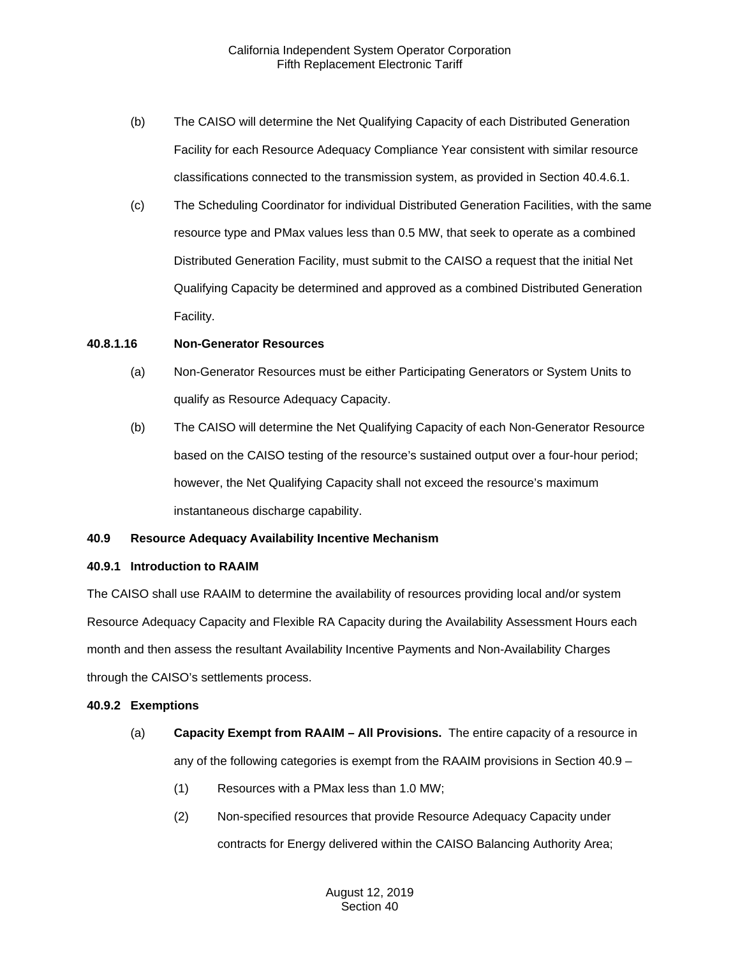- (b) The CAISO will determine the Net Qualifying Capacity of each Distributed Generation Facility for each Resource Adequacy Compliance Year consistent with similar resource classifications connected to the transmission system, as provided in Section 40.4.6.1.
- (c) The Scheduling Coordinator for individual Distributed Generation Facilities, with the same resource type and PMax values less than 0.5 MW, that seek to operate as a combined Distributed Generation Facility, must submit to the CAISO a request that the initial Net Qualifying Capacity be determined and approved as a combined Distributed Generation Facility.

## **40.8.1.16 Non-Generator Resources**

- (a) Non-Generator Resources must be either Participating Generators or System Units to qualify as Resource Adequacy Capacity.
- (b) The CAISO will determine the Net Qualifying Capacity of each Non-Generator Resource based on the CAISO testing of the resource's sustained output over a four-hour period; however, the Net Qualifying Capacity shall not exceed the resource's maximum instantaneous discharge capability.

# **40.9 Resource Adequacy Availability Incentive Mechanism**

#### **40.9.1 Introduction to RAAIM**

The CAISO shall use RAAIM to determine the availability of resources providing local and/or system Resource Adequacy Capacity and Flexible RA Capacity during the Availability Assessment Hours each month and then assess the resultant Availability Incentive Payments and Non-Availability Charges through the CAISO's settlements process.

# **40.9.2 Exemptions**

- (a) **Capacity Exempt from RAAIM – All Provisions.** The entire capacity of a resource in any of the following categories is exempt from the RAAIM provisions in Section 40.9 –
	- (1) Resources with a PMax less than 1.0 MW;
	- (2) Non-specified resources that provide Resource Adequacy Capacity under contracts for Energy delivered within the CAISO Balancing Authority Area;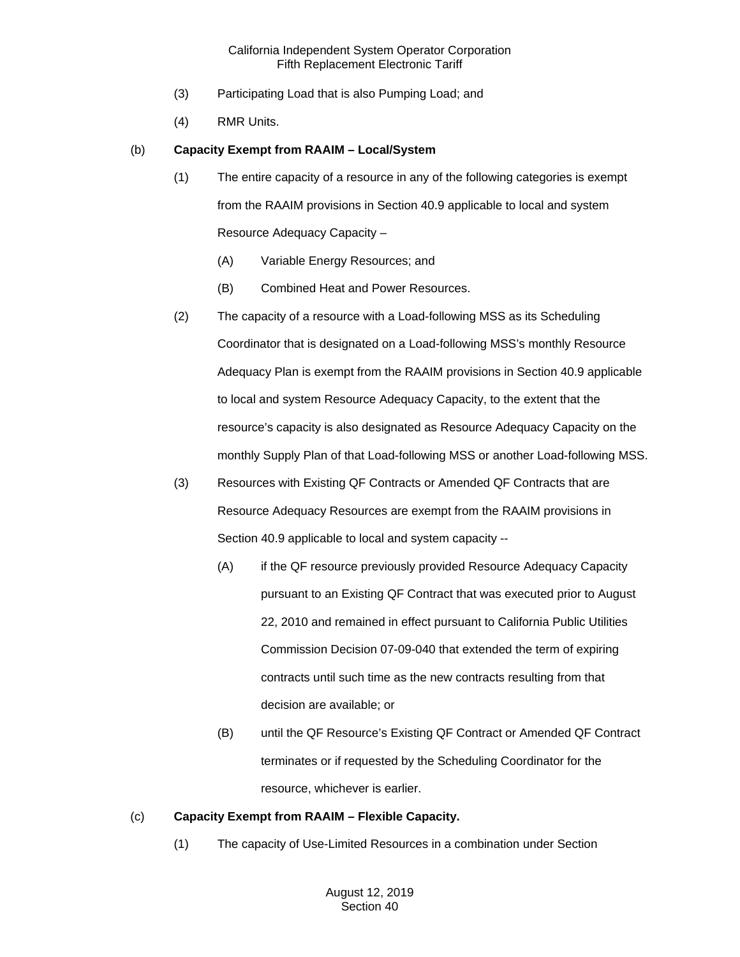- (3) Participating Load that is also Pumping Load; and
- (4) RMR Units.

# (b) **Capacity Exempt from RAAIM – Local/System**

- (1) The entire capacity of a resource in any of the following categories is exempt from the RAAIM provisions in Section 40.9 applicable to local and system Resource Adequacy Capacity –
	- (A) Variable Energy Resources; and
	- (B) Combined Heat and Power Resources.
- (2) The capacity of a resource with a Load-following MSS as its Scheduling Coordinator that is designated on a Load-following MSS's monthly Resource Adequacy Plan is exempt from the RAAIM provisions in Section 40.9 applicable to local and system Resource Adequacy Capacity, to the extent that the resource's capacity is also designated as Resource Adequacy Capacity on the monthly Supply Plan of that Load-following MSS or another Load-following MSS.
- (3) Resources with Existing QF Contracts or Amended QF Contracts that are Resource Adequacy Resources are exempt from the RAAIM provisions in Section 40.9 applicable to local and system capacity --
	- (A) if the QF resource previously provided Resource Adequacy Capacity pursuant to an Existing QF Contract that was executed prior to August 22, 2010 and remained in effect pursuant to California Public Utilities Commission Decision 07-09-040 that extended the term of expiring contracts until such time as the new contracts resulting from that decision are available; or
	- (B) until the QF Resource's Existing QF Contract or Amended QF Contract terminates or if requested by the Scheduling Coordinator for the resource, whichever is earlier.

# (c) **Capacity Exempt from RAAIM – Flexible Capacity.**

(1) The capacity of Use-Limited Resources in a combination under Section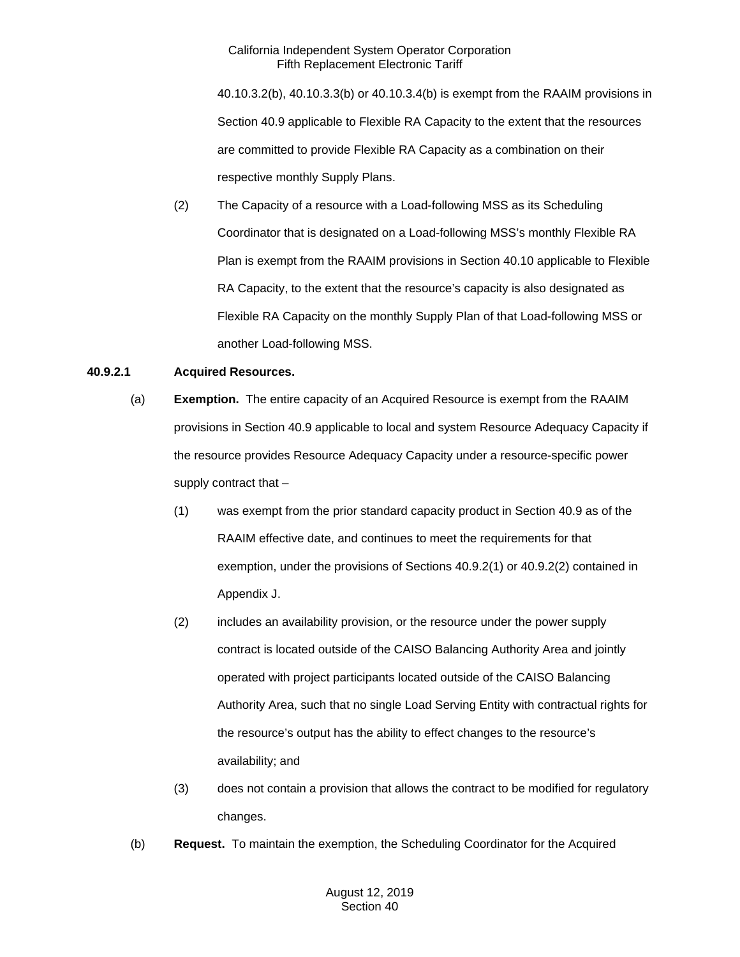40.10.3.2(b), 40.10.3.3(b) or 40.10.3.4(b) is exempt from the RAAIM provisions in Section 40.9 applicable to Flexible RA Capacity to the extent that the resources are committed to provide Flexible RA Capacity as a combination on their respective monthly Supply Plans.

(2) The Capacity of a resource with a Load-following MSS as its Scheduling Coordinator that is designated on a Load-following MSS's monthly Flexible RA Plan is exempt from the RAAIM provisions in Section 40.10 applicable to Flexible RA Capacity, to the extent that the resource's capacity is also designated as Flexible RA Capacity on the monthly Supply Plan of that Load-following MSS or another Load-following MSS.

# **40.9.2.1 Acquired Resources.**

- (a) **Exemption.** The entire capacity of an Acquired Resource is exempt from the RAAIM provisions in Section 40.9 applicable to local and system Resource Adequacy Capacity if the resource provides Resource Adequacy Capacity under a resource-specific power supply contract that –
	- (1) was exempt from the prior standard capacity product in Section 40.9 as of the RAAIM effective date, and continues to meet the requirements for that exemption, under the provisions of Sections 40.9.2(1) or 40.9.2(2) contained in Appendix J.
	- (2) includes an availability provision, or the resource under the power supply contract is located outside of the CAISO Balancing Authority Area and jointly operated with project participants located outside of the CAISO Balancing Authority Area, such that no single Load Serving Entity with contractual rights for the resource's output has the ability to effect changes to the resource's availability; and
	- (3) does not contain a provision that allows the contract to be modified for regulatory changes.
- (b) **Request.** To maintain the exemption, the Scheduling Coordinator for the Acquired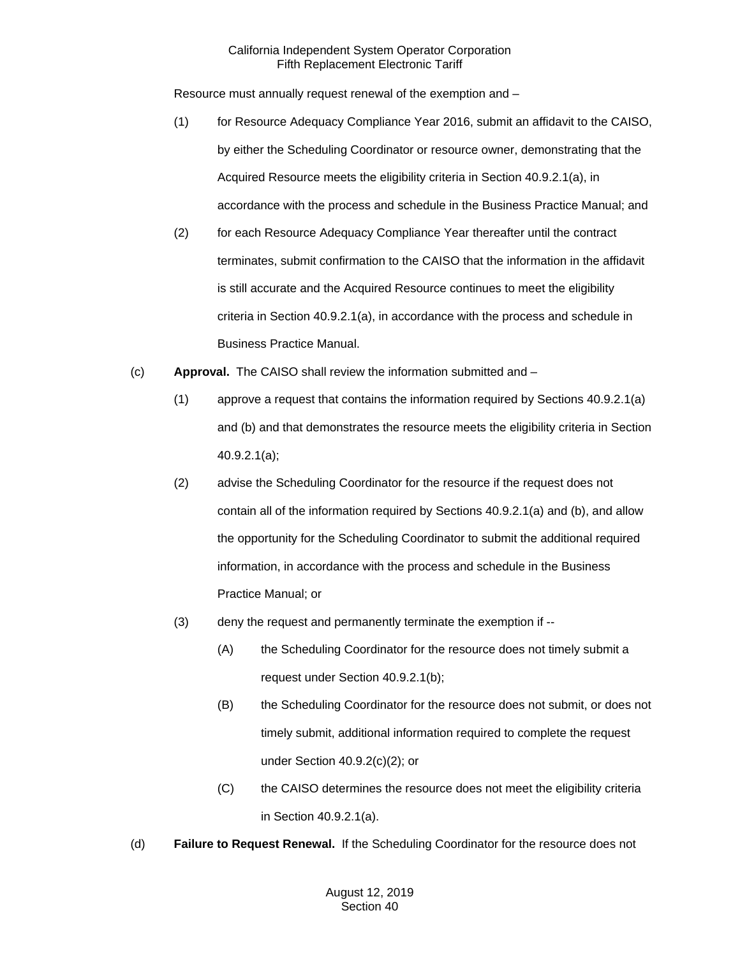Resource must annually request renewal of the exemption and –

- (1) for Resource Adequacy Compliance Year 2016, submit an affidavit to the CAISO, by either the Scheduling Coordinator or resource owner, demonstrating that the Acquired Resource meets the eligibility criteria in Section 40.9.2.1(a), in accordance with the process and schedule in the Business Practice Manual; and
- (2) for each Resource Adequacy Compliance Year thereafter until the contract terminates, submit confirmation to the CAISO that the information in the affidavit is still accurate and the Acquired Resource continues to meet the eligibility criteria in Section 40.9.2.1(a), in accordance with the process and schedule in Business Practice Manual.
- (c) **Approval.** The CAISO shall review the information submitted and
	- (1) approve a request that contains the information required by Sections 40.9.2.1(a) and (b) and that demonstrates the resource meets the eligibility criteria in Section 40.9.2.1(a);
	- (2) advise the Scheduling Coordinator for the resource if the request does not contain all of the information required by Sections 40.9.2.1(a) and (b), and allow the opportunity for the Scheduling Coordinator to submit the additional required information, in accordance with the process and schedule in the Business Practice Manual; or
	- (3) deny the request and permanently terminate the exemption if --
		- (A) the Scheduling Coordinator for the resource does not timely submit a request under Section 40.9.2.1(b);
		- (B) the Scheduling Coordinator for the resource does not submit, or does not timely submit, additional information required to complete the request under Section 40.9.2(c)(2); or
		- (C) the CAISO determines the resource does not meet the eligibility criteria in Section 40.9.2.1(a).
- (d) **Failure to Request Renewal.** If the Scheduling Coordinator for the resource does not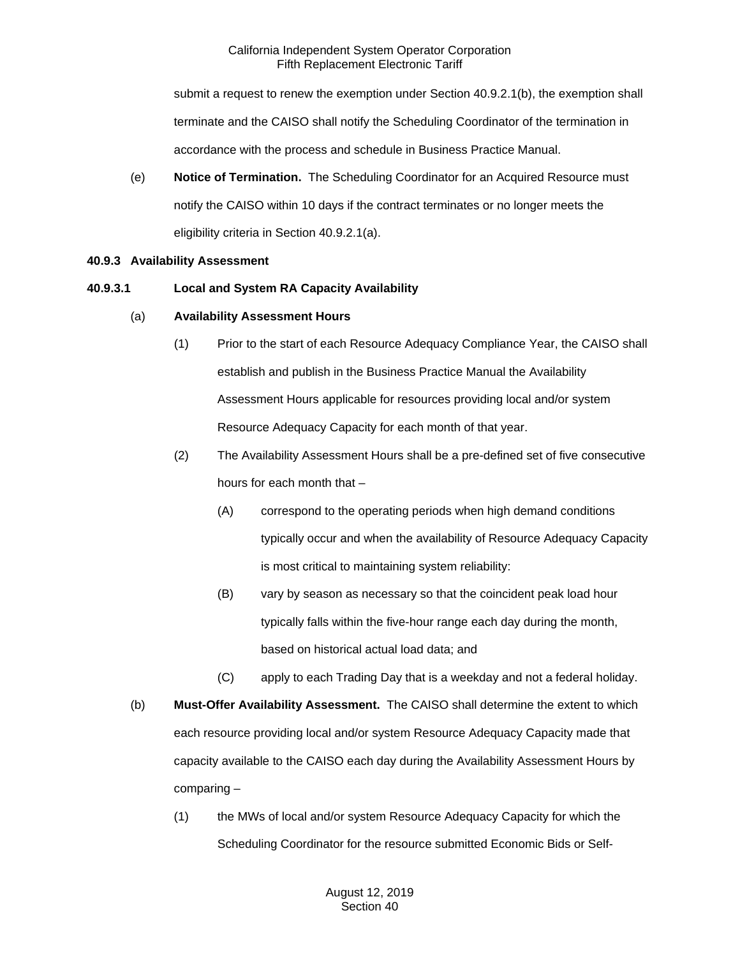submit a request to renew the exemption under Section 40.9.2.1(b), the exemption shall terminate and the CAISO shall notify the Scheduling Coordinator of the termination in accordance with the process and schedule in Business Practice Manual.

(e) **Notice of Termination.** The Scheduling Coordinator for an Acquired Resource must notify the CAISO within 10 days if the contract terminates or no longer meets the eligibility criteria in Section 40.9.2.1(a).

# **40.9.3 Availability Assessment**

## **40.9.3.1 Local and System RA Capacity Availability**

# (a) **Availability Assessment Hours**

- (1) Prior to the start of each Resource Adequacy Compliance Year, the CAISO shall establish and publish in the Business Practice Manual the Availability Assessment Hours applicable for resources providing local and/or system Resource Adequacy Capacity for each month of that year.
- (2) The Availability Assessment Hours shall be a pre-defined set of five consecutive hours for each month that –
	- (A) correspond to the operating periods when high demand conditions typically occur and when the availability of Resource Adequacy Capacity is most critical to maintaining system reliability:
	- (B) vary by season as necessary so that the coincident peak load hour typically falls within the five-hour range each day during the month, based on historical actual load data; and
	- (C) apply to each Trading Day that is a weekday and not a federal holiday.
- (b) **Must-Offer Availability Assessment.** The CAISO shall determine the extent to which each resource providing local and/or system Resource Adequacy Capacity made that capacity available to the CAISO each day during the Availability Assessment Hours by comparing –
	- (1) the MWs of local and/or system Resource Adequacy Capacity for which the Scheduling Coordinator for the resource submitted Economic Bids or Self-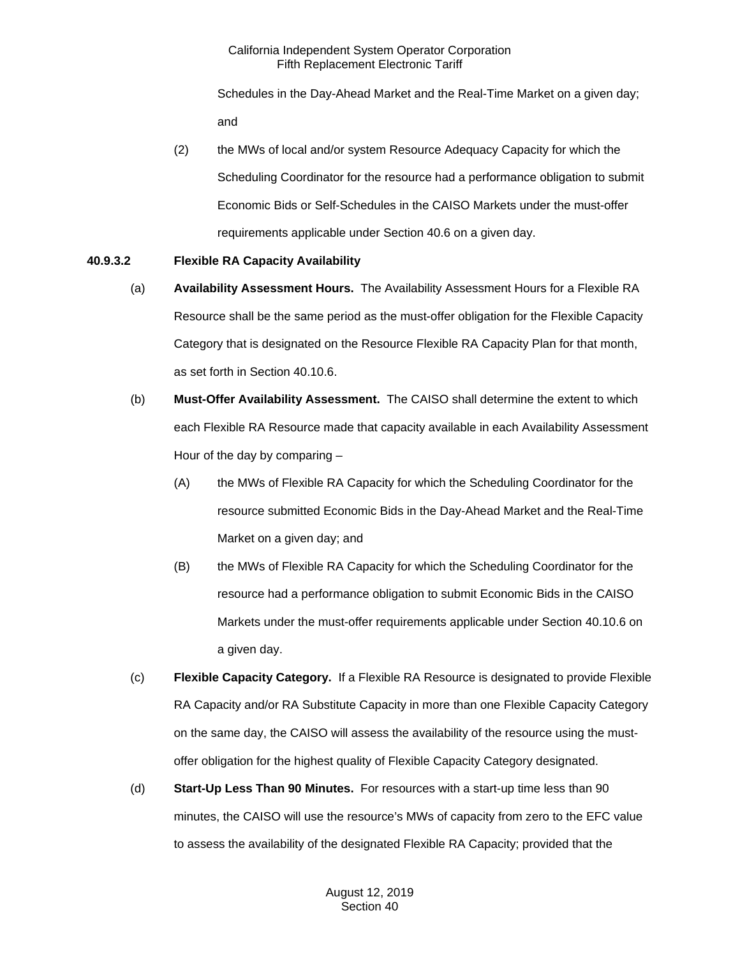Schedules in the Day-Ahead Market and the Real-Time Market on a given day; and

(2) the MWs of local and/or system Resource Adequacy Capacity for which the Scheduling Coordinator for the resource had a performance obligation to submit Economic Bids or Self-Schedules in the CAISO Markets under the must-offer requirements applicable under Section 40.6 on a given day.

# **40.9.3.2 Flexible RA Capacity Availability**

- (a) **Availability Assessment Hours.** The Availability Assessment Hours for a Flexible RA Resource shall be the same period as the must-offer obligation for the Flexible Capacity Category that is designated on the Resource Flexible RA Capacity Plan for that month, as set forth in Section 40.10.6.
- (b) **Must-Offer Availability Assessment.** The CAISO shall determine the extent to which each Flexible RA Resource made that capacity available in each Availability Assessment Hour of the day by comparing –
	- (A) the MWs of Flexible RA Capacity for which the Scheduling Coordinator for the resource submitted Economic Bids in the Day-Ahead Market and the Real-Time Market on a given day; and
	- (B) the MWs of Flexible RA Capacity for which the Scheduling Coordinator for the resource had a performance obligation to submit Economic Bids in the CAISO Markets under the must-offer requirements applicable under Section 40.10.6 on a given day.
- (c) **Flexible Capacity Category.** If a Flexible RA Resource is designated to provide Flexible RA Capacity and/or RA Substitute Capacity in more than one Flexible Capacity Category on the same day, the CAISO will assess the availability of the resource using the mustoffer obligation for the highest quality of Flexible Capacity Category designated.
- (d) **Start-Up Less Than 90 Minutes.** For resources with a start-up time less than 90 minutes, the CAISO will use the resource's MWs of capacity from zero to the EFC value to assess the availability of the designated Flexible RA Capacity; provided that the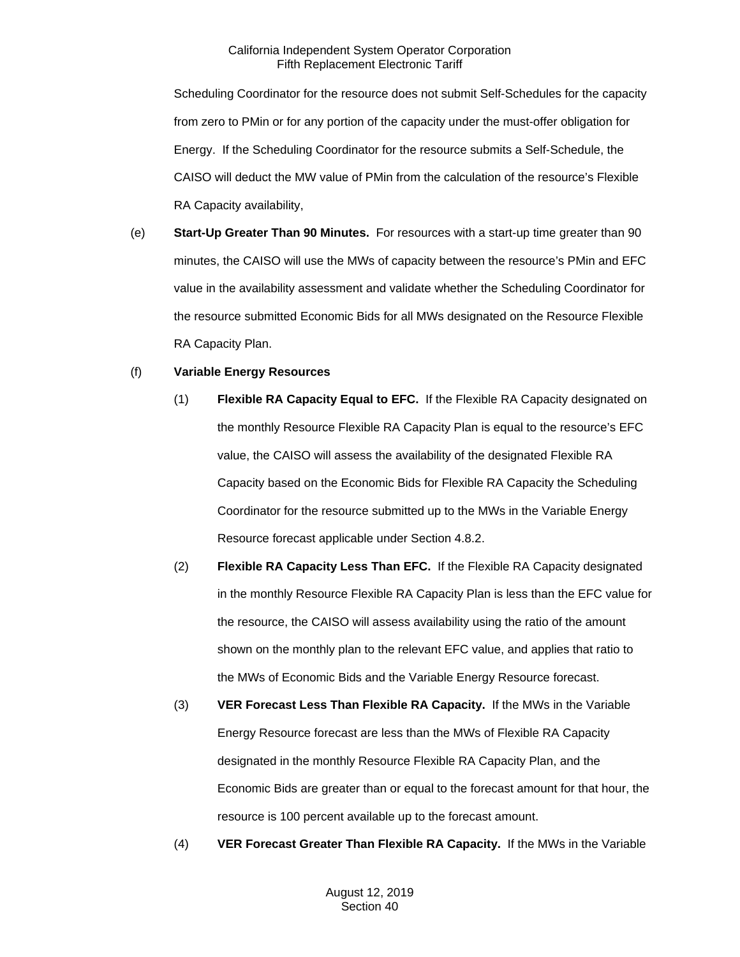Scheduling Coordinator for the resource does not submit Self-Schedules for the capacity from zero to PMin or for any portion of the capacity under the must-offer obligation for Energy. If the Scheduling Coordinator for the resource submits a Self-Schedule, the CAISO will deduct the MW value of PMin from the calculation of the resource's Flexible RA Capacity availability,

(e) **Start-Up Greater Than 90 Minutes.** For resources with a start-up time greater than 90 minutes, the CAISO will use the MWs of capacity between the resource's PMin and EFC value in the availability assessment and validate whether the Scheduling Coordinator for the resource submitted Economic Bids for all MWs designated on the Resource Flexible RA Capacity Plan.

## (f) **Variable Energy Resources**

- (1) **Flexible RA Capacity Equal to EFC.** If the Flexible RA Capacity designated on the monthly Resource Flexible RA Capacity Plan is equal to the resource's EFC value, the CAISO will assess the availability of the designated Flexible RA Capacity based on the Economic Bids for Flexible RA Capacity the Scheduling Coordinator for the resource submitted up to the MWs in the Variable Energy Resource forecast applicable under Section 4.8.2.
- (2) **Flexible RA Capacity Less Than EFC.** If the Flexible RA Capacity designated in the monthly Resource Flexible RA Capacity Plan is less than the EFC value for the resource, the CAISO will assess availability using the ratio of the amount shown on the monthly plan to the relevant EFC value, and applies that ratio to the MWs of Economic Bids and the Variable Energy Resource forecast.
- (3) **VER Forecast Less Than Flexible RA Capacity.** If the MWs in the Variable Energy Resource forecast are less than the MWs of Flexible RA Capacity designated in the monthly Resource Flexible RA Capacity Plan, and the Economic Bids are greater than or equal to the forecast amount for that hour, the resource is 100 percent available up to the forecast amount.
- (4) **VER Forecast Greater Than Flexible RA Capacity.** If the MWs in the Variable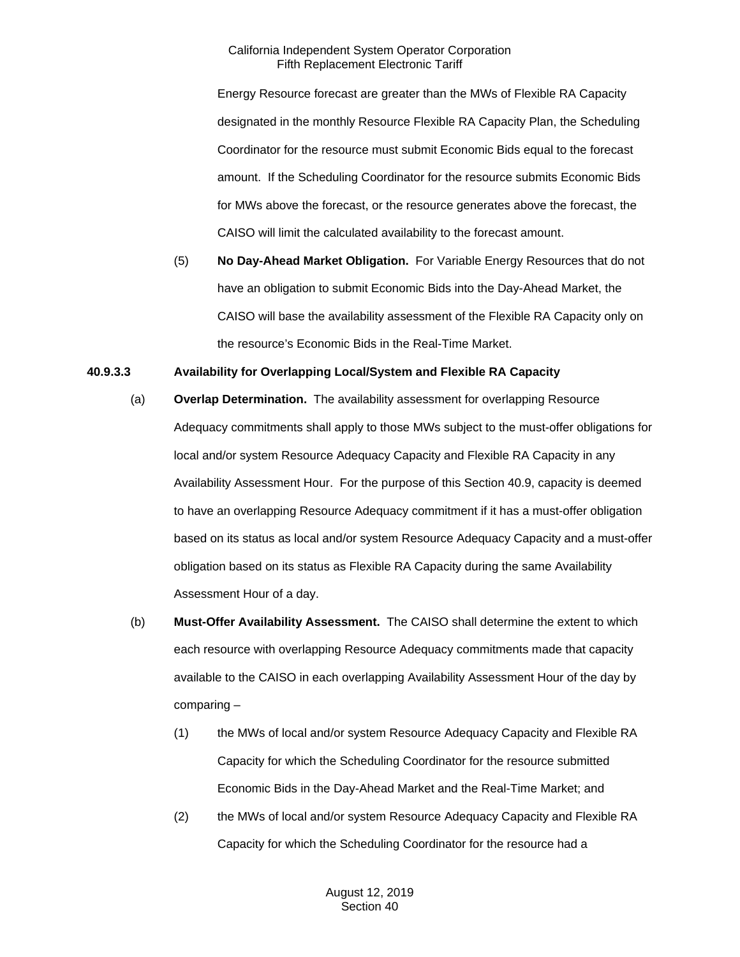Energy Resource forecast are greater than the MWs of Flexible RA Capacity designated in the monthly Resource Flexible RA Capacity Plan, the Scheduling Coordinator for the resource must submit Economic Bids equal to the forecast amount. If the Scheduling Coordinator for the resource submits Economic Bids for MWs above the forecast, or the resource generates above the forecast, the CAISO will limit the calculated availability to the forecast amount.

(5) **No Day-Ahead Market Obligation.** For Variable Energy Resources that do not have an obligation to submit Economic Bids into the Day-Ahead Market, the CAISO will base the availability assessment of the Flexible RA Capacity only on the resource's Economic Bids in the Real-Time Market.

# **40.9.3.3 Availability for Overlapping Local/System and Flexible RA Capacity**

- (a) **Overlap Determination.** The availability assessment for overlapping Resource Adequacy commitments shall apply to those MWs subject to the must-offer obligations for local and/or system Resource Adequacy Capacity and Flexible RA Capacity in any Availability Assessment Hour. For the purpose of this Section 40.9, capacity is deemed to have an overlapping Resource Adequacy commitment if it has a must-offer obligation based on its status as local and/or system Resource Adequacy Capacity and a must-offer obligation based on its status as Flexible RA Capacity during the same Availability Assessment Hour of a day.
- (b) **Must-Offer Availability Assessment.** The CAISO shall determine the extent to which each resource with overlapping Resource Adequacy commitments made that capacity available to the CAISO in each overlapping Availability Assessment Hour of the day by comparing –
	- (1) the MWs of local and/or system Resource Adequacy Capacity and Flexible RA Capacity for which the Scheduling Coordinator for the resource submitted Economic Bids in the Day-Ahead Market and the Real-Time Market; and
	- (2) the MWs of local and/or system Resource Adequacy Capacity and Flexible RA Capacity for which the Scheduling Coordinator for the resource had a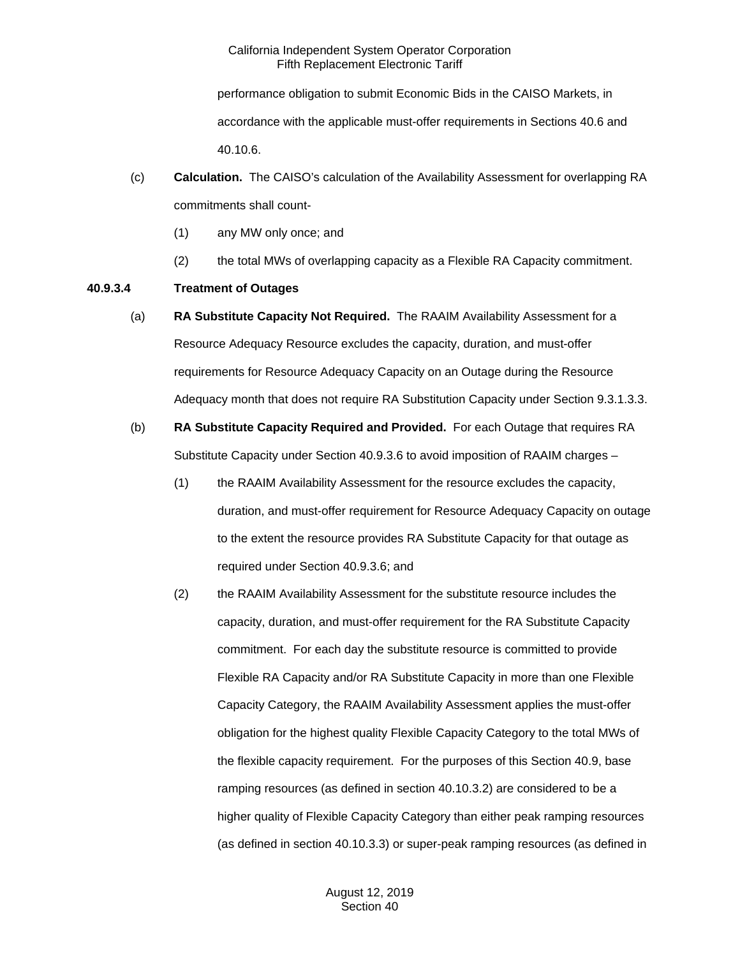performance obligation to submit Economic Bids in the CAISO Markets, in accordance with the applicable must-offer requirements in Sections 40.6 and 40.10.6.

- (c) **Calculation.** The CAISO's calculation of the Availability Assessment for overlapping RA commitments shall count-
	- (1) any MW only once; and
	- (2) the total MWs of overlapping capacity as a Flexible RA Capacity commitment.

# **40.9.3.4 Treatment of Outages**

- (a) **RA Substitute Capacity Not Required.** The RAAIM Availability Assessment for a Resource Adequacy Resource excludes the capacity, duration, and must-offer requirements for Resource Adequacy Capacity on an Outage during the Resource Adequacy month that does not require RA Substitution Capacity under Section 9.3.1.3.3.
- (b) **RA Substitute Capacity Required and Provided.** For each Outage that requires RA Substitute Capacity under Section 40.9.3.6 to avoid imposition of RAAIM charges –
	- (1) the RAAIM Availability Assessment for the resource excludes the capacity, duration, and must-offer requirement for Resource Adequacy Capacity on outage to the extent the resource provides RA Substitute Capacity for that outage as required under Section 40.9.3.6; and
	- (2) the RAAIM Availability Assessment for the substitute resource includes the capacity, duration, and must-offer requirement for the RA Substitute Capacity commitment. For each day the substitute resource is committed to provide Flexible RA Capacity and/or RA Substitute Capacity in more than one Flexible Capacity Category, the RAAIM Availability Assessment applies the must-offer obligation for the highest quality Flexible Capacity Category to the total MWs of the flexible capacity requirement. For the purposes of this Section 40.9, base ramping resources (as defined in section 40.10.3.2) are considered to be a higher quality of Flexible Capacity Category than either peak ramping resources (as defined in section 40.10.3.3) or super-peak ramping resources (as defined in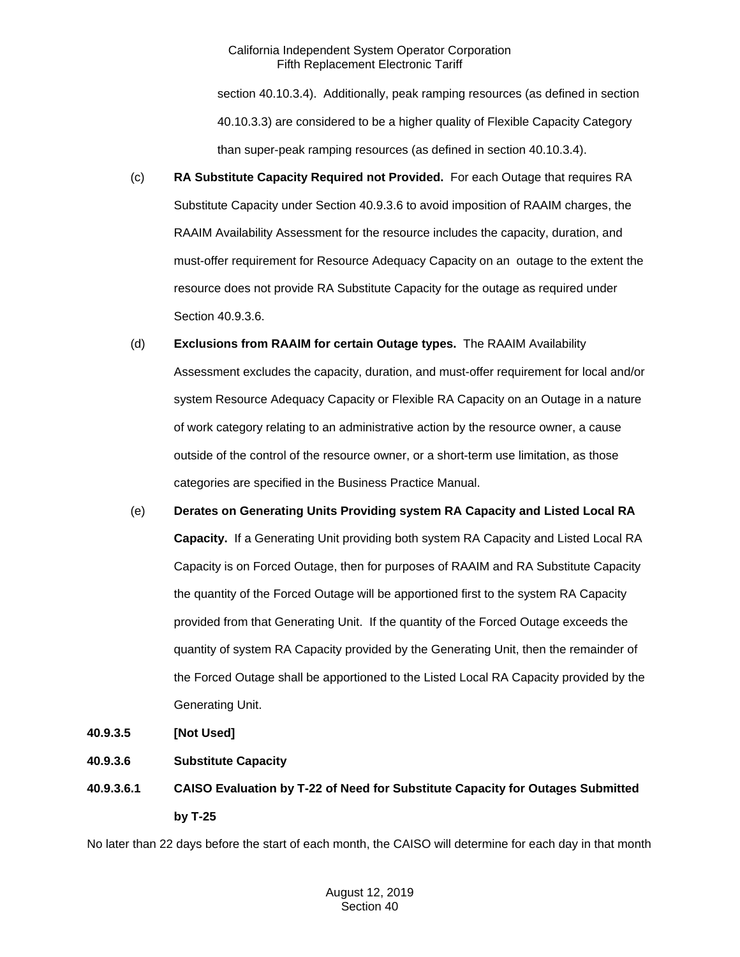section 40.10.3.4). Additionally, peak ramping resources (as defined in section 40.10.3.3) are considered to be a higher quality of Flexible Capacity Category than super-peak ramping resources (as defined in section 40.10.3.4).

- (c) **RA Substitute Capacity Required not Provided.** For each Outage that requires RA Substitute Capacity under Section 40.9.3.6 to avoid imposition of RAAIM charges, the RAAIM Availability Assessment for the resource includes the capacity, duration, and must-offer requirement for Resource Adequacy Capacity on an outage to the extent the resource does not provide RA Substitute Capacity for the outage as required under Section 40.9.3.6.
- (d) **Exclusions from RAAIM for certain Outage types.** The RAAIM Availability Assessment excludes the capacity, duration, and must-offer requirement for local and/or system Resource Adequacy Capacity or Flexible RA Capacity on an Outage in a nature of work category relating to an administrative action by the resource owner, a cause outside of the control of the resource owner, or a short-term use limitation, as those categories are specified in the Business Practice Manual.
- (e) **Derates on Generating Units Providing system RA Capacity and Listed Local RA Capacity.** If a Generating Unit providing both system RA Capacity and Listed Local RA Capacity is on Forced Outage, then for purposes of RAAIM and RA Substitute Capacity the quantity of the Forced Outage will be apportioned first to the system RA Capacity provided from that Generating Unit. If the quantity of the Forced Outage exceeds the quantity of system RA Capacity provided by the Generating Unit, then the remainder of the Forced Outage shall be apportioned to the Listed Local RA Capacity provided by the Generating Unit.
- **40.9.3.5 [Not Used]**
- **40.9.3.6 Substitute Capacity**
- **40.9.3.6.1 CAISO Evaluation by T-22 of Need for Substitute Capacity for Outages Submitted by T-25**

No later than 22 days before the start of each month, the CAISO will determine for each day in that month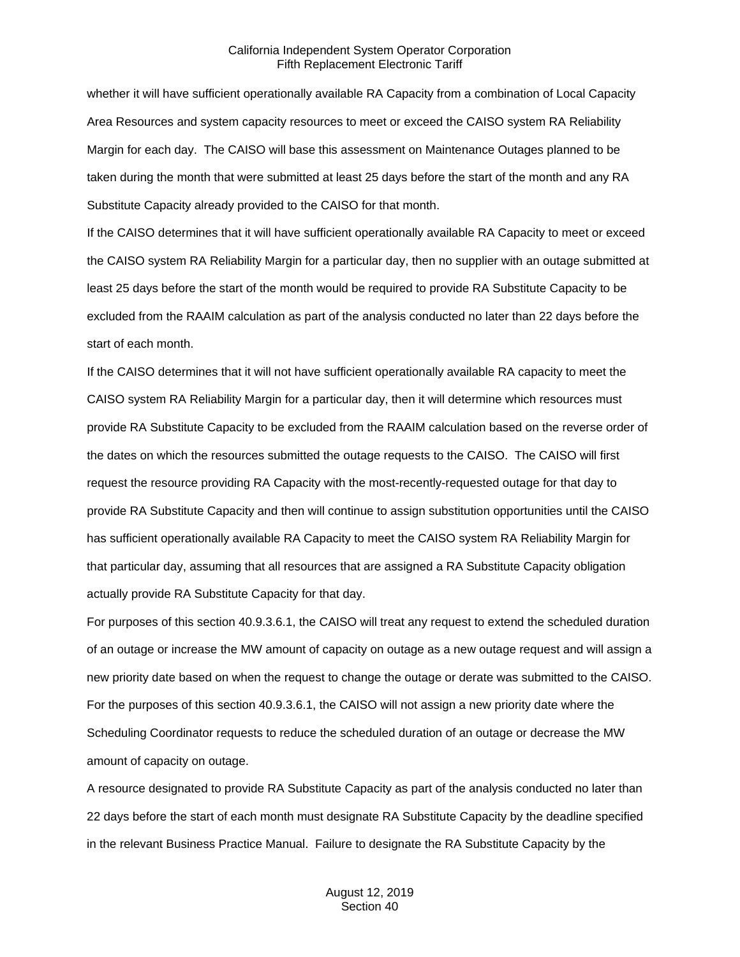whether it will have sufficient operationally available RA Capacity from a combination of Local Capacity Area Resources and system capacity resources to meet or exceed the CAISO system RA Reliability Margin for each day. The CAISO will base this assessment on Maintenance Outages planned to be taken during the month that were submitted at least 25 days before the start of the month and any RA Substitute Capacity already provided to the CAISO for that month.

If the CAISO determines that it will have sufficient operationally available RA Capacity to meet or exceed the CAISO system RA Reliability Margin for a particular day, then no supplier with an outage submitted at least 25 days before the start of the month would be required to provide RA Substitute Capacity to be excluded from the RAAIM calculation as part of the analysis conducted no later than 22 days before the start of each month.

If the CAISO determines that it will not have sufficient operationally available RA capacity to meet the CAISO system RA Reliability Margin for a particular day, then it will determine which resources must provide RA Substitute Capacity to be excluded from the RAAIM calculation based on the reverse order of the dates on which the resources submitted the outage requests to the CAISO. The CAISO will first request the resource providing RA Capacity with the most-recently-requested outage for that day to provide RA Substitute Capacity and then will continue to assign substitution opportunities until the CAISO has sufficient operationally available RA Capacity to meet the CAISO system RA Reliability Margin for that particular day, assuming that all resources that are assigned a RA Substitute Capacity obligation actually provide RA Substitute Capacity for that day.

For purposes of this section 40.9.3.6.1, the CAISO will treat any request to extend the scheduled duration of an outage or increase the MW amount of capacity on outage as a new outage request and will assign a new priority date based on when the request to change the outage or derate was submitted to the CAISO. For the purposes of this section 40.9.3.6.1, the CAISO will not assign a new priority date where the Scheduling Coordinator requests to reduce the scheduled duration of an outage or decrease the MW amount of capacity on outage.

A resource designated to provide RA Substitute Capacity as part of the analysis conducted no later than 22 days before the start of each month must designate RA Substitute Capacity by the deadline specified in the relevant Business Practice Manual. Failure to designate the RA Substitute Capacity by the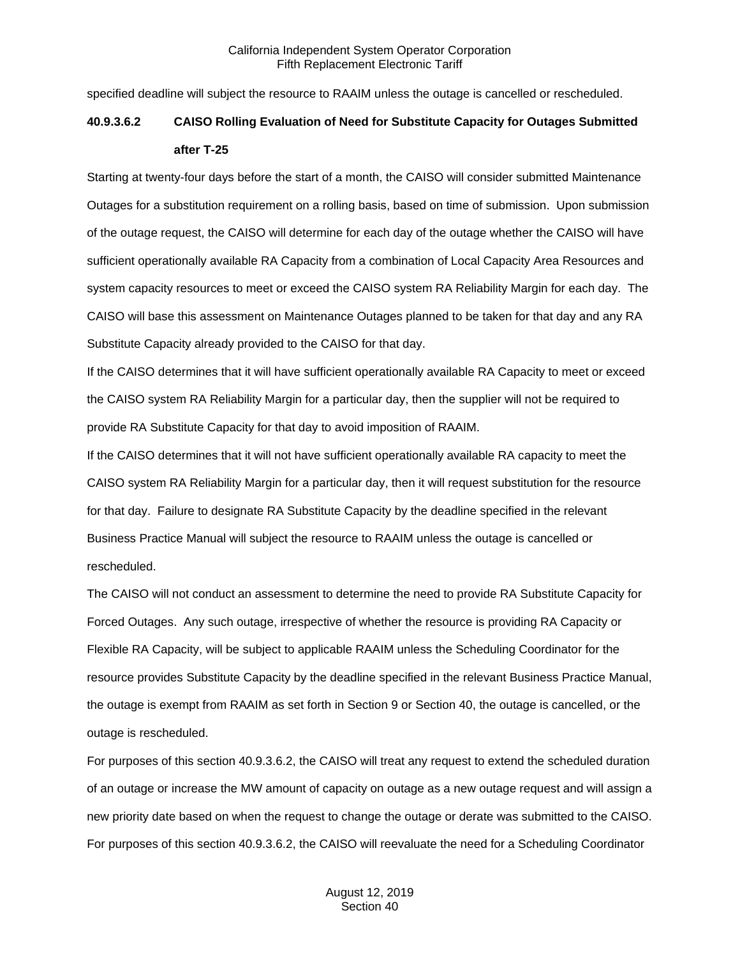specified deadline will subject the resource to RAAIM unless the outage is cancelled or rescheduled.

# **40.9.3.6.2 CAISO Rolling Evaluation of Need for Substitute Capacity for Outages Submitted after T-25**

Starting at twenty-four days before the start of a month, the CAISO will consider submitted Maintenance Outages for a substitution requirement on a rolling basis, based on time of submission. Upon submission of the outage request, the CAISO will determine for each day of the outage whether the CAISO will have sufficient operationally available RA Capacity from a combination of Local Capacity Area Resources and system capacity resources to meet or exceed the CAISO system RA Reliability Margin for each day. The CAISO will base this assessment on Maintenance Outages planned to be taken for that day and any RA Substitute Capacity already provided to the CAISO for that day.

If the CAISO determines that it will have sufficient operationally available RA Capacity to meet or exceed the CAISO system RA Reliability Margin for a particular day, then the supplier will not be required to provide RA Substitute Capacity for that day to avoid imposition of RAAIM.

If the CAISO determines that it will not have sufficient operationally available RA capacity to meet the CAISO system RA Reliability Margin for a particular day, then it will request substitution for the resource for that day. Failure to designate RA Substitute Capacity by the deadline specified in the relevant Business Practice Manual will subject the resource to RAAIM unless the outage is cancelled or rescheduled.

The CAISO will not conduct an assessment to determine the need to provide RA Substitute Capacity for Forced Outages. Any such outage, irrespective of whether the resource is providing RA Capacity or Flexible RA Capacity, will be subject to applicable RAAIM unless the Scheduling Coordinator for the resource provides Substitute Capacity by the deadline specified in the relevant Business Practice Manual, the outage is exempt from RAAIM as set forth in Section 9 or Section 40, the outage is cancelled, or the outage is rescheduled.

For purposes of this section 40.9.3.6.2, the CAISO will treat any request to extend the scheduled duration of an outage or increase the MW amount of capacity on outage as a new outage request and will assign a new priority date based on when the request to change the outage or derate was submitted to the CAISO. For purposes of this section 40.9.3.6.2, the CAISO will reevaluate the need for a Scheduling Coordinator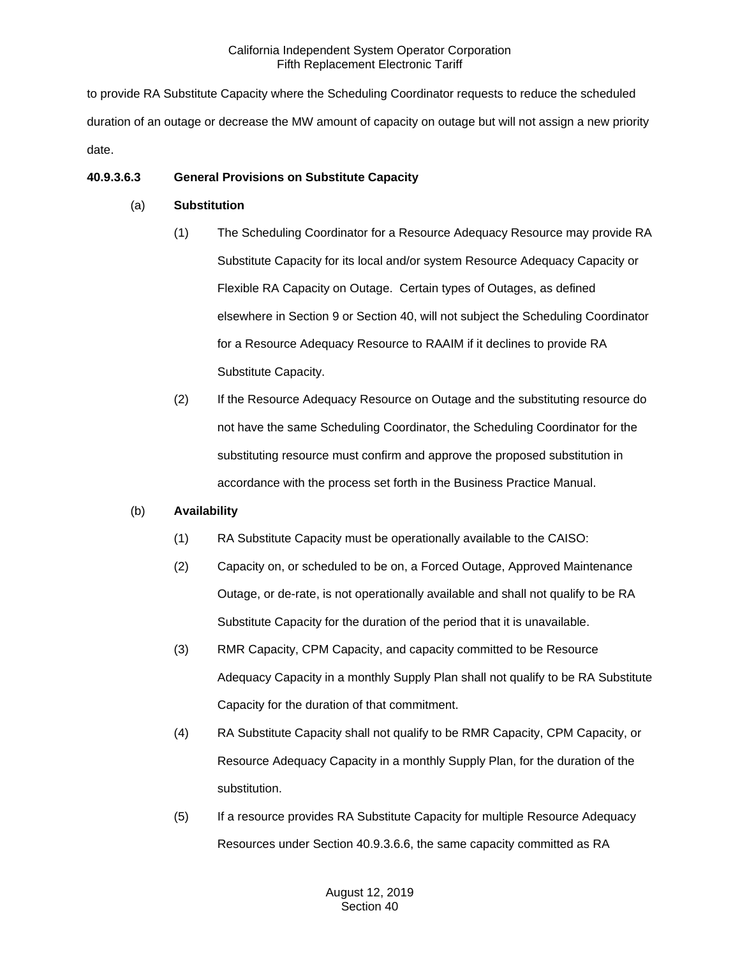to provide RA Substitute Capacity where the Scheduling Coordinator requests to reduce the scheduled duration of an outage or decrease the MW amount of capacity on outage but will not assign a new priority date.

# **40.9.3.6.3 General Provisions on Substitute Capacity**

# (a) **Substitution**

- (1) The Scheduling Coordinator for a Resource Adequacy Resource may provide RA Substitute Capacity for its local and/or system Resource Adequacy Capacity or Flexible RA Capacity on Outage. Certain types of Outages, as defined elsewhere in Section 9 or Section 40, will not subject the Scheduling Coordinator for a Resource Adequacy Resource to RAAIM if it declines to provide RA Substitute Capacity.
- (2) If the Resource Adequacy Resource on Outage and the substituting resource do not have the same Scheduling Coordinator, the Scheduling Coordinator for the substituting resource must confirm and approve the proposed substitution in accordance with the process set forth in the Business Practice Manual.

# (b) **Availability**

- (1) RA Substitute Capacity must be operationally available to the CAISO:
- (2) Capacity on, or scheduled to be on, a Forced Outage, Approved Maintenance Outage, or de-rate, is not operationally available and shall not qualify to be RA Substitute Capacity for the duration of the period that it is unavailable.
- (3) RMR Capacity, CPM Capacity, and capacity committed to be Resource Adequacy Capacity in a monthly Supply Plan shall not qualify to be RA Substitute Capacity for the duration of that commitment.
- (4) RA Substitute Capacity shall not qualify to be RMR Capacity, CPM Capacity, or Resource Adequacy Capacity in a monthly Supply Plan, for the duration of the substitution.
- (5) If a resource provides RA Substitute Capacity for multiple Resource Adequacy Resources under Section 40.9.3.6.6, the same capacity committed as RA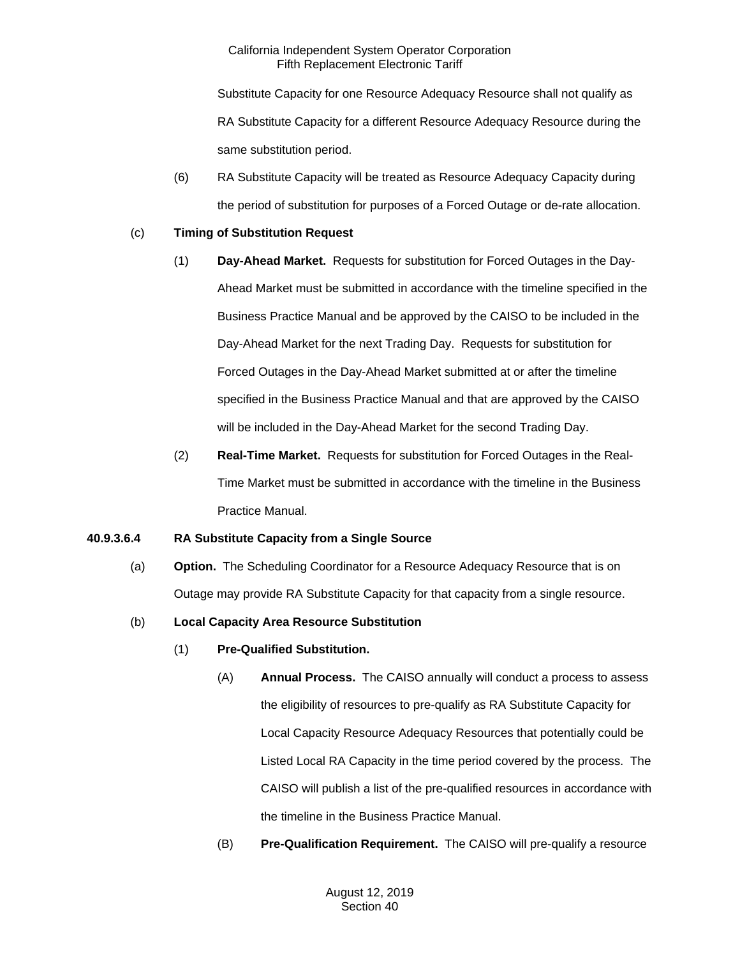Substitute Capacity for one Resource Adequacy Resource shall not qualify as RA Substitute Capacity for a different Resource Adequacy Resource during the same substitution period.

(6) RA Substitute Capacity will be treated as Resource Adequacy Capacity during the period of substitution for purposes of a Forced Outage or de-rate allocation.

# (c) **Timing of Substitution Request**

- (1) **Day-Ahead Market.** Requests for substitution for Forced Outages in the Day-Ahead Market must be submitted in accordance with the timeline specified in the Business Practice Manual and be approved by the CAISO to be included in the Day-Ahead Market for the next Trading Day. Requests for substitution for Forced Outages in the Day-Ahead Market submitted at or after the timeline specified in the Business Practice Manual and that are approved by the CAISO will be included in the Day-Ahead Market for the second Trading Day.
- (2) **Real-Time Market.** Requests for substitution for Forced Outages in the Real-Time Market must be submitted in accordance with the timeline in the Business Practice Manual.

# **40.9.3.6.4 RA Substitute Capacity from a Single Source**

(a) **Option.** The Scheduling Coordinator for a Resource Adequacy Resource that is on Outage may provide RA Substitute Capacity for that capacity from a single resource.

# (b) **Local Capacity Area Resource Substitution**

- (1) **Pre-Qualified Substitution.**
	- (A) **Annual Process.** The CAISO annually will conduct a process to assess the eligibility of resources to pre-qualify as RA Substitute Capacity for Local Capacity Resource Adequacy Resources that potentially could be Listed Local RA Capacity in the time period covered by the process. The CAISO will publish a list of the pre-qualified resources in accordance with the timeline in the Business Practice Manual.
	- (B) **Pre-Qualification Requirement.** The CAISO will pre-qualify a resource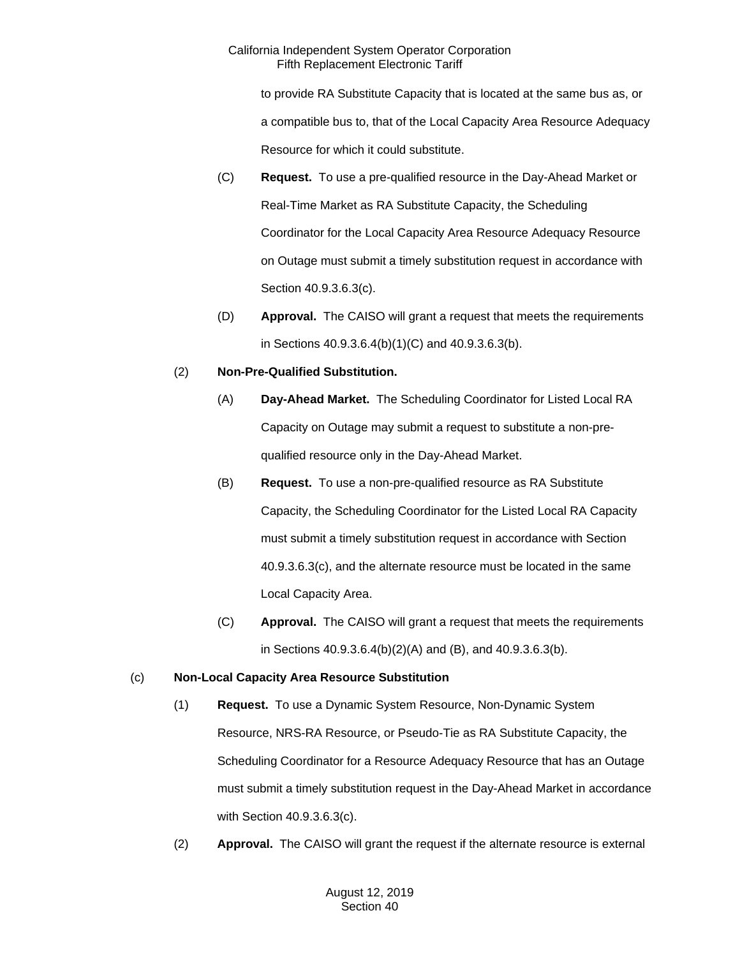to provide RA Substitute Capacity that is located at the same bus as, or a compatible bus to, that of the Local Capacity Area Resource Adequacy Resource for which it could substitute.

- (C) **Request.** To use a pre-qualified resource in the Day-Ahead Market or Real-Time Market as RA Substitute Capacity, the Scheduling Coordinator for the Local Capacity Area Resource Adequacy Resource on Outage must submit a timely substitution request in accordance with Section 40.9.3.6.3(c).
- (D) **Approval.** The CAISO will grant a request that meets the requirements in Sections 40.9.3.6.4(b)(1)(C) and 40.9.3.6.3(b).

# (2) **Non-Pre-Qualified Substitution.**

- (A) **Day-Ahead Market.** The Scheduling Coordinator for Listed Local RA Capacity on Outage may submit a request to substitute a non-prequalified resource only in the Day-Ahead Market.
- (B) **Request.** To use a non-pre-qualified resource as RA Substitute Capacity, the Scheduling Coordinator for the Listed Local RA Capacity must submit a timely substitution request in accordance with Section 40.9.3.6.3(c), and the alternate resource must be located in the same Local Capacity Area.
- (C) **Approval.** The CAISO will grant a request that meets the requirements in Sections 40.9.3.6.4(b)(2)(A) and (B), and 40.9.3.6.3(b).

# (c) **Non-Local Capacity Area Resource Substitution**

- (1) **Request.** To use a Dynamic System Resource, Non-Dynamic System Resource, NRS-RA Resource, or Pseudo-Tie as RA Substitute Capacity, the Scheduling Coordinator for a Resource Adequacy Resource that has an Outage must submit a timely substitution request in the Day-Ahead Market in accordance with Section 40.9.3.6.3(c).
- (2) **Approval.** The CAISO will grant the request if the alternate resource is external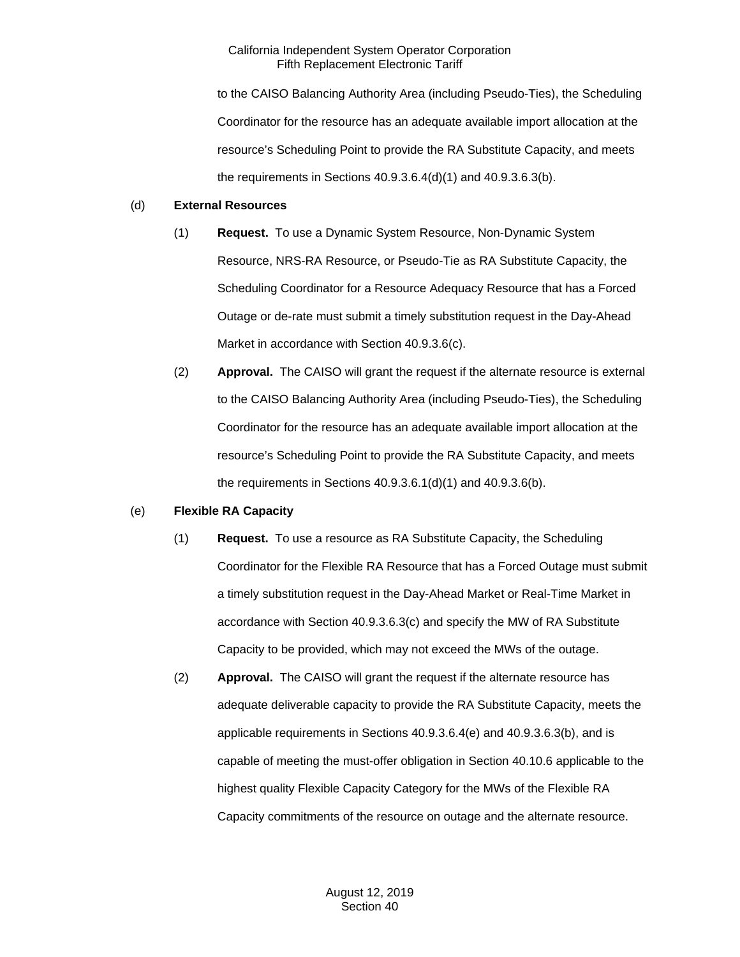to the CAISO Balancing Authority Area (including Pseudo-Ties), the Scheduling Coordinator for the resource has an adequate available import allocation at the resource's Scheduling Point to provide the RA Substitute Capacity, and meets the requirements in Sections 40.9.3.6.4(d)(1) and 40.9.3.6.3(b).

## (d) **External Resources**

- (1) **Request.** To use a Dynamic System Resource, Non-Dynamic System Resource, NRS-RA Resource, or Pseudo-Tie as RA Substitute Capacity, the Scheduling Coordinator for a Resource Adequacy Resource that has a Forced Outage or de-rate must submit a timely substitution request in the Day-Ahead Market in accordance with Section 40.9.3.6(c).
- (2) **Approval.** The CAISO will grant the request if the alternate resource is external to the CAISO Balancing Authority Area (including Pseudo-Ties), the Scheduling Coordinator for the resource has an adequate available import allocation at the resource's Scheduling Point to provide the RA Substitute Capacity, and meets the requirements in Sections 40.9.3.6.1(d)(1) and 40.9.3.6(b).

# (e) **Flexible RA Capacity**

- (1) **Request.** To use a resource as RA Substitute Capacity, the Scheduling Coordinator for the Flexible RA Resource that has a Forced Outage must submit a timely substitution request in the Day-Ahead Market or Real-Time Market in accordance with Section 40.9.3.6.3(c) and specify the MW of RA Substitute Capacity to be provided, which may not exceed the MWs of the outage.
- (2) **Approval.** The CAISO will grant the request if the alternate resource has adequate deliverable capacity to provide the RA Substitute Capacity, meets the applicable requirements in Sections 40.9.3.6.4(e) and 40.9.3.6.3(b), and is capable of meeting the must-offer obligation in Section 40.10.6 applicable to the highest quality Flexible Capacity Category for the MWs of the Flexible RA Capacity commitments of the resource on outage and the alternate resource.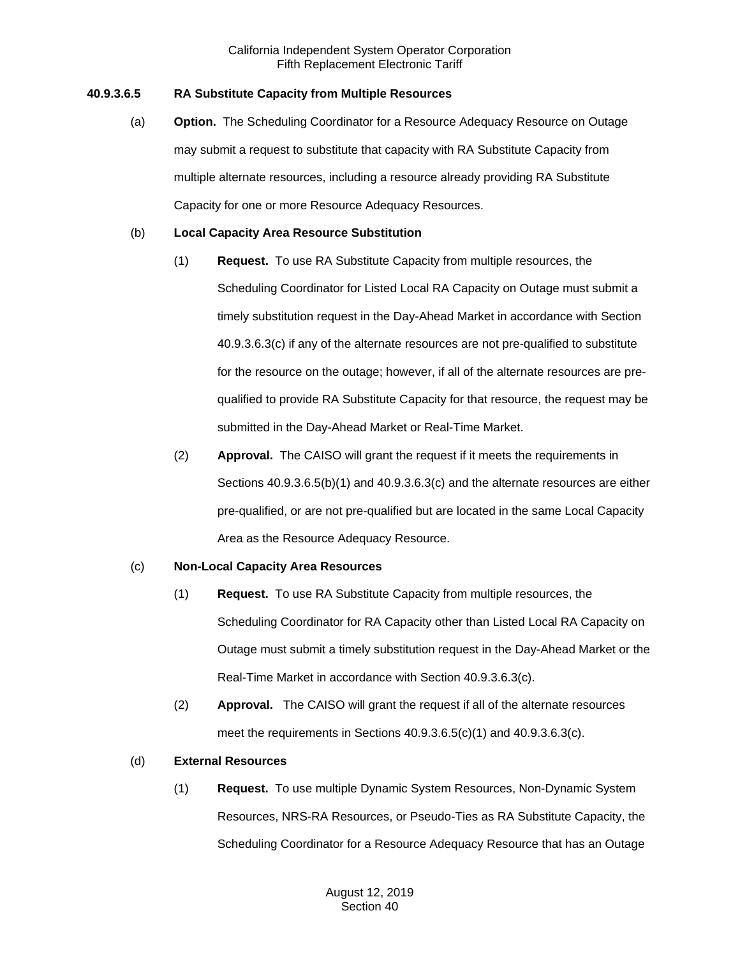# **40.9.3.6.5 RA Substitute Capacity from Multiple Resources**

(a) **Option.** The Scheduling Coordinator for a Resource Adequacy Resource on Outage may submit a request to substitute that capacity with RA Substitute Capacity from multiple alternate resources, including a resource already providing RA Substitute Capacity for one or more Resource Adequacy Resources.

## (b) **Local Capacity Area Resource Substitution**

- (1) **Request.** To use RA Substitute Capacity from multiple resources, the Scheduling Coordinator for Listed Local RA Capacity on Outage must submit a timely substitution request in the Day-Ahead Market in accordance with Section 40.9.3.6.3(c) if any of the alternate resources are not pre-qualified to substitute for the resource on the outage; however, if all of the alternate resources are prequalified to provide RA Substitute Capacity for that resource, the request may be submitted in the Day-Ahead Market or Real-Time Market.
- (2) **Approval.** The CAISO will grant the request if it meets the requirements in Sections 40.9.3.6.5(b)(1) and 40.9.3.6.3(c) and the alternate resources are either pre-qualified, or are not pre-qualified but are located in the same Local Capacity Area as the Resource Adequacy Resource.

#### (c) **Non-Local Capacity Area Resources**

- (1) **Request.** To use RA Substitute Capacity from multiple resources, the Scheduling Coordinator for RA Capacity other than Listed Local RA Capacity on Outage must submit a timely substitution request in the Day-Ahead Market or the Real-Time Market in accordance with Section 40.9.3.6.3(c).
- (2) **Approval.** The CAISO will grant the request if all of the alternate resources meet the requirements in Sections 40.9.3.6.5(c)(1) and 40.9.3.6.3(c).

#### (d) **External Resources**

(1) **Request.** To use multiple Dynamic System Resources, Non-Dynamic System Resources, NRS-RA Resources, or Pseudo-Ties as RA Substitute Capacity, the Scheduling Coordinator for a Resource Adequacy Resource that has an Outage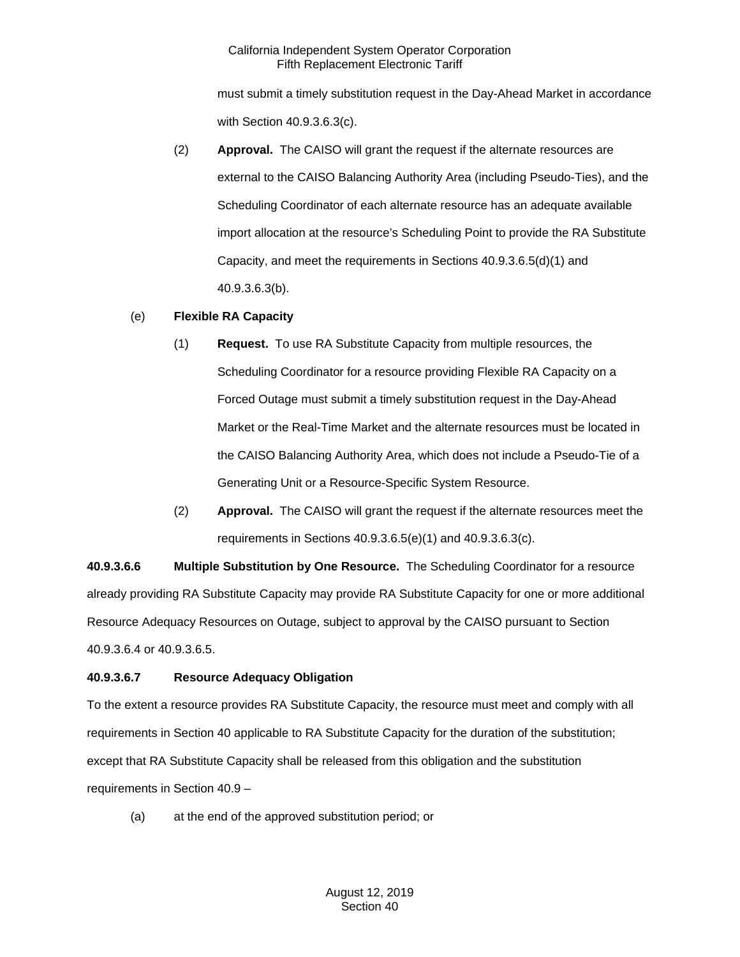must submit a timely substitution request in the Day-Ahead Market in accordance with Section 40.9.3.6.3(c).

(2) **Approval.** The CAISO will grant the request if the alternate resources are external to the CAISO Balancing Authority Area (including Pseudo-Ties), and the Scheduling Coordinator of each alternate resource has an adequate available import allocation at the resource's Scheduling Point to provide the RA Substitute Capacity, and meet the requirements in Sections 40.9.3.6.5(d)(1) and 40.9.3.6.3(b).

# (e) **Flexible RA Capacity**

- (1) **Request.** To use RA Substitute Capacity from multiple resources, the Scheduling Coordinator for a resource providing Flexible RA Capacity on a Forced Outage must submit a timely substitution request in the Day-Ahead Market or the Real-Time Market and the alternate resources must be located in the CAISO Balancing Authority Area, which does not include a Pseudo-Tie of a Generating Unit or a Resource-Specific System Resource.
- (2) **Approval.** The CAISO will grant the request if the alternate resources meet the requirements in Sections 40.9.3.6.5(e)(1) and 40.9.3.6.3(c).

**40.9.3.6.6 Multiple Substitution by One Resource.** The Scheduling Coordinator for a resource already providing RA Substitute Capacity may provide RA Substitute Capacity for one or more additional Resource Adequacy Resources on Outage, subject to approval by the CAISO pursuant to Section 40.9.3.6.4 or 40.9.3.6.5.

# **40.9.3.6.7 Resource Adequacy Obligation**

To the extent a resource provides RA Substitute Capacity, the resource must meet and comply with all requirements in Section 40 applicable to RA Substitute Capacity for the duration of the substitution; except that RA Substitute Capacity shall be released from this obligation and the substitution requirements in Section 40.9 –

(a) at the end of the approved substitution period; or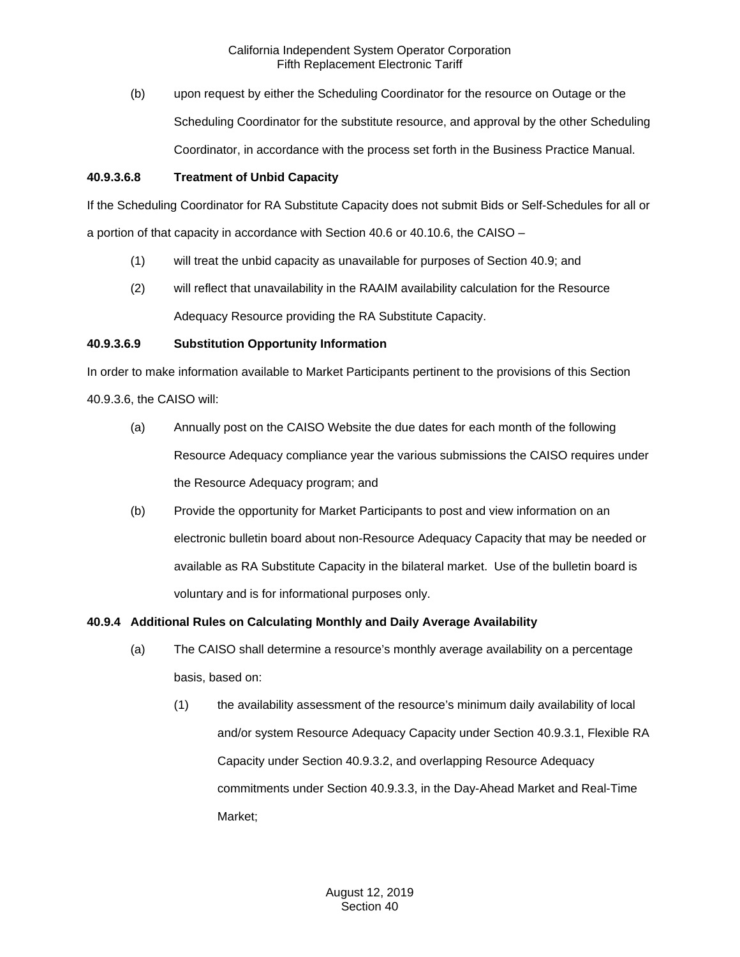(b) upon request by either the Scheduling Coordinator for the resource on Outage or the Scheduling Coordinator for the substitute resource, and approval by the other Scheduling Coordinator, in accordance with the process set forth in the Business Practice Manual.

# **40.9.3.6.8 Treatment of Unbid Capacity**

If the Scheduling Coordinator for RA Substitute Capacity does not submit Bids or Self-Schedules for all or a portion of that capacity in accordance with Section 40.6 or 40.10.6, the CAISO –

- (1) will treat the unbid capacity as unavailable for purposes of Section 40.9; and
- (2) will reflect that unavailability in the RAAIM availability calculation for the Resource Adequacy Resource providing the RA Substitute Capacity.

# **40.9.3.6.9 Substitution Opportunity Information**

In order to make information available to Market Participants pertinent to the provisions of this Section

40.9.3.6, the CAISO will:

- (a) Annually post on the CAISO Website the due dates for each month of the following Resource Adequacy compliance year the various submissions the CAISO requires under the Resource Adequacy program; and
- (b) Provide the opportunity for Market Participants to post and view information on an electronic bulletin board about non-Resource Adequacy Capacity that may be needed or available as RA Substitute Capacity in the bilateral market. Use of the bulletin board is voluntary and is for informational purposes only.

# **40.9.4 Additional Rules on Calculating Monthly and Daily Average Availability**

- (a) The CAISO shall determine a resource's monthly average availability on a percentage basis, based on:
	- (1) the availability assessment of the resource's minimum daily availability of local and/or system Resource Adequacy Capacity under Section 40.9.3.1, Flexible RA Capacity under Section 40.9.3.2, and overlapping Resource Adequacy commitments under Section 40.9.3.3, in the Day-Ahead Market and Real-Time Market;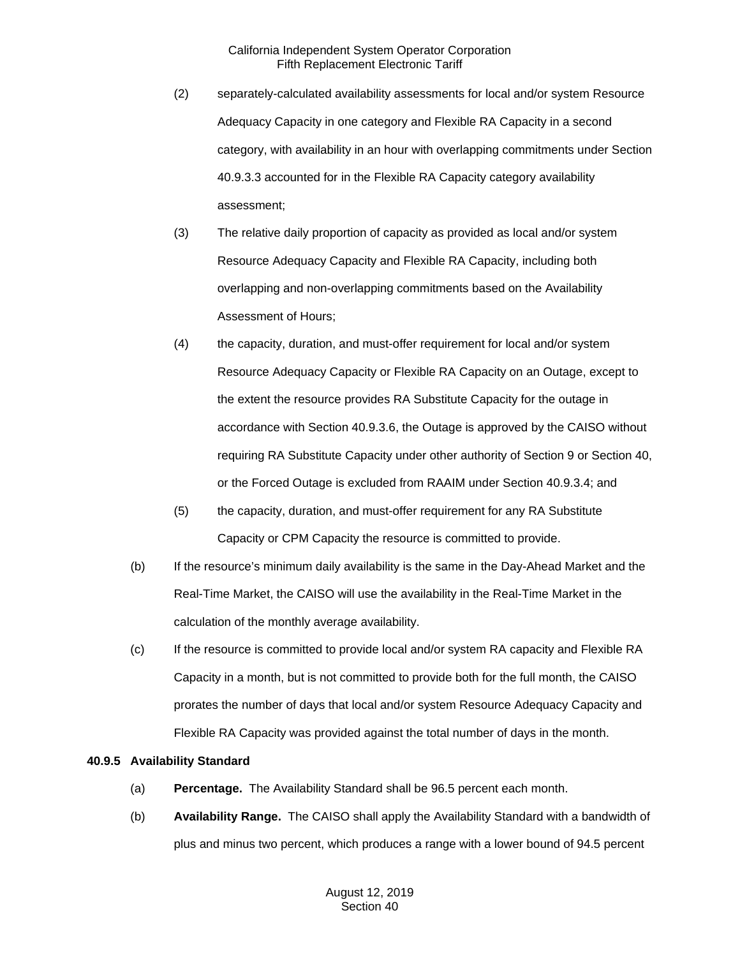- (2) separately-calculated availability assessments for local and/or system Resource Adequacy Capacity in one category and Flexible RA Capacity in a second category, with availability in an hour with overlapping commitments under Section 40.9.3.3 accounted for in the Flexible RA Capacity category availability assessment;
- (3) The relative daily proportion of capacity as provided as local and/or system Resource Adequacy Capacity and Flexible RA Capacity, including both overlapping and non-overlapping commitments based on the Availability Assessment of Hours;
- (4) the capacity, duration, and must-offer requirement for local and/or system Resource Adequacy Capacity or Flexible RA Capacity on an Outage, except to the extent the resource provides RA Substitute Capacity for the outage in accordance with Section 40.9.3.6, the Outage is approved by the CAISO without requiring RA Substitute Capacity under other authority of Section 9 or Section 40, or the Forced Outage is excluded from RAAIM under Section 40.9.3.4; and
- (5) the capacity, duration, and must-offer requirement for any RA Substitute Capacity or CPM Capacity the resource is committed to provide.
- (b) If the resource's minimum daily availability is the same in the Day-Ahead Market and the Real-Time Market, the CAISO will use the availability in the Real-Time Market in the calculation of the monthly average availability.
- (c) If the resource is committed to provide local and/or system RA capacity and Flexible RA Capacity in a month, but is not committed to provide both for the full month, the CAISO prorates the number of days that local and/or system Resource Adequacy Capacity and Flexible RA Capacity was provided against the total number of days in the month.

# **40.9.5 Availability Standard**

- (a) **Percentage.** The Availability Standard shall be 96.5 percent each month.
- (b) **Availability Range.** The CAISO shall apply the Availability Standard with a bandwidth of plus and minus two percent, which produces a range with a lower bound of 94.5 percent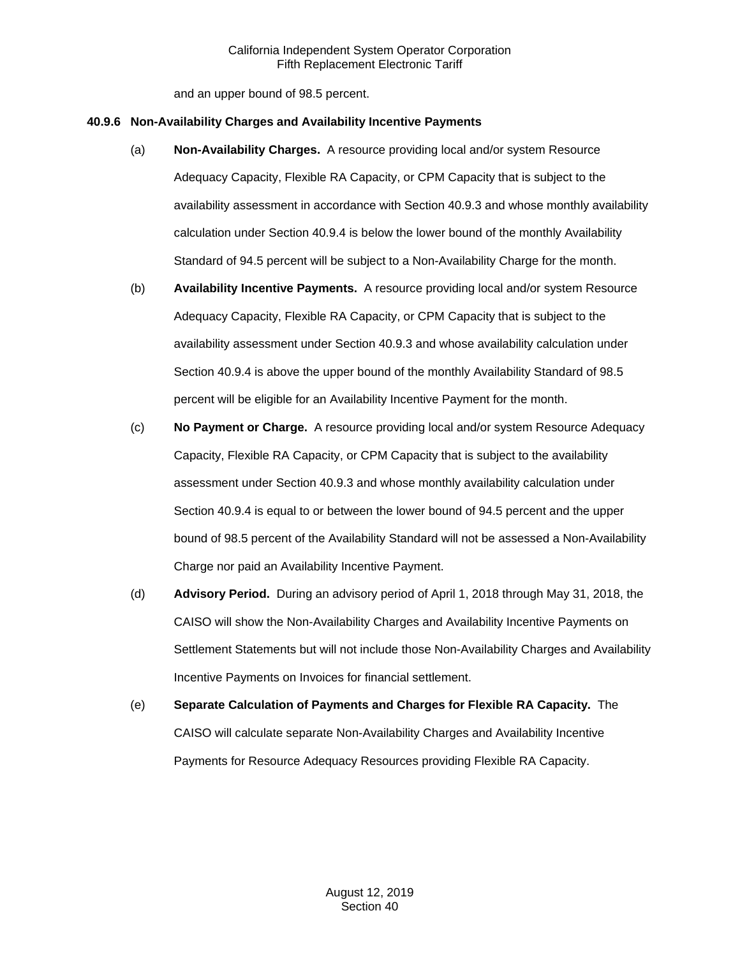and an upper bound of 98.5 percent.

#### **40.9.6 Non-Availability Charges and Availability Incentive Payments**

- (a) **Non-Availability Charges.** A resource providing local and/or system Resource Adequacy Capacity, Flexible RA Capacity, or CPM Capacity that is subject to the availability assessment in accordance with Section 40.9.3 and whose monthly availability calculation under Section 40.9.4 is below the lower bound of the monthly Availability Standard of 94.5 percent will be subject to a Non-Availability Charge for the month.
- (b) **Availability Incentive Payments.** A resource providing local and/or system Resource Adequacy Capacity, Flexible RA Capacity, or CPM Capacity that is subject to the availability assessment under Section 40.9.3 and whose availability calculation under Section 40.9.4 is above the upper bound of the monthly Availability Standard of 98.5 percent will be eligible for an Availability Incentive Payment for the month.
- (c) **No Payment or Charge.** A resource providing local and/or system Resource Adequacy Capacity, Flexible RA Capacity, or CPM Capacity that is subject to the availability assessment under Section 40.9.3 and whose monthly availability calculation under Section 40.9.4 is equal to or between the lower bound of 94.5 percent and the upper bound of 98.5 percent of the Availability Standard will not be assessed a Non-Availability Charge nor paid an Availability Incentive Payment.
- (d) **Advisory Period.** During an advisory period of April 1, 2018 through May 31, 2018, the CAISO will show the Non-Availability Charges and Availability Incentive Payments on Settlement Statements but will not include those Non-Availability Charges and Availability Incentive Payments on Invoices for financial settlement.
- (e) **Separate Calculation of Payments and Charges for Flexible RA Capacity.** The CAISO will calculate separate Non-Availability Charges and Availability Incentive Payments for Resource Adequacy Resources providing Flexible RA Capacity.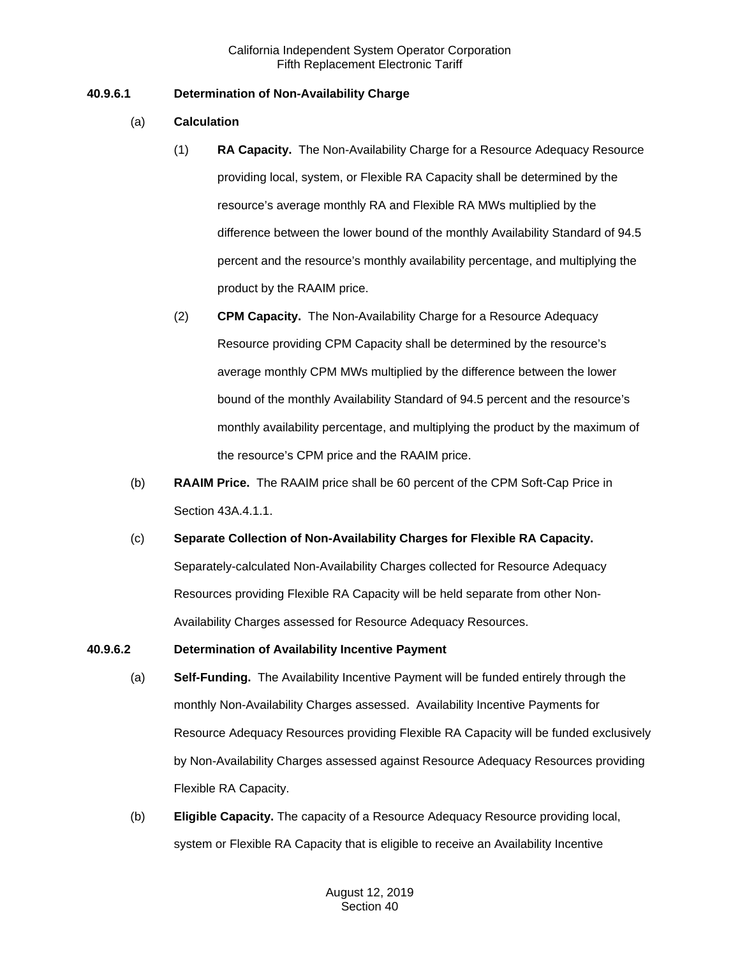# **40.9.6.1 Determination of Non-Availability Charge**

- (a) **Calculation**
	- (1) **RA Capacity.** The Non-Availability Charge for a Resource Adequacy Resource providing local, system, or Flexible RA Capacity shall be determined by the resource's average monthly RA and Flexible RA MWs multiplied by the difference between the lower bound of the monthly Availability Standard of 94.5 percent and the resource's monthly availability percentage, and multiplying the product by the RAAIM price.
	- (2) **CPM Capacity.** The Non-Availability Charge for a Resource Adequacy Resource providing CPM Capacity shall be determined by the resource's average monthly CPM MWs multiplied by the difference between the lower bound of the monthly Availability Standard of 94.5 percent and the resource's monthly availability percentage, and multiplying the product by the maximum of the resource's CPM price and the RAAIM price.
- (b) **RAAIM Price.** The RAAIM price shall be 60 percent of the CPM Soft-Cap Price in Section 43A.4.1.1.
- (c) **Separate Collection of Non-Availability Charges for Flexible RA Capacity.**  Separately-calculated Non-Availability Charges collected for Resource Adequacy Resources providing Flexible RA Capacity will be held separate from other Non-Availability Charges assessed for Resource Adequacy Resources.

#### **40.9.6.2 Determination of Availability Incentive Payment**

- (a) **Self-Funding.** The Availability Incentive Payment will be funded entirely through the monthly Non-Availability Charges assessed. Availability Incentive Payments for Resource Adequacy Resources providing Flexible RA Capacity will be funded exclusively by Non-Availability Charges assessed against Resource Adequacy Resources providing Flexible RA Capacity.
- (b) **Eligible Capacity.** The capacity of a Resource Adequacy Resource providing local, system or Flexible RA Capacity that is eligible to receive an Availability Incentive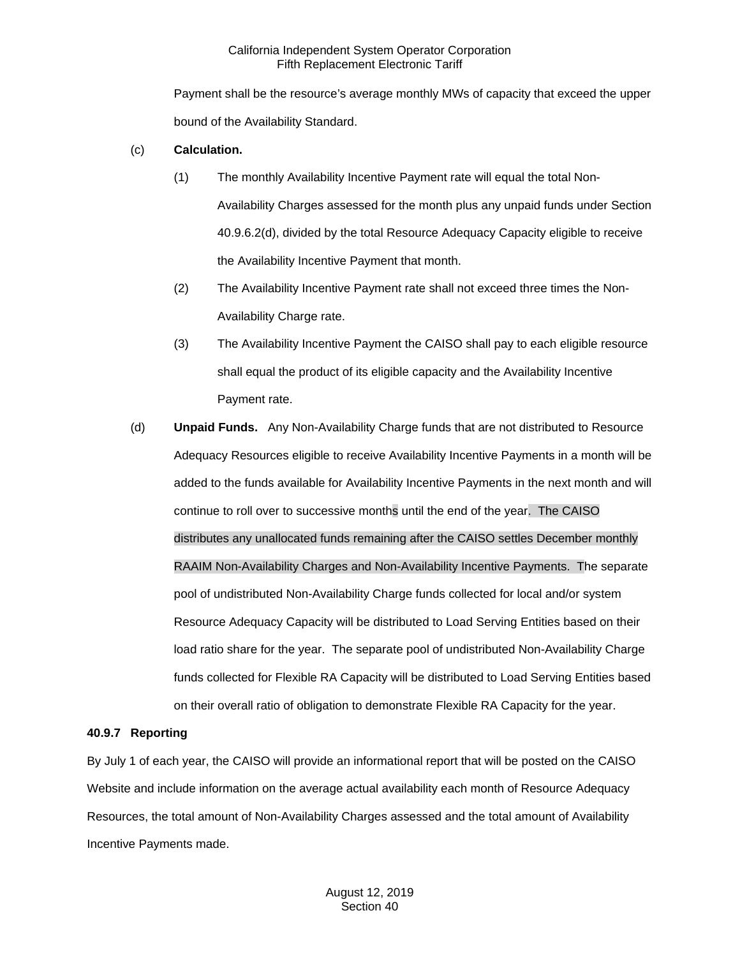Payment shall be the resource's average monthly MWs of capacity that exceed the upper bound of the Availability Standard.

### (c) **Calculation.**

- (1) The monthly Availability Incentive Payment rate will equal the total Non-Availability Charges assessed for the month plus any unpaid funds under Section 40.9.6.2(d), divided by the total Resource Adequacy Capacity eligible to receive the Availability Incentive Payment that month.
- (2) The Availability Incentive Payment rate shall not exceed three times the Non-Availability Charge rate.
- (3) The Availability Incentive Payment the CAISO shall pay to each eligible resource shall equal the product of its eligible capacity and the Availability Incentive Payment rate.
- (d) **Unpaid Funds.** Any Non-Availability Charge funds that are not distributed to Resource Adequacy Resources eligible to receive Availability Incentive Payments in a month will be added to the funds available for Availability Incentive Payments in the next month and will continue to roll over to successive months until the end of the year. The CAISO distributes any unallocated funds remaining after the CAISO settles December monthly RAAIM Non-Availability Charges and Non-Availability Incentive Payments. The separate pool of undistributed Non-Availability Charge funds collected for local and/or system Resource Adequacy Capacity will be distributed to Load Serving Entities based on their load ratio share for the year. The separate pool of undistributed Non-Availability Charge funds collected for Flexible RA Capacity will be distributed to Load Serving Entities based on their overall ratio of obligation to demonstrate Flexible RA Capacity for the year.

#### **40.9.7 Reporting**

By July 1 of each year, the CAISO will provide an informational report that will be posted on the CAISO Website and include information on the average actual availability each month of Resource Adequacy Resources, the total amount of Non-Availability Charges assessed and the total amount of Availability Incentive Payments made.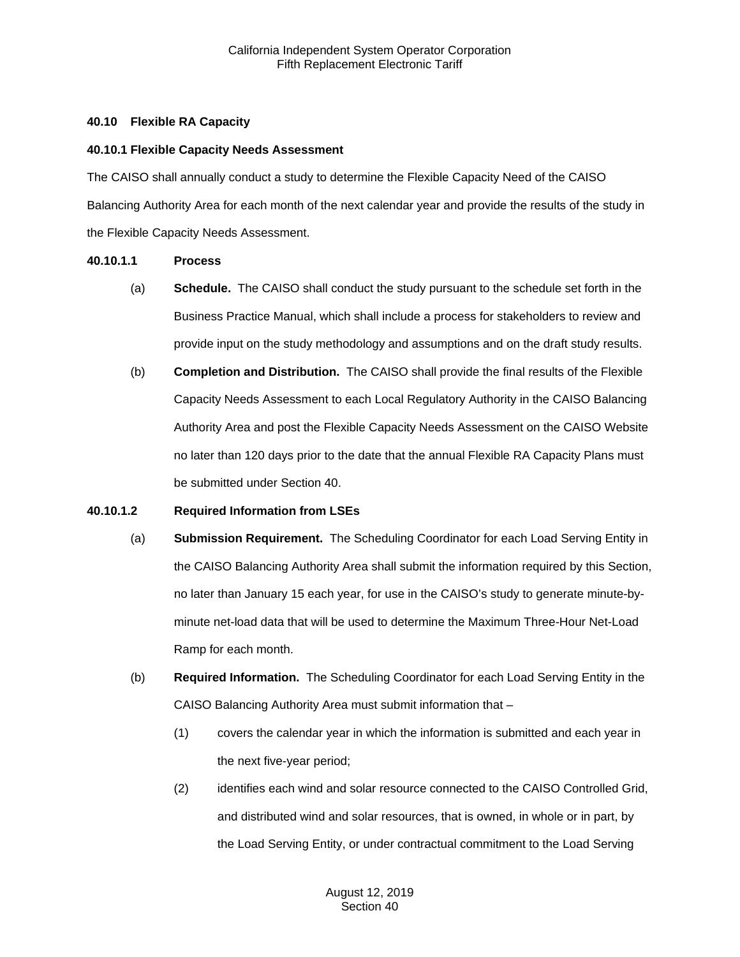### **40.10 Flexible RA Capacity**

#### **40.10.1 Flexible Capacity Needs Assessment**

The CAISO shall annually conduct a study to determine the Flexible Capacity Need of the CAISO Balancing Authority Area for each month of the next calendar year and provide the results of the study in the Flexible Capacity Needs Assessment.

### **40.10.1.1 Process**

- (a) **Schedule.** The CAISO shall conduct the study pursuant to the schedule set forth in the Business Practice Manual, which shall include a process for stakeholders to review and provide input on the study methodology and assumptions and on the draft study results.
- (b) **Completion and Distribution.** The CAISO shall provide the final results of the Flexible Capacity Needs Assessment to each Local Regulatory Authority in the CAISO Balancing Authority Area and post the Flexible Capacity Needs Assessment on the CAISO Website no later than 120 days prior to the date that the annual Flexible RA Capacity Plans must be submitted under Section 40.

#### **40.10.1.2 Required Information from LSEs**

- (a) **Submission Requirement.** The Scheduling Coordinator for each Load Serving Entity in the CAISO Balancing Authority Area shall submit the information required by this Section, no later than January 15 each year, for use in the CAISO's study to generate minute-byminute net-load data that will be used to determine the Maximum Three-Hour Net-Load Ramp for each month.
- (b) **Required Information.** The Scheduling Coordinator for each Load Serving Entity in the CAISO Balancing Authority Area must submit information that –
	- (1) covers the calendar year in which the information is submitted and each year in the next five-year period;
	- (2) identifies each wind and solar resource connected to the CAISO Controlled Grid, and distributed wind and solar resources, that is owned, in whole or in part, by the Load Serving Entity, or under contractual commitment to the Load Serving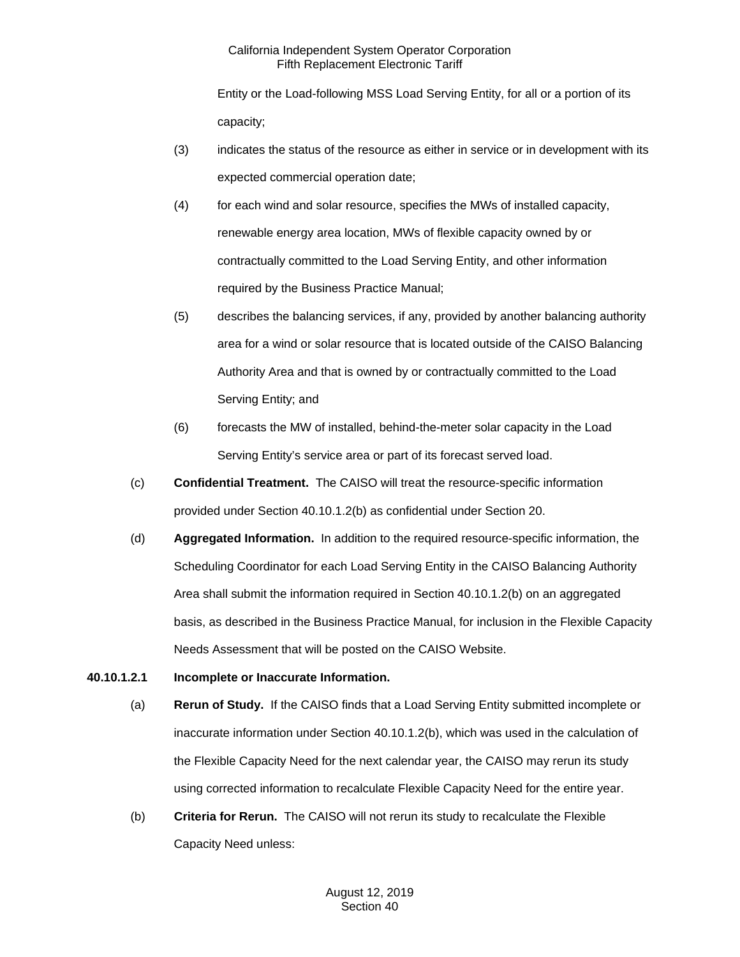Entity or the Load-following MSS Load Serving Entity, for all or a portion of its capacity;

- (3) indicates the status of the resource as either in service or in development with its expected commercial operation date;
- (4) for each wind and solar resource, specifies the MWs of installed capacity, renewable energy area location, MWs of flexible capacity owned by or contractually committed to the Load Serving Entity, and other information required by the Business Practice Manual;
- (5) describes the balancing services, if any, provided by another balancing authority area for a wind or solar resource that is located outside of the CAISO Balancing Authority Area and that is owned by or contractually committed to the Load Serving Entity; and
- (6) forecasts the MW of installed, behind-the-meter solar capacity in the Load Serving Entity's service area or part of its forecast served load.
- (c) **Confidential Treatment.** The CAISO will treat the resource-specific information provided under Section 40.10.1.2(b) as confidential under Section 20.
- (d) **Aggregated Information.** In addition to the required resource-specific information, the Scheduling Coordinator for each Load Serving Entity in the CAISO Balancing Authority Area shall submit the information required in Section 40.10.1.2(b) on an aggregated basis, as described in the Business Practice Manual, for inclusion in the Flexible Capacity Needs Assessment that will be posted on the CAISO Website.

# **40.10.1.2.1 Incomplete or Inaccurate Information.**

- (a) **Rerun of Study.** If the CAISO finds that a Load Serving Entity submitted incomplete or inaccurate information under Section 40.10.1.2(b), which was used in the calculation of the Flexible Capacity Need for the next calendar year, the CAISO may rerun its study using corrected information to recalculate Flexible Capacity Need for the entire year.
- (b) **Criteria for Rerun.** The CAISO will not rerun its study to recalculate the Flexible Capacity Need unless: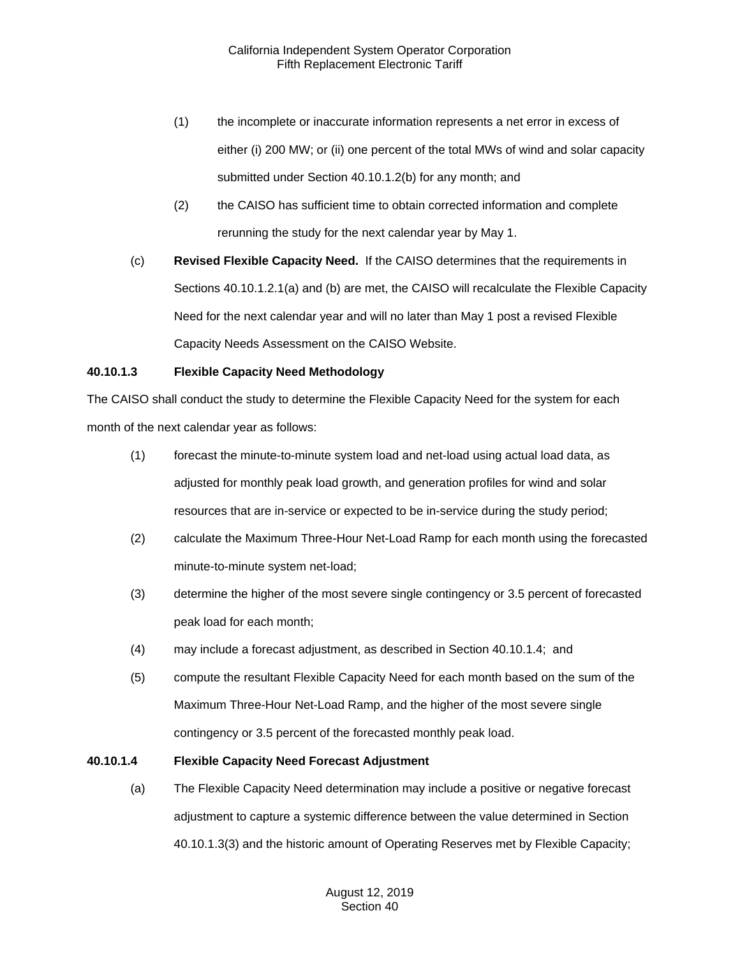- (1) the incomplete or inaccurate information represents a net error in excess of either (i) 200 MW; or (ii) one percent of the total MWs of wind and solar capacity submitted under Section 40.10.1.2(b) for any month; and
- (2) the CAISO has sufficient time to obtain corrected information and complete rerunning the study for the next calendar year by May 1.
- (c) **Revised Flexible Capacity Need.** If the CAISO determines that the requirements in Sections 40.10.1.2.1(a) and (b) are met, the CAISO will recalculate the Flexible Capacity Need for the next calendar year and will no later than May 1 post a revised Flexible Capacity Needs Assessment on the CAISO Website.

# **40.10.1.3 Flexible Capacity Need Methodology**

The CAISO shall conduct the study to determine the Flexible Capacity Need for the system for each month of the next calendar year as follows:

- (1) forecast the minute-to-minute system load and net-load using actual load data, as adjusted for monthly peak load growth, and generation profiles for wind and solar resources that are in-service or expected to be in-service during the study period;
- (2) calculate the Maximum Three-Hour Net-Load Ramp for each month using the forecasted minute-to-minute system net-load;
- (3) determine the higher of the most severe single contingency or 3.5 percent of forecasted peak load for each month;
- (4) may include a forecast adjustment, as described in Section 40.10.1.4; and
- (5) compute the resultant Flexible Capacity Need for each month based on the sum of the Maximum Three-Hour Net-Load Ramp, and the higher of the most severe single contingency or 3.5 percent of the forecasted monthly peak load.

# **40.10.1.4 Flexible Capacity Need Forecast Adjustment**

(a) The Flexible Capacity Need determination may include a positive or negative forecast adjustment to capture a systemic difference between the value determined in Section 40.10.1.3(3) and the historic amount of Operating Reserves met by Flexible Capacity;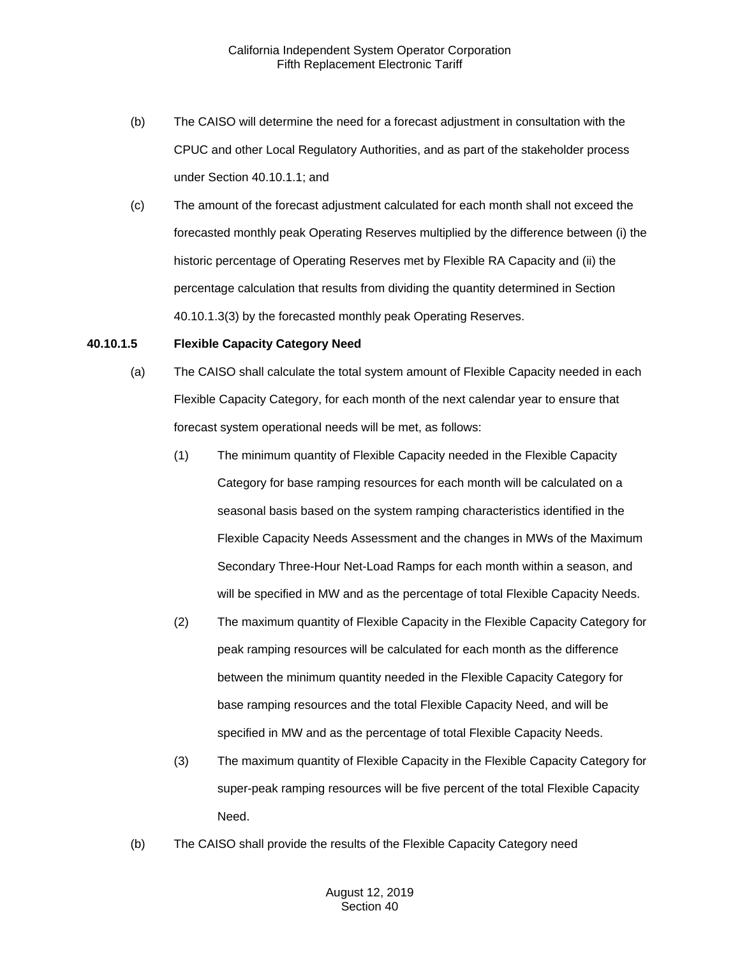- (b) The CAISO will determine the need for a forecast adjustment in consultation with the CPUC and other Local Regulatory Authorities, and as part of the stakeholder process under Section 40.10.1.1; and
- (c) The amount of the forecast adjustment calculated for each month shall not exceed the forecasted monthly peak Operating Reserves multiplied by the difference between (i) the historic percentage of Operating Reserves met by Flexible RA Capacity and (ii) the percentage calculation that results from dividing the quantity determined in Section 40.10.1.3(3) by the forecasted monthly peak Operating Reserves.

#### **40.10.1.5 Flexible Capacity Category Need**

- (a) The CAISO shall calculate the total system amount of Flexible Capacity needed in each Flexible Capacity Category, for each month of the next calendar year to ensure that forecast system operational needs will be met, as follows:
	- (1) The minimum quantity of Flexible Capacity needed in the Flexible Capacity Category for base ramping resources for each month will be calculated on a seasonal basis based on the system ramping characteristics identified in the Flexible Capacity Needs Assessment and the changes in MWs of the Maximum Secondary Three-Hour Net-Load Ramps for each month within a season, and will be specified in MW and as the percentage of total Flexible Capacity Needs.
	- (2) The maximum quantity of Flexible Capacity in the Flexible Capacity Category for peak ramping resources will be calculated for each month as the difference between the minimum quantity needed in the Flexible Capacity Category for base ramping resources and the total Flexible Capacity Need, and will be specified in MW and as the percentage of total Flexible Capacity Needs.
	- (3) The maximum quantity of Flexible Capacity in the Flexible Capacity Category for super-peak ramping resources will be five percent of the total Flexible Capacity Need.
- (b) The CAISO shall provide the results of the Flexible Capacity Category need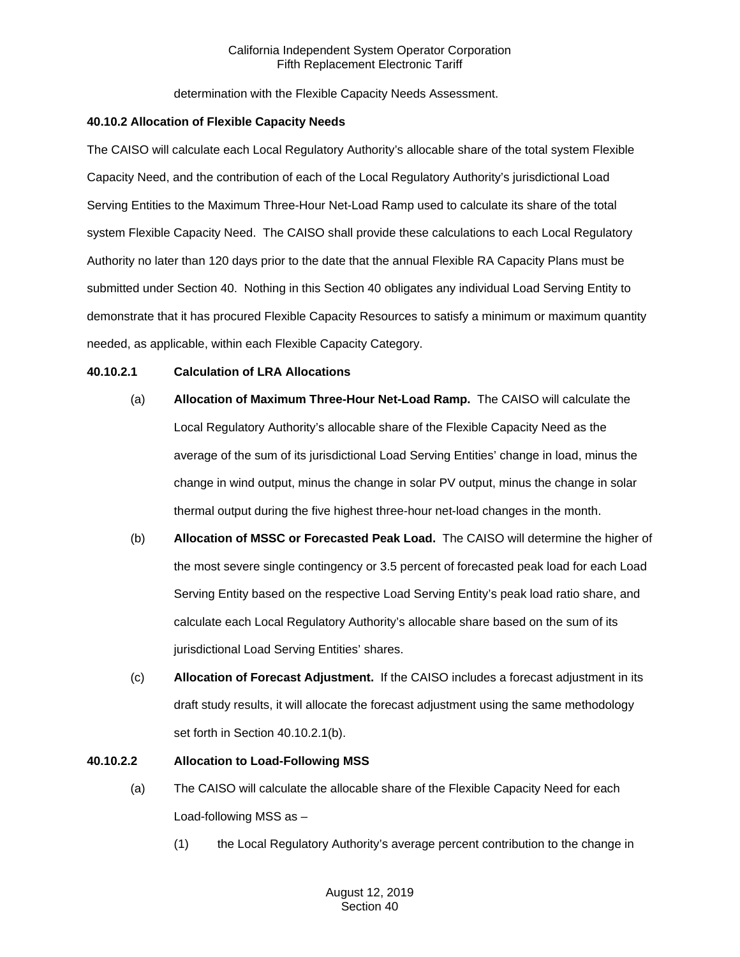determination with the Flexible Capacity Needs Assessment.

### **40.10.2 Allocation of Flexible Capacity Needs**

The CAISO will calculate each Local Regulatory Authority's allocable share of the total system Flexible Capacity Need, and the contribution of each of the Local Regulatory Authority's jurisdictional Load Serving Entities to the Maximum Three-Hour Net-Load Ramp used to calculate its share of the total system Flexible Capacity Need. The CAISO shall provide these calculations to each Local Regulatory Authority no later than 120 days prior to the date that the annual Flexible RA Capacity Plans must be submitted under Section 40. Nothing in this Section 40 obligates any individual Load Serving Entity to demonstrate that it has procured Flexible Capacity Resources to satisfy a minimum or maximum quantity needed, as applicable, within each Flexible Capacity Category.

# **40.10.2.1 Calculation of LRA Allocations**

- (a) **Allocation of Maximum Three-Hour Net-Load Ramp.** The CAISO will calculate the Local Regulatory Authority's allocable share of the Flexible Capacity Need as the average of the sum of its jurisdictional Load Serving Entities' change in load, minus the change in wind output, minus the change in solar PV output, minus the change in solar thermal output during the five highest three-hour net-load changes in the month.
- (b) **Allocation of MSSC or Forecasted Peak Load.** The CAISO will determine the higher of the most severe single contingency or 3.5 percent of forecasted peak load for each Load Serving Entity based on the respective Load Serving Entity's peak load ratio share, and calculate each Local Regulatory Authority's allocable share based on the sum of its jurisdictional Load Serving Entities' shares.
- (c) **Allocation of Forecast Adjustment.** If the CAISO includes a forecast adjustment in its draft study results, it will allocate the forecast adjustment using the same methodology set forth in Section 40.10.2.1(b).

# **40.10.2.2 Allocation to Load-Following MSS**

- (a) The CAISO will calculate the allocable share of the Flexible Capacity Need for each Load-following MSS as –
	- (1) the Local Regulatory Authority's average percent contribution to the change in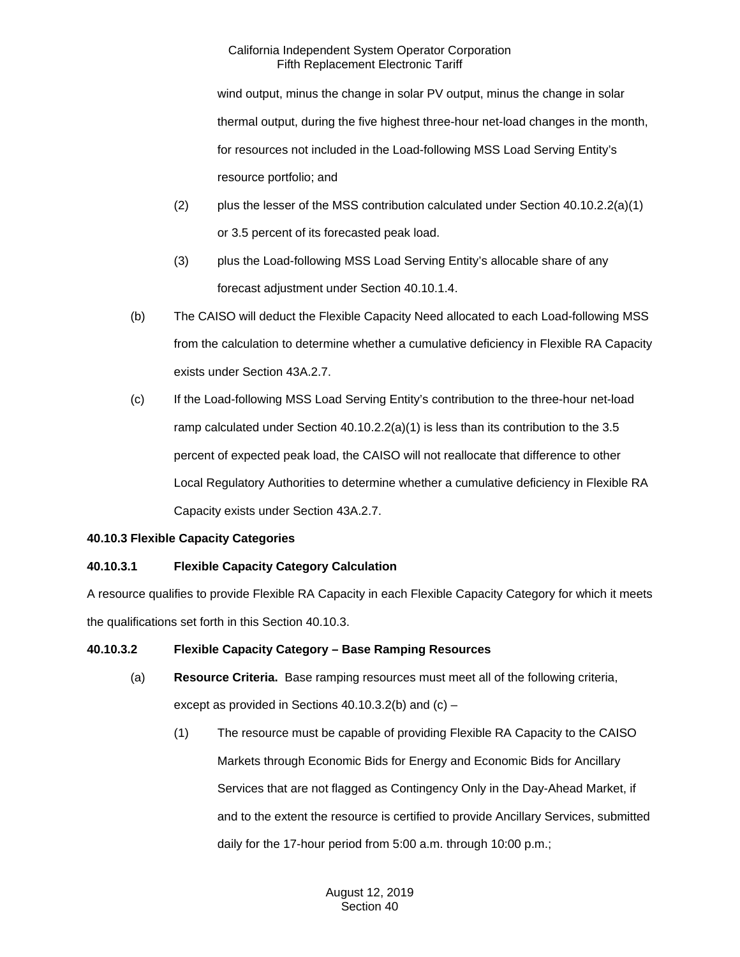wind output, minus the change in solar PV output, minus the change in solar thermal output, during the five highest three-hour net-load changes in the month, for resources not included in the Load-following MSS Load Serving Entity's resource portfolio; and

- (2) plus the lesser of the MSS contribution calculated under Section  $40.10.2.2(a)(1)$ or 3.5 percent of its forecasted peak load.
- (3) plus the Load-following MSS Load Serving Entity's allocable share of any forecast adjustment under Section 40.10.1.4.
- (b) The CAISO will deduct the Flexible Capacity Need allocated to each Load-following MSS from the calculation to determine whether a cumulative deficiency in Flexible RA Capacity exists under Section 43A.2.7.
- (c) If the Load-following MSS Load Serving Entity's contribution to the three-hour net-load ramp calculated under Section 40.10.2.2(a)(1) is less than its contribution to the 3.5 percent of expected peak load, the CAISO will not reallocate that difference to other Local Regulatory Authorities to determine whether a cumulative deficiency in Flexible RA Capacity exists under Section 43A.2.7.

# **40.10.3 Flexible Capacity Categories**

# **40.10.3.1 Flexible Capacity Category Calculation**

A resource qualifies to provide Flexible RA Capacity in each Flexible Capacity Category for which it meets the qualifications set forth in this Section 40.10.3.

# **40.10.3.2 Flexible Capacity Category – Base Ramping Resources**

- (a) **Resource Criteria.** Base ramping resources must meet all of the following criteria, except as provided in Sections 40.10.3.2(b) and (c) –
	- (1) The resource must be capable of providing Flexible RA Capacity to the CAISO Markets through Economic Bids for Energy and Economic Bids for Ancillary Services that are not flagged as Contingency Only in the Day-Ahead Market, if and to the extent the resource is certified to provide Ancillary Services, submitted daily for the 17-hour period from 5:00 a.m. through 10:00 p.m.;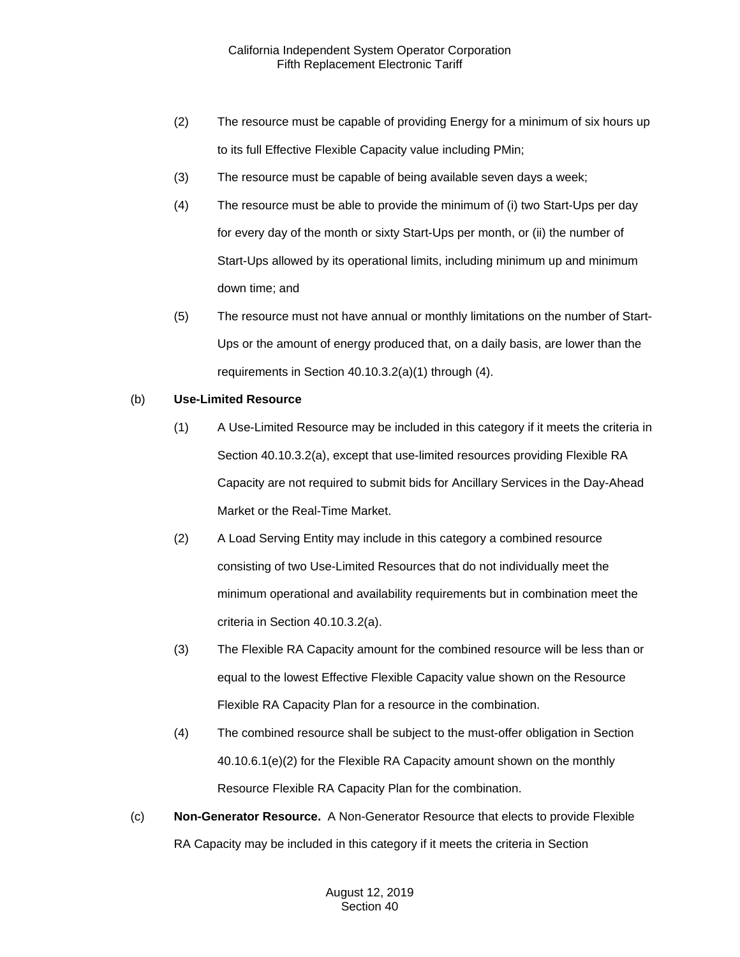- (2) The resource must be capable of providing Energy for a minimum of six hours up to its full Effective Flexible Capacity value including PMin;
- (3) The resource must be capable of being available seven days a week;
- (4) The resource must be able to provide the minimum of (i) two Start-Ups per day for every day of the month or sixty Start-Ups per month, or (ii) the number of Start-Ups allowed by its operational limits, including minimum up and minimum down time; and
- (5) The resource must not have annual or monthly limitations on the number of Start-Ups or the amount of energy produced that, on a daily basis, are lower than the requirements in Section 40.10.3.2(a)(1) through (4).

# (b) **Use-Limited Resource**

- (1) A Use-Limited Resource may be included in this category if it meets the criteria in Section 40.10.3.2(a), except that use-limited resources providing Flexible RA Capacity are not required to submit bids for Ancillary Services in the Day-Ahead Market or the Real-Time Market.
- (2) A Load Serving Entity may include in this category a combined resource consisting of two Use-Limited Resources that do not individually meet the minimum operational and availability requirements but in combination meet the criteria in Section 40.10.3.2(a).
- (3) The Flexible RA Capacity amount for the combined resource will be less than or equal to the lowest Effective Flexible Capacity value shown on the Resource Flexible RA Capacity Plan for a resource in the combination.
- (4) The combined resource shall be subject to the must-offer obligation in Section 40.10.6.1(e)(2) for the Flexible RA Capacity amount shown on the monthly Resource Flexible RA Capacity Plan for the combination.
- (c) **Non-Generator Resource.** A Non-Generator Resource that elects to provide Flexible RA Capacity may be included in this category if it meets the criteria in Section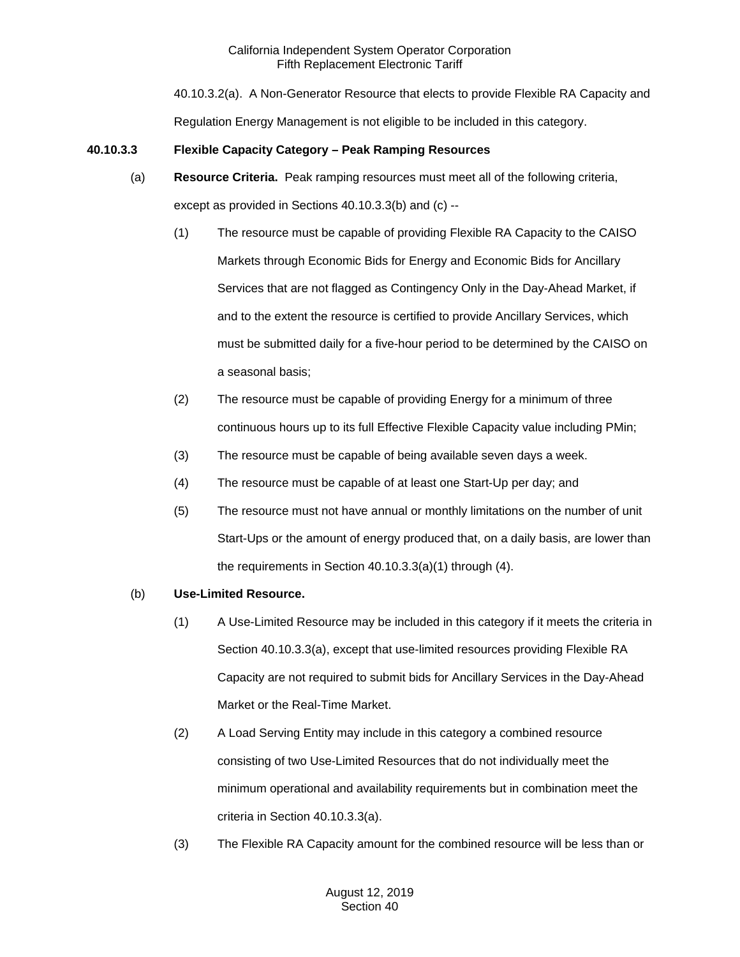40.10.3.2(a). A Non-Generator Resource that elects to provide Flexible RA Capacity and Regulation Energy Management is not eligible to be included in this category.

# **40.10.3.3 Flexible Capacity Category – Peak Ramping Resources**

- (a) **Resource Criteria.** Peak ramping resources must meet all of the following criteria, except as provided in Sections 40.10.3.3(b) and (c) --
	- (1) The resource must be capable of providing Flexible RA Capacity to the CAISO Markets through Economic Bids for Energy and Economic Bids for Ancillary Services that are not flagged as Contingency Only in the Day-Ahead Market, if and to the extent the resource is certified to provide Ancillary Services, which must be submitted daily for a five-hour period to be determined by the CAISO on a seasonal basis;
	- (2) The resource must be capable of providing Energy for a minimum of three continuous hours up to its full Effective Flexible Capacity value including PMin;
	- (3) The resource must be capable of being available seven days a week.
	- (4) The resource must be capable of at least one Start-Up per day; and
	- (5) The resource must not have annual or monthly limitations on the number of unit Start-Ups or the amount of energy produced that, on a daily basis, are lower than the requirements in Section 40.10.3.3(a)(1) through (4).

# (b) **Use-Limited Resource.**

- (1) A Use-Limited Resource may be included in this category if it meets the criteria in Section 40.10.3.3(a), except that use-limited resources providing Flexible RA Capacity are not required to submit bids for Ancillary Services in the Day-Ahead Market or the Real-Time Market.
- (2) A Load Serving Entity may include in this category a combined resource consisting of two Use-Limited Resources that do not individually meet the minimum operational and availability requirements but in combination meet the criteria in Section 40.10.3.3(a).
- (3) The Flexible RA Capacity amount for the combined resource will be less than or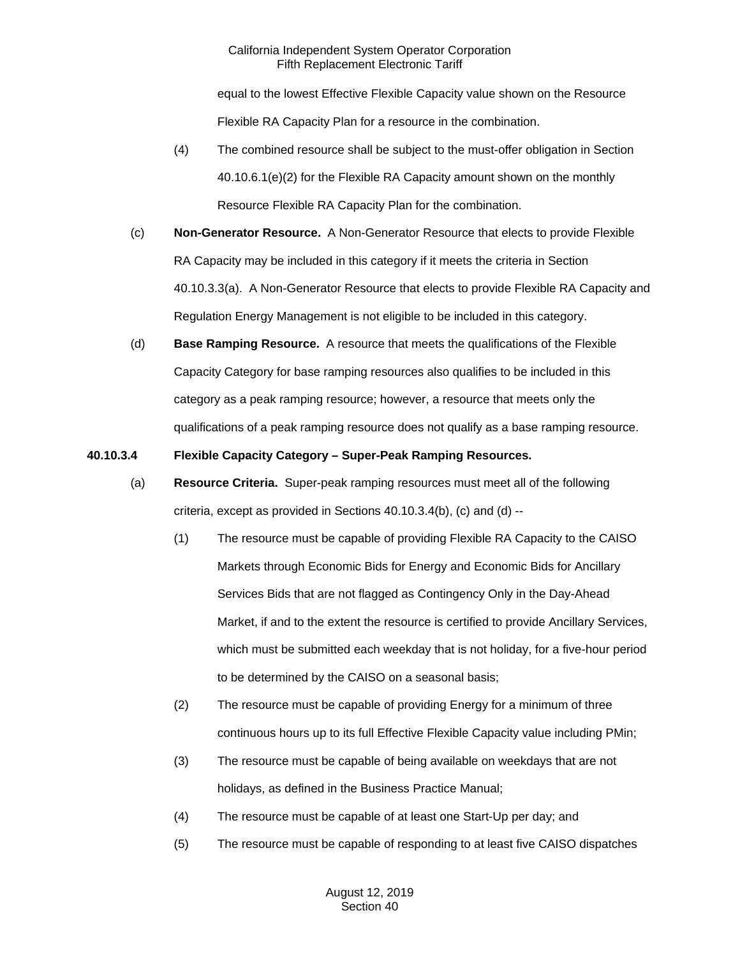equal to the lowest Effective Flexible Capacity value shown on the Resource Flexible RA Capacity Plan for a resource in the combination.

- (4) The combined resource shall be subject to the must-offer obligation in Section 40.10.6.1(e)(2) for the Flexible RA Capacity amount shown on the monthly Resource Flexible RA Capacity Plan for the combination.
- (c) **Non-Generator Resource.** A Non-Generator Resource that elects to provide Flexible RA Capacity may be included in this category if it meets the criteria in Section 40.10.3.3(a). A Non-Generator Resource that elects to provide Flexible RA Capacity and Regulation Energy Management is not eligible to be included in this category.
- (d) **Base Ramping Resource.** A resource that meets the qualifications of the Flexible Capacity Category for base ramping resources also qualifies to be included in this category as a peak ramping resource; however, a resource that meets only the qualifications of a peak ramping resource does not qualify as a base ramping resource.

# **40.10.3.4 Flexible Capacity Category – Super-Peak Ramping Resources.**

- (a) **Resource Criteria.** Super-peak ramping resources must meet all of the following criteria, except as provided in Sections 40.10.3.4(b), (c) and (d) --
	- (1) The resource must be capable of providing Flexible RA Capacity to the CAISO Markets through Economic Bids for Energy and Economic Bids for Ancillary Services Bids that are not flagged as Contingency Only in the Day-Ahead Market, if and to the extent the resource is certified to provide Ancillary Services, which must be submitted each weekday that is not holiday, for a five-hour period to be determined by the CAISO on a seasonal basis;
	- (2) The resource must be capable of providing Energy for a minimum of three continuous hours up to its full Effective Flexible Capacity value including PMin;
	- (3) The resource must be capable of being available on weekdays that are not holidays, as defined in the Business Practice Manual;
	- (4) The resource must be capable of at least one Start-Up per day; and
	- (5) The resource must be capable of responding to at least five CAISO dispatches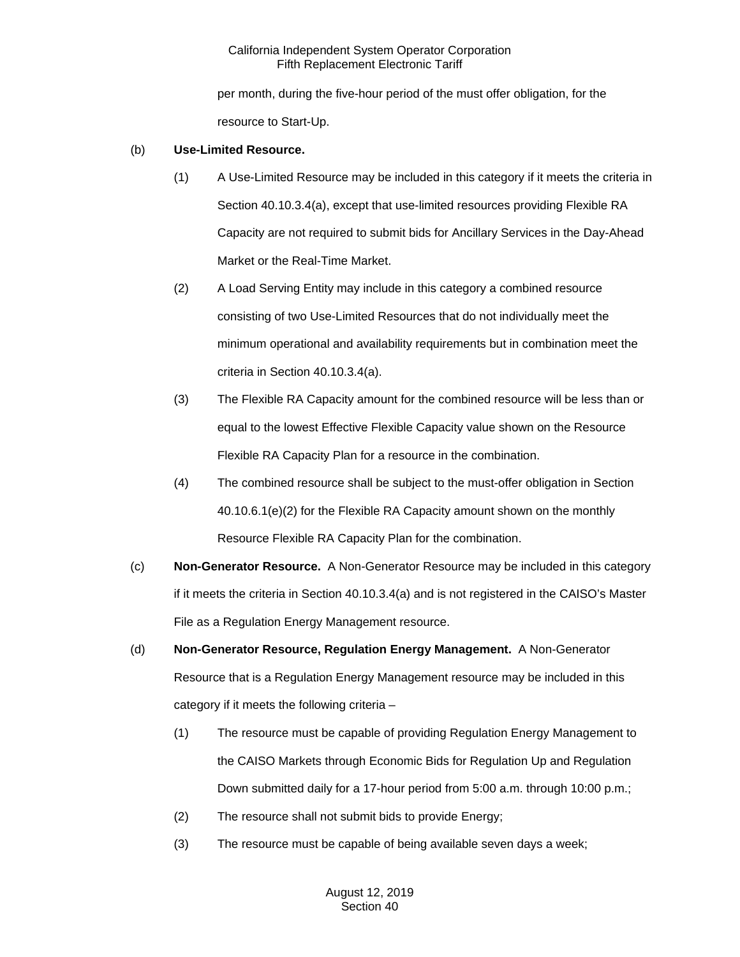per month, during the five-hour period of the must offer obligation, for the resource to Start-Up.

# (b) **Use-Limited Resource.**

- (1) A Use-Limited Resource may be included in this category if it meets the criteria in Section 40.10.3.4(a), except that use-limited resources providing Flexible RA Capacity are not required to submit bids for Ancillary Services in the Day-Ahead Market or the Real-Time Market.
- (2) A Load Serving Entity may include in this category a combined resource consisting of two Use-Limited Resources that do not individually meet the minimum operational and availability requirements but in combination meet the criteria in Section 40.10.3.4(a).
- (3) The Flexible RA Capacity amount for the combined resource will be less than or equal to the lowest Effective Flexible Capacity value shown on the Resource Flexible RA Capacity Plan for a resource in the combination.
- (4) The combined resource shall be subject to the must-offer obligation in Section 40.10.6.1(e)(2) for the Flexible RA Capacity amount shown on the monthly Resource Flexible RA Capacity Plan for the combination.
- (c) **Non-Generator Resource.** A Non-Generator Resource may be included in this category if it meets the criteria in Section 40.10.3.4(a) and is not registered in the CAISO's Master File as a Regulation Energy Management resource.
- (d) **Non-Generator Resource, Regulation Energy Management.** A Non-Generator Resource that is a Regulation Energy Management resource may be included in this category if it meets the following criteria –
	- (1) The resource must be capable of providing Regulation Energy Management to the CAISO Markets through Economic Bids for Regulation Up and Regulation Down submitted daily for a 17-hour period from 5:00 a.m. through 10:00 p.m.;
	- (2) The resource shall not submit bids to provide Energy;
	- (3) The resource must be capable of being available seven days a week;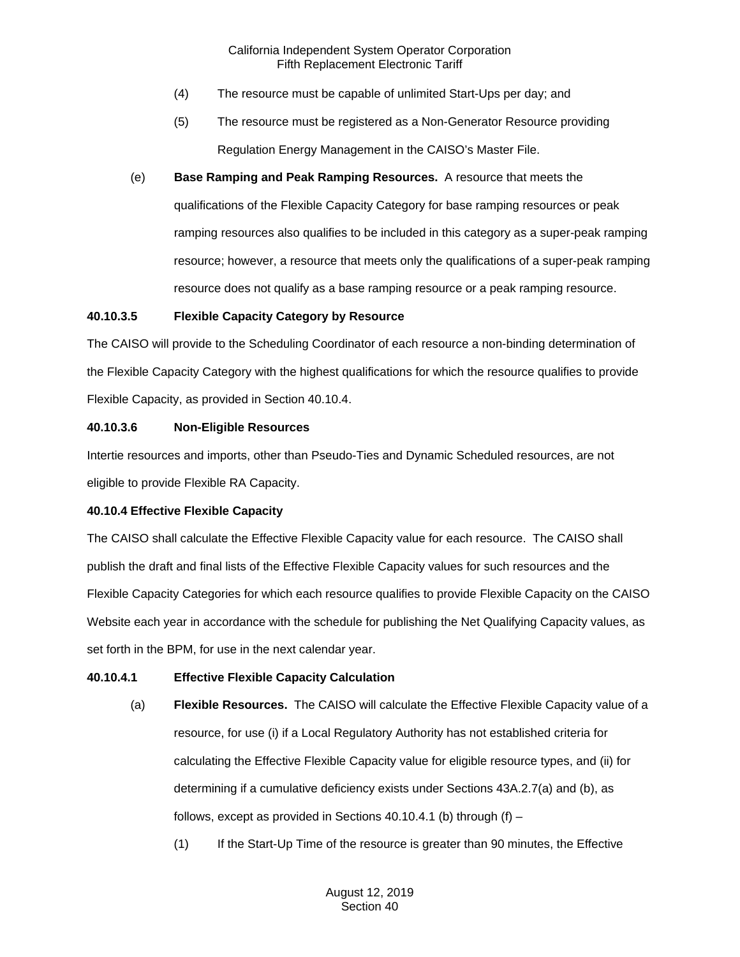- (4) The resource must be capable of unlimited Start-Ups per day; and
- (5) The resource must be registered as a Non-Generator Resource providing Regulation Energy Management in the CAISO's Master File.
- (e) **Base Ramping and Peak Ramping Resources.** A resource that meets the qualifications of the Flexible Capacity Category for base ramping resources or peak ramping resources also qualifies to be included in this category as a super-peak ramping resource; however, a resource that meets only the qualifications of a super-peak ramping resource does not qualify as a base ramping resource or a peak ramping resource.

### **40.10.3.5 Flexible Capacity Category by Resource**

The CAISO will provide to the Scheduling Coordinator of each resource a non-binding determination of the Flexible Capacity Category with the highest qualifications for which the resource qualifies to provide Flexible Capacity, as provided in Section 40.10.4.

# **40.10.3.6 Non-Eligible Resources**

Intertie resources and imports, other than Pseudo-Ties and Dynamic Scheduled resources, are not eligible to provide Flexible RA Capacity.

# **40.10.4 Effective Flexible Capacity**

The CAISO shall calculate the Effective Flexible Capacity value for each resource. The CAISO shall publish the draft and final lists of the Effective Flexible Capacity values for such resources and the Flexible Capacity Categories for which each resource qualifies to provide Flexible Capacity on the CAISO Website each year in accordance with the schedule for publishing the Net Qualifying Capacity values, as set forth in the BPM, for use in the next calendar year.

# **40.10.4.1 Effective Flexible Capacity Calculation**

- (a) **Flexible Resources.** The CAISO will calculate the Effective Flexible Capacity value of a resource, for use (i) if a Local Regulatory Authority has not established criteria for calculating the Effective Flexible Capacity value for eligible resource types, and (ii) for determining if a cumulative deficiency exists under Sections 43A.2.7(a) and (b), as follows, except as provided in Sections  $40.10.4.1$  (b) through (f) –
	- (1) If the Start-Up Time of the resource is greater than 90 minutes, the Effective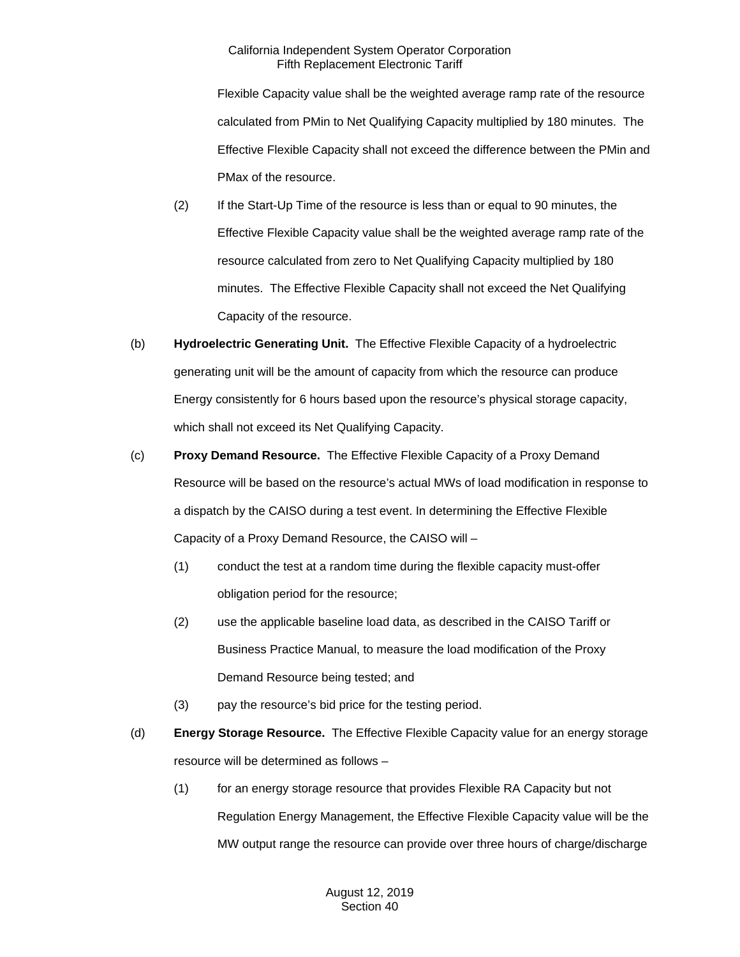Flexible Capacity value shall be the weighted average ramp rate of the resource calculated from PMin to Net Qualifying Capacity multiplied by 180 minutes. The Effective Flexible Capacity shall not exceed the difference between the PMin and PMax of the resource.

- (2) If the Start-Up Time of the resource is less than or equal to 90 minutes, the Effective Flexible Capacity value shall be the weighted average ramp rate of the resource calculated from zero to Net Qualifying Capacity multiplied by 180 minutes. The Effective Flexible Capacity shall not exceed the Net Qualifying Capacity of the resource.
- (b) **Hydroelectric Generating Unit.** The Effective Flexible Capacity of a hydroelectric generating unit will be the amount of capacity from which the resource can produce Energy consistently for 6 hours based upon the resource's physical storage capacity, which shall not exceed its Net Qualifying Capacity.
- (c) **Proxy Demand Resource.** The Effective Flexible Capacity of a Proxy Demand Resource will be based on the resource's actual MWs of load modification in response to a dispatch by the CAISO during a test event. In determining the Effective Flexible Capacity of a Proxy Demand Resource, the CAISO will –
	- (1) conduct the test at a random time during the flexible capacity must-offer obligation period for the resource;
	- (2) use the applicable baseline load data, as described in the CAISO Tariff or Business Practice Manual, to measure the load modification of the Proxy Demand Resource being tested; and
	- (3) pay the resource's bid price for the testing period.
- (d) **Energy Storage Resource.** The Effective Flexible Capacity value for an energy storage resource will be determined as follows –
	- (1) for an energy storage resource that provides Flexible RA Capacity but not Regulation Energy Management, the Effective Flexible Capacity value will be the MW output range the resource can provide over three hours of charge/discharge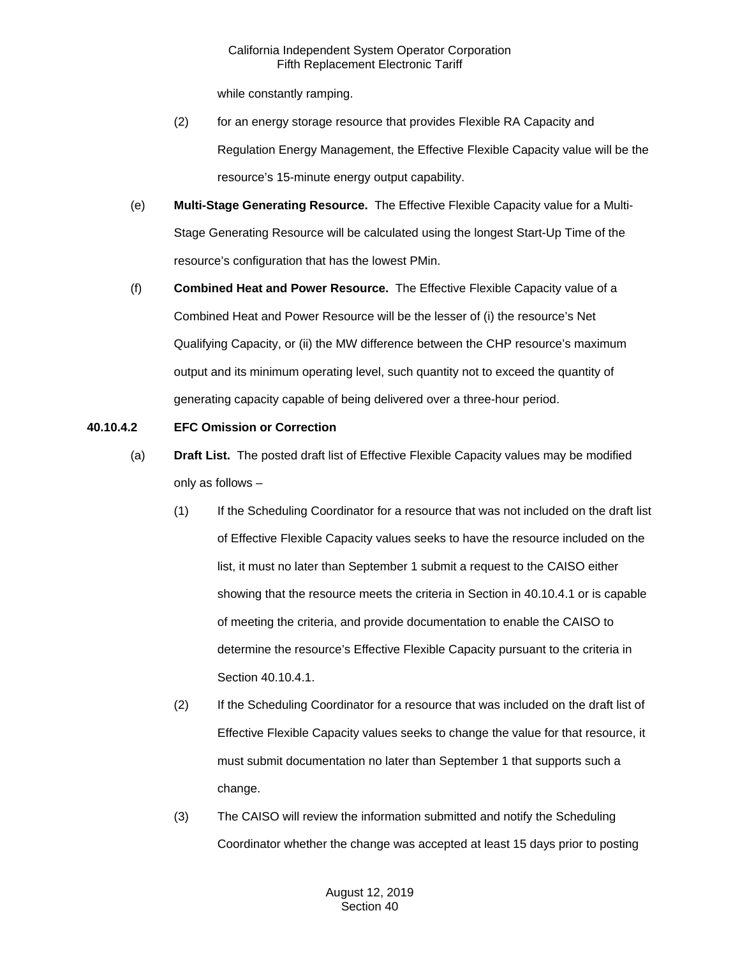while constantly ramping.

- (2) for an energy storage resource that provides Flexible RA Capacity and Regulation Energy Management, the Effective Flexible Capacity value will be the resource's 15-minute energy output capability.
- (e) **Multi-Stage Generating Resource.** The Effective Flexible Capacity value for a Multi-Stage Generating Resource will be calculated using the longest Start-Up Time of the resource's configuration that has the lowest PMin.
- (f) **Combined Heat and Power Resource.** The Effective Flexible Capacity value of a Combined Heat and Power Resource will be the lesser of (i) the resource's Net Qualifying Capacity, or (ii) the MW difference between the CHP resource's maximum output and its minimum operating level, such quantity not to exceed the quantity of generating capacity capable of being delivered over a three-hour period.

# **40.10.4.2 EFC Omission or Correction**

- (a) **Draft List.** The posted draft list of Effective Flexible Capacity values may be modified only as follows –
	- (1) If the Scheduling Coordinator for a resource that was not included on the draft list of Effective Flexible Capacity values seeks to have the resource included on the list, it must no later than September 1 submit a request to the CAISO either showing that the resource meets the criteria in Section in 40.10.4.1 or is capable of meeting the criteria, and provide documentation to enable the CAISO to determine the resource's Effective Flexible Capacity pursuant to the criteria in Section 40.10.4.1.
	- (2) If the Scheduling Coordinator for a resource that was included on the draft list of Effective Flexible Capacity values seeks to change the value for that resource, it must submit documentation no later than September 1 that supports such a change.
	- (3) The CAISO will review the information submitted and notify the Scheduling Coordinator whether the change was accepted at least 15 days prior to posting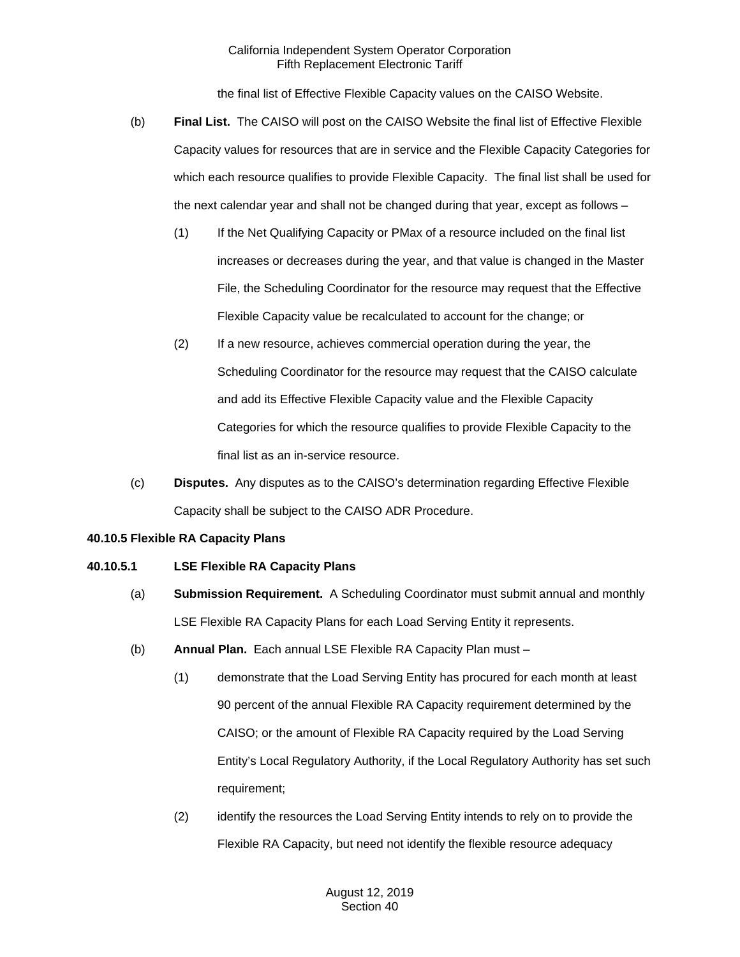the final list of Effective Flexible Capacity values on the CAISO Website.

- (b) **Final List.** The CAISO will post on the CAISO Website the final list of Effective Flexible Capacity values for resources that are in service and the Flexible Capacity Categories for which each resource qualifies to provide Flexible Capacity. The final list shall be used for the next calendar year and shall not be changed during that year, except as follows –
	- (1) If the Net Qualifying Capacity or PMax of a resource included on the final list increases or decreases during the year, and that value is changed in the Master File, the Scheduling Coordinator for the resource may request that the Effective Flexible Capacity value be recalculated to account for the change; or
	- (2) If a new resource, achieves commercial operation during the year, the Scheduling Coordinator for the resource may request that the CAISO calculate and add its Effective Flexible Capacity value and the Flexible Capacity Categories for which the resource qualifies to provide Flexible Capacity to the final list as an in-service resource.
- (c) **Disputes.** Any disputes as to the CAISO's determination regarding Effective Flexible Capacity shall be subject to the CAISO ADR Procedure.

# **40.10.5 Flexible RA Capacity Plans**

# **40.10.5.1 LSE Flexible RA Capacity Plans**

- (a) **Submission Requirement.** A Scheduling Coordinator must submit annual and monthly LSE Flexible RA Capacity Plans for each Load Serving Entity it represents.
- (b) **Annual Plan.** Each annual LSE Flexible RA Capacity Plan must
	- (1) demonstrate that the Load Serving Entity has procured for each month at least 90 percent of the annual Flexible RA Capacity requirement determined by the CAISO; or the amount of Flexible RA Capacity required by the Load Serving Entity's Local Regulatory Authority, if the Local Regulatory Authority has set such requirement;
	- (2) identify the resources the Load Serving Entity intends to rely on to provide the Flexible RA Capacity, but need not identify the flexible resource adequacy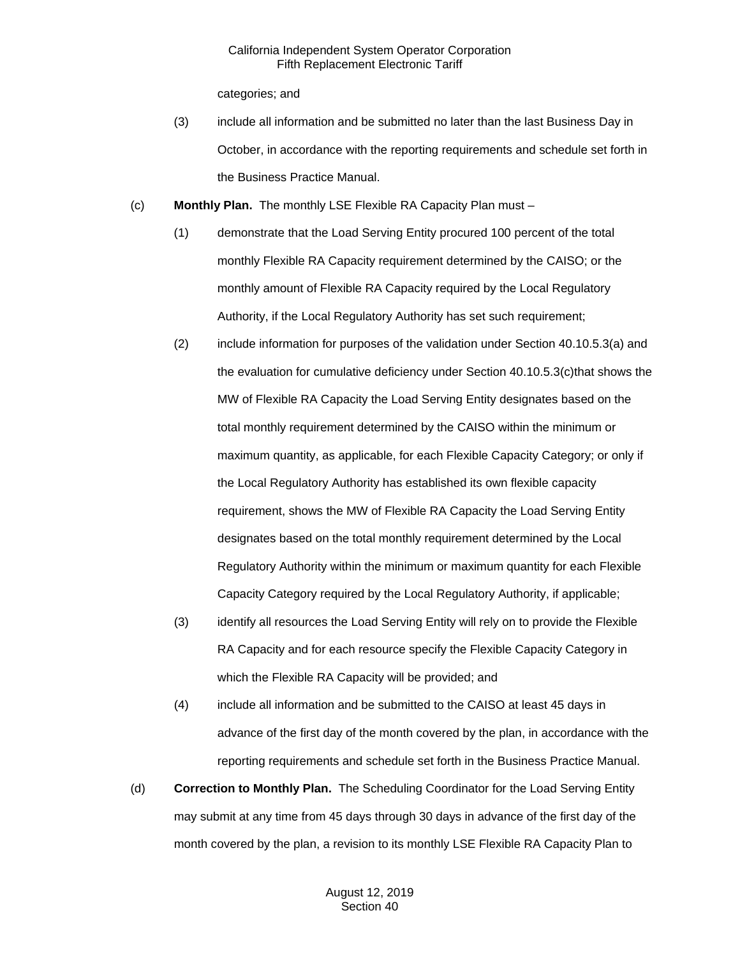categories; and

- (3) include all information and be submitted no later than the last Business Day in October, in accordance with the reporting requirements and schedule set forth in the Business Practice Manual.
- (c) **Monthly Plan.** The monthly LSE Flexible RA Capacity Plan must
	- (1) demonstrate that the Load Serving Entity procured 100 percent of the total monthly Flexible RA Capacity requirement determined by the CAISO; or the monthly amount of Flexible RA Capacity required by the Local Regulatory Authority, if the Local Regulatory Authority has set such requirement;
	- (2) include information for purposes of the validation under Section 40.10.5.3(a) and the evaluation for cumulative deficiency under Section 40.10.5.3(c)that shows the MW of Flexible RA Capacity the Load Serving Entity designates based on the total monthly requirement determined by the CAISO within the minimum or maximum quantity, as applicable, for each Flexible Capacity Category; or only if the Local Regulatory Authority has established its own flexible capacity requirement, shows the MW of Flexible RA Capacity the Load Serving Entity designates based on the total monthly requirement determined by the Local Regulatory Authority within the minimum or maximum quantity for each Flexible Capacity Category required by the Local Regulatory Authority, if applicable;
	- (3) identify all resources the Load Serving Entity will rely on to provide the Flexible RA Capacity and for each resource specify the Flexible Capacity Category in which the Flexible RA Capacity will be provided; and
	- (4) include all information and be submitted to the CAISO at least 45 days in advance of the first day of the month covered by the plan, in accordance with the reporting requirements and schedule set forth in the Business Practice Manual.
- (d) **Correction to Monthly Plan.** The Scheduling Coordinator for the Load Serving Entity may submit at any time from 45 days through 30 days in advance of the first day of the month covered by the plan, a revision to its monthly LSE Flexible RA Capacity Plan to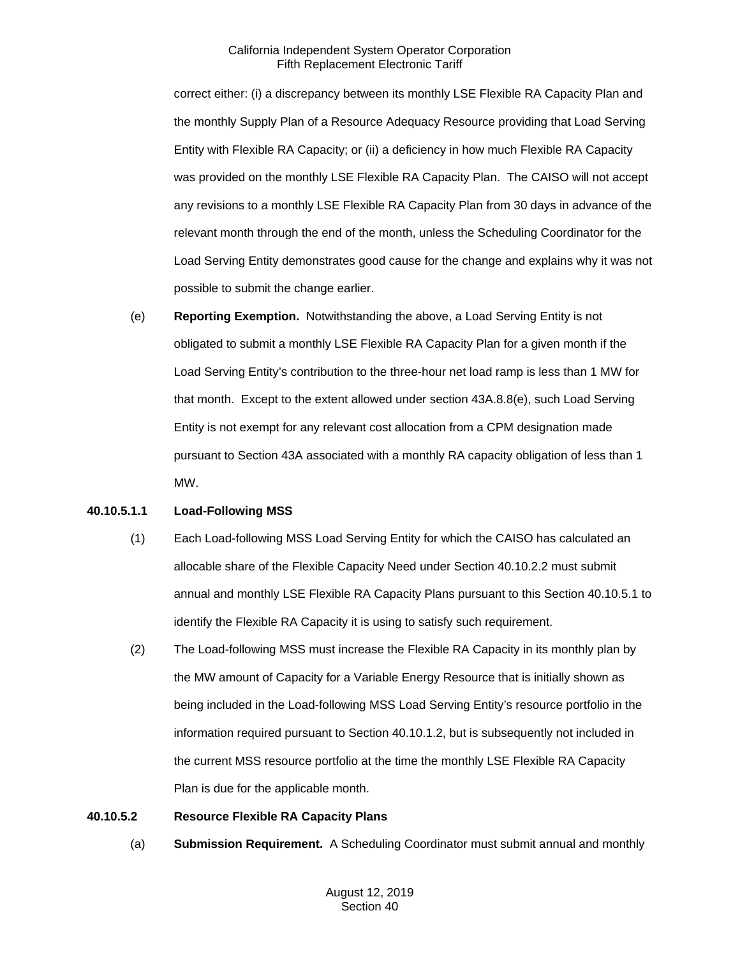correct either: (i) a discrepancy between its monthly LSE Flexible RA Capacity Plan and the monthly Supply Plan of a Resource Adequacy Resource providing that Load Serving Entity with Flexible RA Capacity; or (ii) a deficiency in how much Flexible RA Capacity was provided on the monthly LSE Flexible RA Capacity Plan. The CAISO will not accept any revisions to a monthly LSE Flexible RA Capacity Plan from 30 days in advance of the relevant month through the end of the month, unless the Scheduling Coordinator for the Load Serving Entity demonstrates good cause for the change and explains why it was not possible to submit the change earlier.

(e) **Reporting Exemption.** Notwithstanding the above, a Load Serving Entity is not obligated to submit a monthly LSE Flexible RA Capacity Plan for a given month if the Load Serving Entity's contribution to the three-hour net load ramp is less than 1 MW for that month. Except to the extent allowed under section 43A.8.8(e), such Load Serving Entity is not exempt for any relevant cost allocation from a CPM designation made pursuant to Section 43A associated with a monthly RA capacity obligation of less than 1 MW.

#### **40.10.5.1.1 Load-Following MSS**

- (1) Each Load-following MSS Load Serving Entity for which the CAISO has calculated an allocable share of the Flexible Capacity Need under Section 40.10.2.2 must submit annual and monthly LSE Flexible RA Capacity Plans pursuant to this Section 40.10.5.1 to identify the Flexible RA Capacity it is using to satisfy such requirement.
- (2) The Load-following MSS must increase the Flexible RA Capacity in its monthly plan by the MW amount of Capacity for a Variable Energy Resource that is initially shown as being included in the Load-following MSS Load Serving Entity's resource portfolio in the information required pursuant to Section 40.10.1.2, but is subsequently not included in the current MSS resource portfolio at the time the monthly LSE Flexible RA Capacity Plan is due for the applicable month.

#### **40.10.5.2 Resource Flexible RA Capacity Plans**

(a) **Submission Requirement.** A Scheduling Coordinator must submit annual and monthly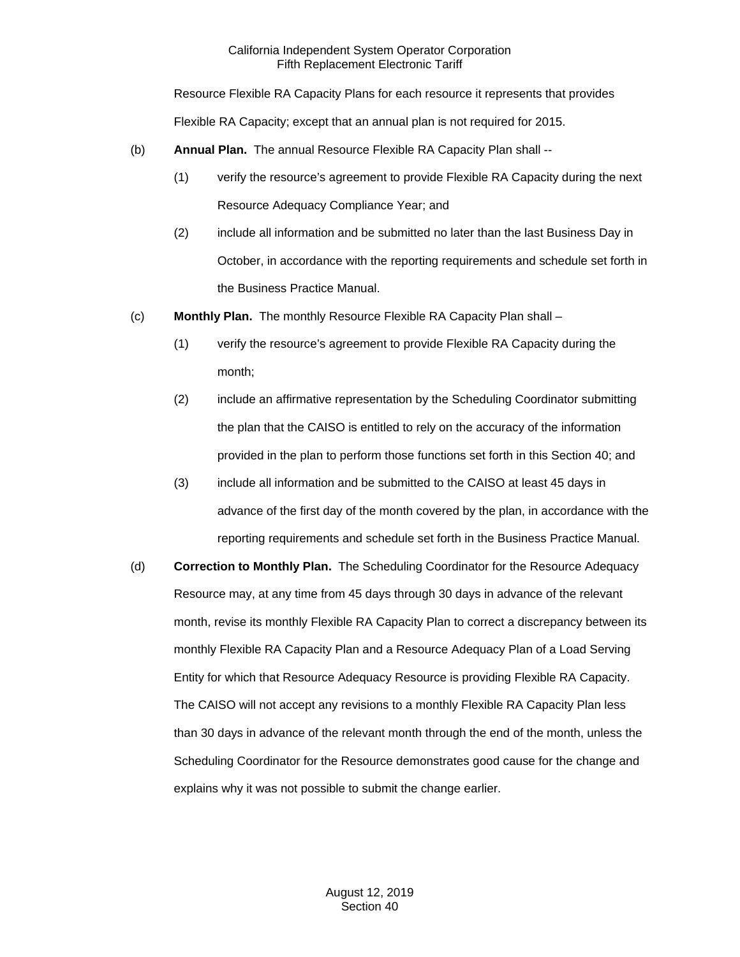Resource Flexible RA Capacity Plans for each resource it represents that provides

Flexible RA Capacity; except that an annual plan is not required for 2015.

- (b) **Annual Plan.** The annual Resource Flexible RA Capacity Plan shall --
	- (1) verify the resource's agreement to provide Flexible RA Capacity during the next Resource Adequacy Compliance Year; and
	- (2) include all information and be submitted no later than the last Business Day in October, in accordance with the reporting requirements and schedule set forth in the Business Practice Manual.
- (c) **Monthly Plan.** The monthly Resource Flexible RA Capacity Plan shall
	- (1) verify the resource's agreement to provide Flexible RA Capacity during the month;
	- (2) include an affirmative representation by the Scheduling Coordinator submitting the plan that the CAISO is entitled to rely on the accuracy of the information provided in the plan to perform those functions set forth in this Section 40; and
	- (3) include all information and be submitted to the CAISO at least 45 days in advance of the first day of the month covered by the plan, in accordance with the reporting requirements and schedule set forth in the Business Practice Manual.
- (d) **Correction to Monthly Plan.** The Scheduling Coordinator for the Resource Adequacy Resource may, at any time from 45 days through 30 days in advance of the relevant month, revise its monthly Flexible RA Capacity Plan to correct a discrepancy between its monthly Flexible RA Capacity Plan and a Resource Adequacy Plan of a Load Serving Entity for which that Resource Adequacy Resource is providing Flexible RA Capacity. The CAISO will not accept any revisions to a monthly Flexible RA Capacity Plan less than 30 days in advance of the relevant month through the end of the month, unless the Scheduling Coordinator for the Resource demonstrates good cause for the change and explains why it was not possible to submit the change earlier.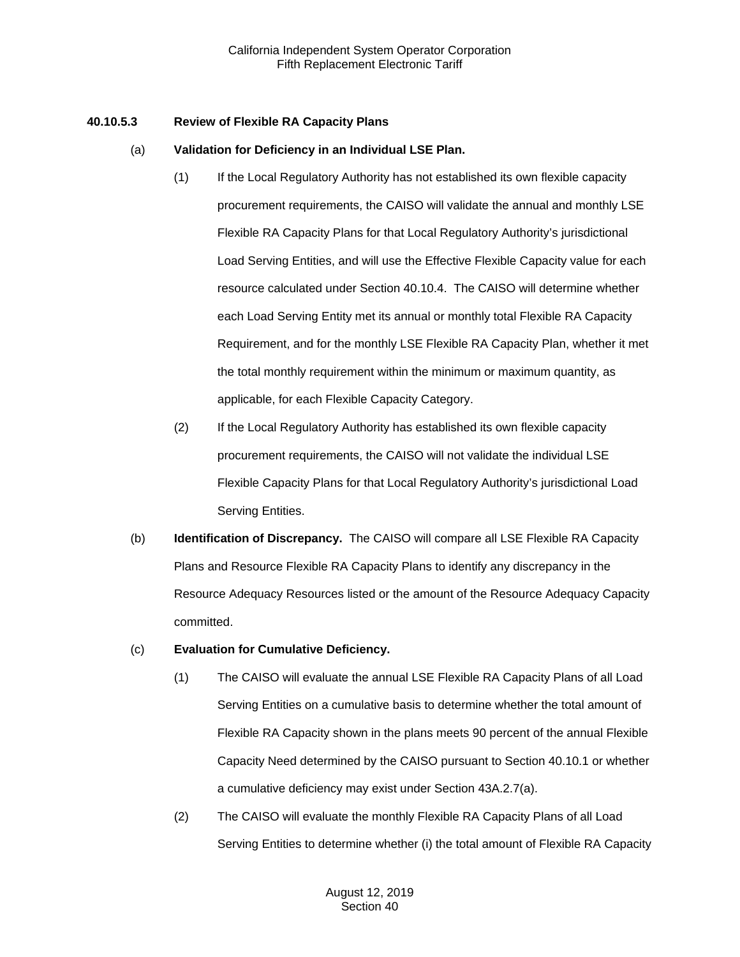### **40.10.5.3 Review of Flexible RA Capacity Plans**

### (a) **Validation for Deficiency in an Individual LSE Plan.**

- (1) If the Local Regulatory Authority has not established its own flexible capacity procurement requirements, the CAISO will validate the annual and monthly LSE Flexible RA Capacity Plans for that Local Regulatory Authority's jurisdictional Load Serving Entities, and will use the Effective Flexible Capacity value for each resource calculated under Section 40.10.4. The CAISO will determine whether each Load Serving Entity met its annual or monthly total Flexible RA Capacity Requirement, and for the monthly LSE Flexible RA Capacity Plan, whether it met the total monthly requirement within the minimum or maximum quantity, as applicable, for each Flexible Capacity Category.
- (2) If the Local Regulatory Authority has established its own flexible capacity procurement requirements, the CAISO will not validate the individual LSE Flexible Capacity Plans for that Local Regulatory Authority's jurisdictional Load Serving Entities.
- (b) **Identification of Discrepancy.** The CAISO will compare all LSE Flexible RA Capacity Plans and Resource Flexible RA Capacity Plans to identify any discrepancy in the Resource Adequacy Resources listed or the amount of the Resource Adequacy Capacity committed.

# (c) **Evaluation for Cumulative Deficiency.**

- (1) The CAISO will evaluate the annual LSE Flexible RA Capacity Plans of all Load Serving Entities on a cumulative basis to determine whether the total amount of Flexible RA Capacity shown in the plans meets 90 percent of the annual Flexible Capacity Need determined by the CAISO pursuant to Section 40.10.1 or whether a cumulative deficiency may exist under Section 43A.2.7(a).
- (2) The CAISO will evaluate the monthly Flexible RA Capacity Plans of all Load Serving Entities to determine whether (i) the total amount of Flexible RA Capacity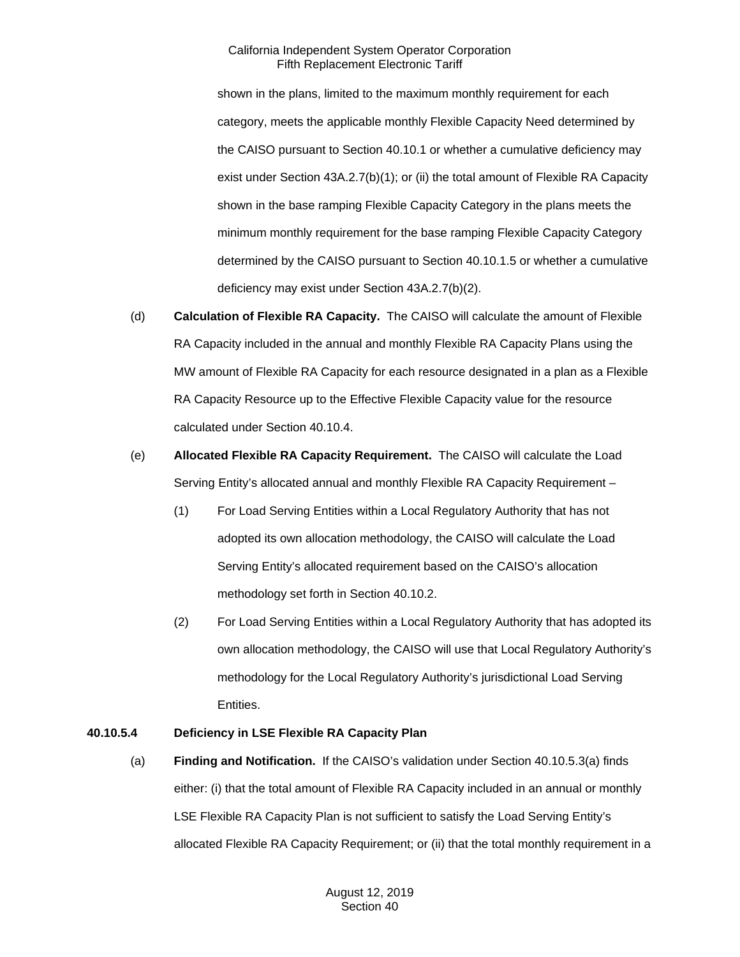shown in the plans, limited to the maximum monthly requirement for each category, meets the applicable monthly Flexible Capacity Need determined by the CAISO pursuant to Section 40.10.1 or whether a cumulative deficiency may exist under Section 43A.2.7(b)(1); or (ii) the total amount of Flexible RA Capacity shown in the base ramping Flexible Capacity Category in the plans meets the minimum monthly requirement for the base ramping Flexible Capacity Category determined by the CAISO pursuant to Section 40.10.1.5 or whether a cumulative deficiency may exist under Section 43A.2.7(b)(2).

- (d) **Calculation of Flexible RA Capacity.** The CAISO will calculate the amount of Flexible RA Capacity included in the annual and monthly Flexible RA Capacity Plans using the MW amount of Flexible RA Capacity for each resource designated in a plan as a Flexible RA Capacity Resource up to the Effective Flexible Capacity value for the resource calculated under Section 40.10.4.
- (e) **Allocated Flexible RA Capacity Requirement.** The CAISO will calculate the Load Serving Entity's allocated annual and monthly Flexible RA Capacity Requirement –
	- (1) For Load Serving Entities within a Local Regulatory Authority that has not adopted its own allocation methodology, the CAISO will calculate the Load Serving Entity's allocated requirement based on the CAISO's allocation methodology set forth in Section 40.10.2.
	- (2) For Load Serving Entities within a Local Regulatory Authority that has adopted its own allocation methodology, the CAISO will use that Local Regulatory Authority's methodology for the Local Regulatory Authority's jurisdictional Load Serving Entities.

# **40.10.5.4 Deficiency in LSE Flexible RA Capacity Plan**

(a) **Finding and Notification.** If the CAISO's validation under Section 40.10.5.3(a) finds either: (i) that the total amount of Flexible RA Capacity included in an annual or monthly LSE Flexible RA Capacity Plan is not sufficient to satisfy the Load Serving Entity's allocated Flexible RA Capacity Requirement; or (ii) that the total monthly requirement in a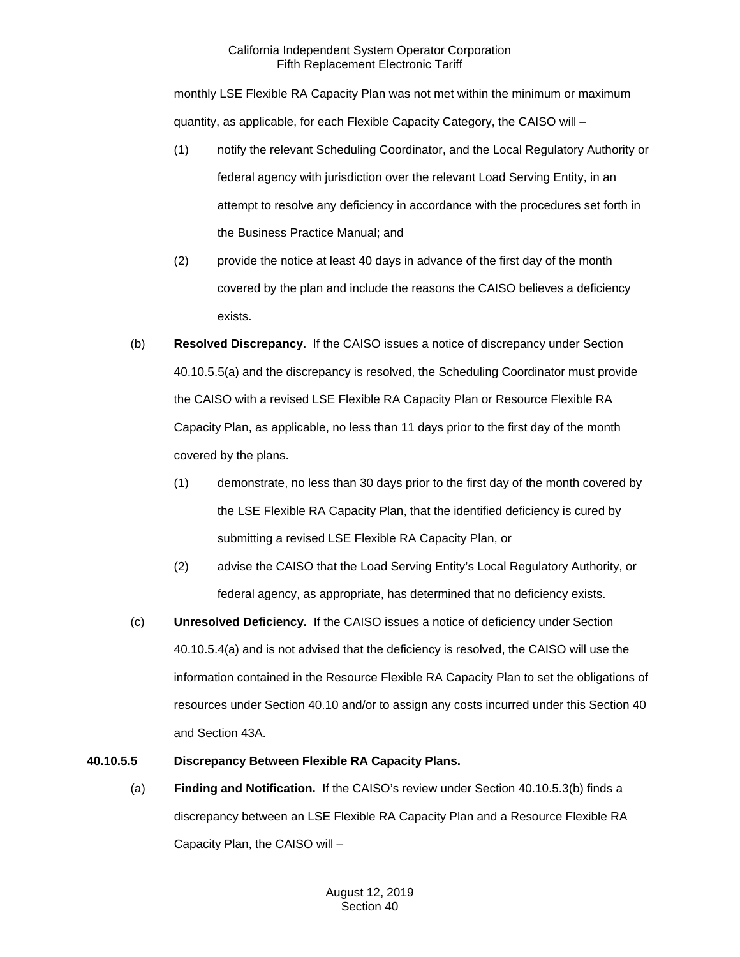monthly LSE Flexible RA Capacity Plan was not met within the minimum or maximum quantity, as applicable, for each Flexible Capacity Category, the CAISO will –

- (1) notify the relevant Scheduling Coordinator, and the Local Regulatory Authority or federal agency with jurisdiction over the relevant Load Serving Entity, in an attempt to resolve any deficiency in accordance with the procedures set forth in the Business Practice Manual; and
- (2) provide the notice at least 40 days in advance of the first day of the month covered by the plan and include the reasons the CAISO believes a deficiency exists.
- (b) **Resolved Discrepancy.** If the CAISO issues a notice of discrepancy under Section 40.10.5.5(a) and the discrepancy is resolved, the Scheduling Coordinator must provide the CAISO with a revised LSE Flexible RA Capacity Plan or Resource Flexible RA Capacity Plan, as applicable, no less than 11 days prior to the first day of the month covered by the plans.
	- (1) demonstrate, no less than 30 days prior to the first day of the month covered by the LSE Flexible RA Capacity Plan, that the identified deficiency is cured by submitting a revised LSE Flexible RA Capacity Plan, or
	- (2) advise the CAISO that the Load Serving Entity's Local Regulatory Authority, or federal agency, as appropriate, has determined that no deficiency exists.
- (c) **Unresolved Deficiency.** If the CAISO issues a notice of deficiency under Section 40.10.5.4(a) and is not advised that the deficiency is resolved, the CAISO will use the information contained in the Resource Flexible RA Capacity Plan to set the obligations of resources under Section 40.10 and/or to assign any costs incurred under this Section 40 and Section 43A.

# **40.10.5.5 Discrepancy Between Flexible RA Capacity Plans.**

(a) **Finding and Notification.** If the CAISO's review under Section 40.10.5.3(b) finds a discrepancy between an LSE Flexible RA Capacity Plan and a Resource Flexible RA Capacity Plan, the CAISO will –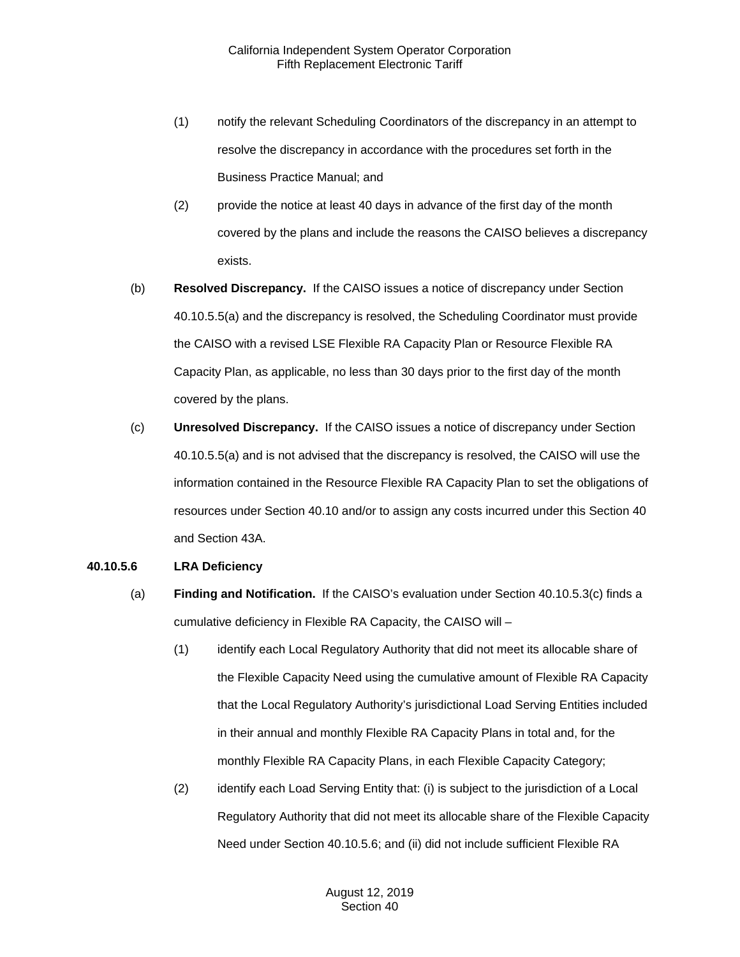- (1) notify the relevant Scheduling Coordinators of the discrepancy in an attempt to resolve the discrepancy in accordance with the procedures set forth in the Business Practice Manual; and
- (2) provide the notice at least 40 days in advance of the first day of the month covered by the plans and include the reasons the CAISO believes a discrepancy exists.
- (b) **Resolved Discrepancy.** If the CAISO issues a notice of discrepancy under Section 40.10.5.5(a) and the discrepancy is resolved, the Scheduling Coordinator must provide the CAISO with a revised LSE Flexible RA Capacity Plan or Resource Flexible RA Capacity Plan, as applicable, no less than 30 days prior to the first day of the month covered by the plans.
- (c) **Unresolved Discrepancy.** If the CAISO issues a notice of discrepancy under Section 40.10.5.5(a) and is not advised that the discrepancy is resolved, the CAISO will use the information contained in the Resource Flexible RA Capacity Plan to set the obligations of resources under Section 40.10 and/or to assign any costs incurred under this Section 40 and Section 43A.

#### **40.10.5.6 LRA Deficiency**

- (a) **Finding and Notification.** If the CAISO's evaluation under Section 40.10.5.3(c) finds a cumulative deficiency in Flexible RA Capacity, the CAISO will –
	- (1) identify each Local Regulatory Authority that did not meet its allocable share of the Flexible Capacity Need using the cumulative amount of Flexible RA Capacity that the Local Regulatory Authority's jurisdictional Load Serving Entities included in their annual and monthly Flexible RA Capacity Plans in total and, for the monthly Flexible RA Capacity Plans, in each Flexible Capacity Category;
	- (2) identify each Load Serving Entity that: (i) is subject to the jurisdiction of a Local Regulatory Authority that did not meet its allocable share of the Flexible Capacity Need under Section 40.10.5.6; and (ii) did not include sufficient Flexible RA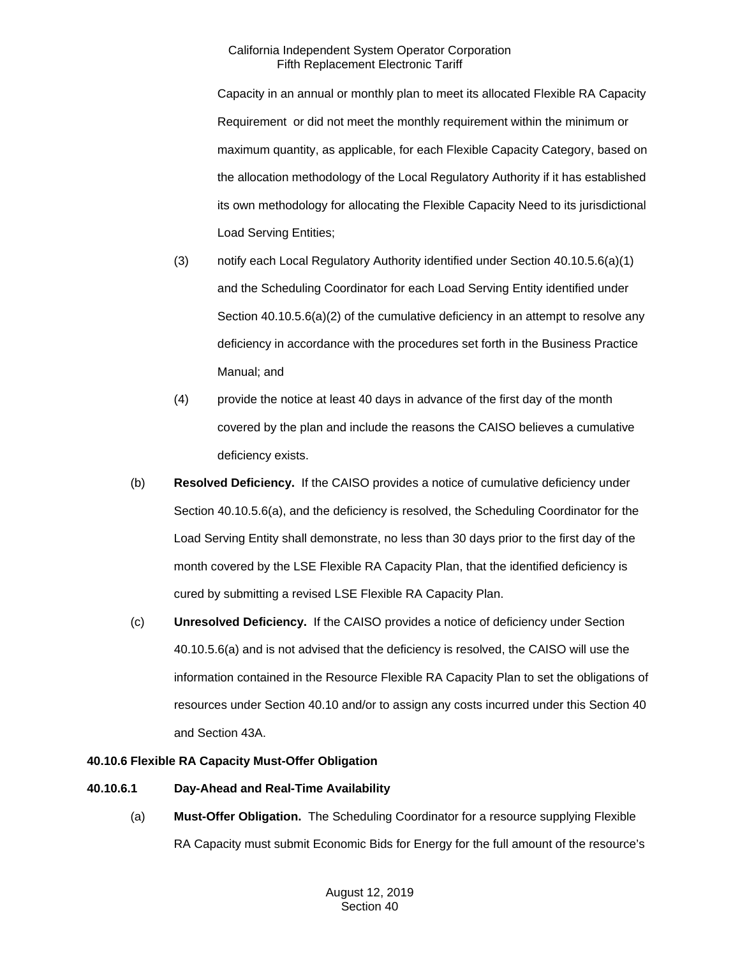Capacity in an annual or monthly plan to meet its allocated Flexible RA Capacity Requirement or did not meet the monthly requirement within the minimum or maximum quantity, as applicable, for each Flexible Capacity Category, based on the allocation methodology of the Local Regulatory Authority if it has established its own methodology for allocating the Flexible Capacity Need to its jurisdictional Load Serving Entities;

- (3) notify each Local Regulatory Authority identified under Section 40.10.5.6(a)(1) and the Scheduling Coordinator for each Load Serving Entity identified under Section 40.10.5.6(a)(2) of the cumulative deficiency in an attempt to resolve any deficiency in accordance with the procedures set forth in the Business Practice Manual; and
- (4) provide the notice at least 40 days in advance of the first day of the month covered by the plan and include the reasons the CAISO believes a cumulative deficiency exists.
- (b) **Resolved Deficiency.** If the CAISO provides a notice of cumulative deficiency under Section 40.10.5.6(a), and the deficiency is resolved, the Scheduling Coordinator for the Load Serving Entity shall demonstrate, no less than 30 days prior to the first day of the month covered by the LSE Flexible RA Capacity Plan, that the identified deficiency is cured by submitting a revised LSE Flexible RA Capacity Plan.
- (c) **Unresolved Deficiency.** If the CAISO provides a notice of deficiency under Section 40.10.5.6(a) and is not advised that the deficiency is resolved, the CAISO will use the information contained in the Resource Flexible RA Capacity Plan to set the obligations of resources under Section 40.10 and/or to assign any costs incurred under this Section 40 and Section 43A.

# **40.10.6 Flexible RA Capacity Must-Offer Obligation**

# **40.10.6.1 Day-Ahead and Real-Time Availability**

(a) **Must-Offer Obligation.** The Scheduling Coordinator for a resource supplying Flexible RA Capacity must submit Economic Bids for Energy for the full amount of the resource's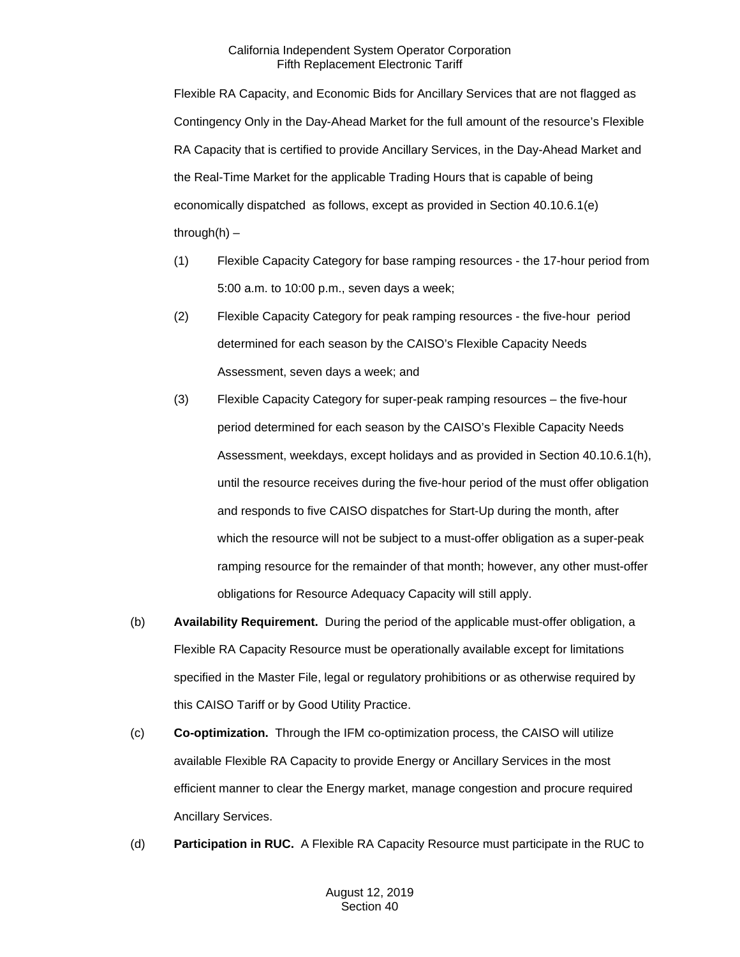Flexible RA Capacity, and Economic Bids for Ancillary Services that are not flagged as Contingency Only in the Day-Ahead Market for the full amount of the resource's Flexible RA Capacity that is certified to provide Ancillary Services, in the Day-Ahead Market and the Real-Time Market for the applicable Trading Hours that is capable of being economically dispatched as follows, except as provided in Section 40.10.6.1(e) through $(h)$  –

- (1) Flexible Capacity Category for base ramping resources the 17-hour period from 5:00 a.m. to 10:00 p.m., seven days a week;
- (2) Flexible Capacity Category for peak ramping resources the five-hour period determined for each season by the CAISO's Flexible Capacity Needs Assessment, seven days a week; and
- (3) Flexible Capacity Category for super-peak ramping resources the five-hour period determined for each season by the CAISO's Flexible Capacity Needs Assessment, weekdays, except holidays and as provided in Section 40.10.6.1(h), until the resource receives during the five-hour period of the must offer obligation and responds to five CAISO dispatches for Start-Up during the month, after which the resource will not be subject to a must-offer obligation as a super-peak ramping resource for the remainder of that month; however, any other must-offer obligations for Resource Adequacy Capacity will still apply.
- (b) **Availability Requirement.** During the period of the applicable must-offer obligation, a Flexible RA Capacity Resource must be operationally available except for limitations specified in the Master File, legal or regulatory prohibitions or as otherwise required by this CAISO Tariff or by Good Utility Practice.
- (c) **Co-optimization.** Through the IFM co-optimization process, the CAISO will utilize available Flexible RA Capacity to provide Energy or Ancillary Services in the most efficient manner to clear the Energy market, manage congestion and procure required Ancillary Services.
- (d) **Participation in RUC.** A Flexible RA Capacity Resource must participate in the RUC to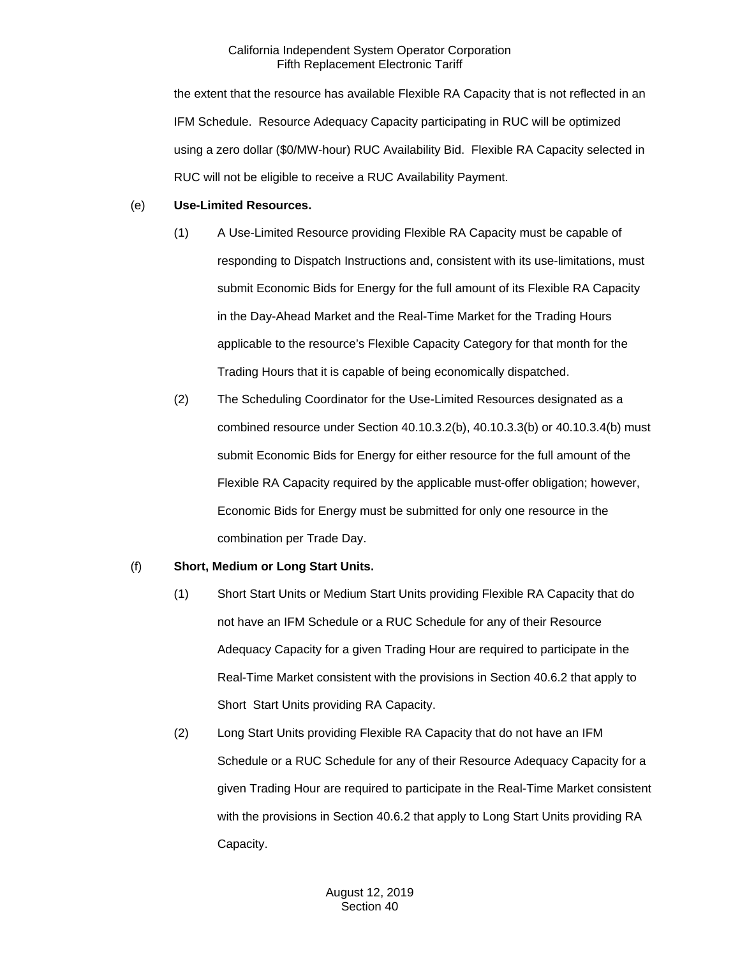the extent that the resource has available Flexible RA Capacity that is not reflected in an IFM Schedule. Resource Adequacy Capacity participating in RUC will be optimized using a zero dollar (\$0/MW-hour) RUC Availability Bid. Flexible RA Capacity selected in RUC will not be eligible to receive a RUC Availability Payment.

### (e) **Use-Limited Resources.**

- (1) A Use-Limited Resource providing Flexible RA Capacity must be capable of responding to Dispatch Instructions and, consistent with its use-limitations, must submit Economic Bids for Energy for the full amount of its Flexible RA Capacity in the Day-Ahead Market and the Real-Time Market for the Trading Hours applicable to the resource's Flexible Capacity Category for that month for the Trading Hours that it is capable of being economically dispatched.
- (2) The Scheduling Coordinator for the Use-Limited Resources designated as a combined resource under Section 40.10.3.2(b), 40.10.3.3(b) or 40.10.3.4(b) must submit Economic Bids for Energy for either resource for the full amount of the Flexible RA Capacity required by the applicable must-offer obligation; however, Economic Bids for Energy must be submitted for only one resource in the combination per Trade Day.

# (f) **Short, Medium or Long Start Units.**

- (1) Short Start Units or Medium Start Units providing Flexible RA Capacity that do not have an IFM Schedule or a RUC Schedule for any of their Resource Adequacy Capacity for a given Trading Hour are required to participate in the Real-Time Market consistent with the provisions in Section 40.6.2 that apply to Short Start Units providing RA Capacity.
- (2) Long Start Units providing Flexible RA Capacity that do not have an IFM Schedule or a RUC Schedule for any of their Resource Adequacy Capacity for a given Trading Hour are required to participate in the Real-Time Market consistent with the provisions in Section 40.6.2 that apply to Long Start Units providing RA Capacity.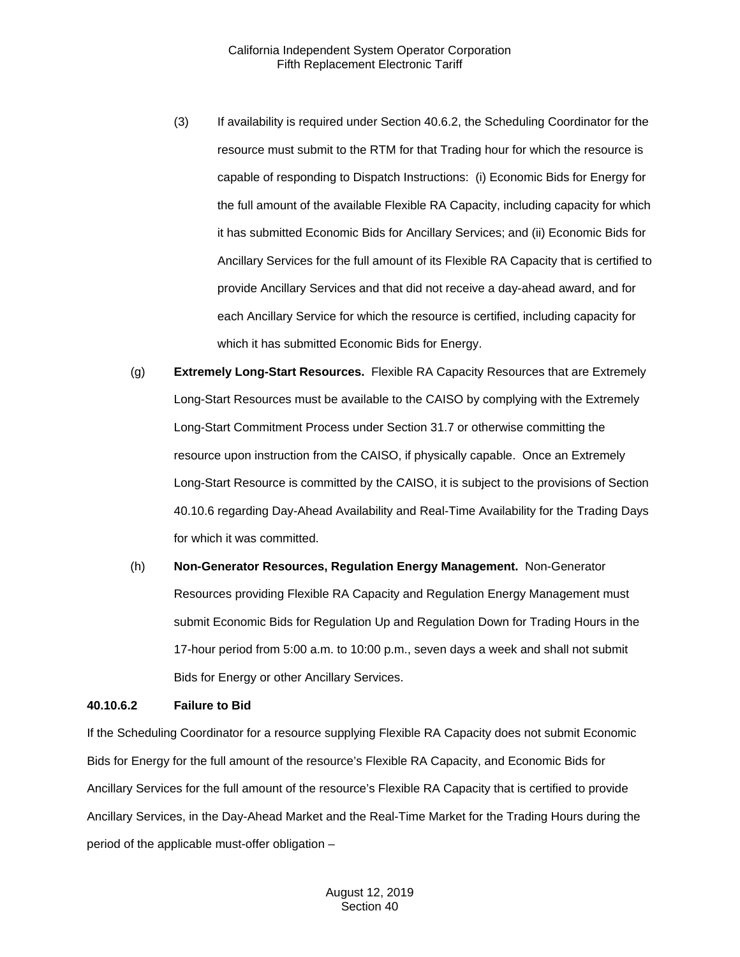- (3) If availability is required under Section 40.6.2, the Scheduling Coordinator for the resource must submit to the RTM for that Trading hour for which the resource is capable of responding to Dispatch Instructions: (i) Economic Bids for Energy for the full amount of the available Flexible RA Capacity, including capacity for which it has submitted Economic Bids for Ancillary Services; and (ii) Economic Bids for Ancillary Services for the full amount of its Flexible RA Capacity that is certified to provide Ancillary Services and that did not receive a day-ahead award, and for each Ancillary Service for which the resource is certified, including capacity for which it has submitted Economic Bids for Energy.
- (g) **Extremely Long-Start Resources.** Flexible RA Capacity Resources that are Extremely Long-Start Resources must be available to the CAISO by complying with the Extremely Long-Start Commitment Process under Section 31.7 or otherwise committing the resource upon instruction from the CAISO, if physically capable. Once an Extremely Long-Start Resource is committed by the CAISO, it is subject to the provisions of Section 40.10.6 regarding Day-Ahead Availability and Real-Time Availability for the Trading Days for which it was committed.
- (h) **Non-Generator Resources, Regulation Energy Management.** Non-Generator Resources providing Flexible RA Capacity and Regulation Energy Management must submit Economic Bids for Regulation Up and Regulation Down for Trading Hours in the 17-hour period from 5:00 a.m. to 10:00 p.m., seven days a week and shall not submit Bids for Energy or other Ancillary Services.

#### **40.10.6.2 Failure to Bid**

If the Scheduling Coordinator for a resource supplying Flexible RA Capacity does not submit Economic Bids for Energy for the full amount of the resource's Flexible RA Capacity, and Economic Bids for Ancillary Services for the full amount of the resource's Flexible RA Capacity that is certified to provide Ancillary Services, in the Day-Ahead Market and the Real-Time Market for the Trading Hours during the period of the applicable must-offer obligation –